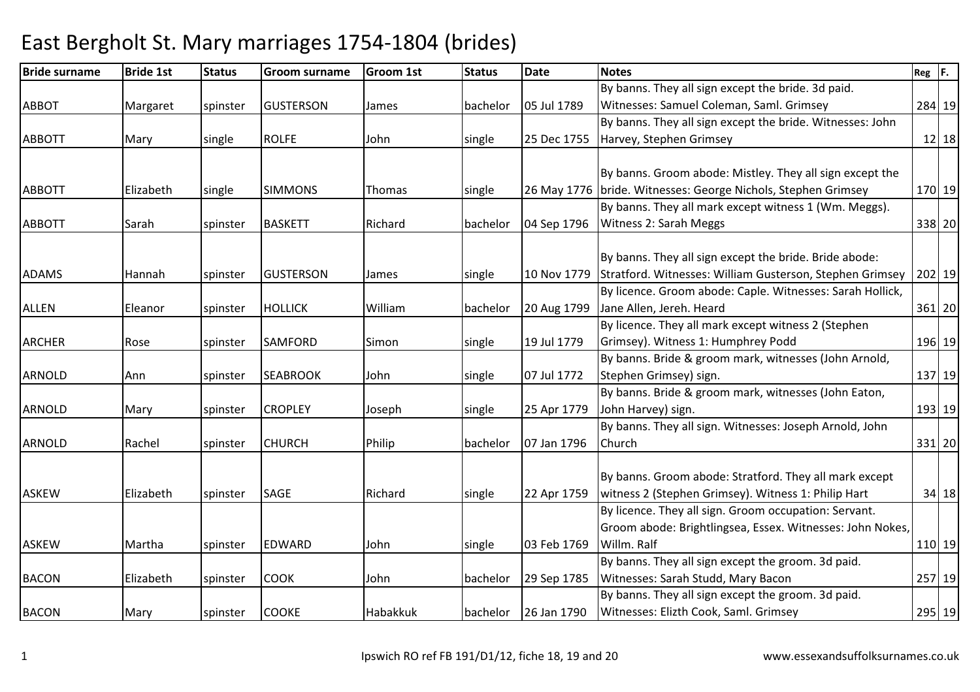| <b>Bride surname</b> | <b>Bride 1st</b> | <b>Status</b> | <b>Groom surname</b> | <b>Groom 1st</b> | <b>Status</b> | <b>Date</b> | <b>Notes</b>                                                    | $Reg$ $F.$ |
|----------------------|------------------|---------------|----------------------|------------------|---------------|-------------|-----------------------------------------------------------------|------------|
|                      |                  |               |                      |                  |               |             | By banns. They all sign except the bride. 3d paid.              |            |
| <b>ABBOT</b>         | Margaret         | spinster      | <b>GUSTERSON</b>     | James            | bachelor      | 05 Jul 1789 | Witnesses: Samuel Coleman, Saml. Grimsey                        | 284 19     |
|                      |                  |               |                      |                  |               |             | By banns. They all sign except the bride. Witnesses: John       |            |
| <b>ABBOTT</b>        | Mary             | single        | <b>ROLFE</b>         | John             | single        | 25 Dec 1755 | Harvey, Stephen Grimsey                                         | $12$   18  |
|                      |                  |               |                      |                  |               |             |                                                                 |            |
|                      |                  |               |                      |                  |               |             | By banns. Groom abode: Mistley. They all sign except the        |            |
| <b>ABBOTT</b>        | Elizabeth        | single        | <b>SIMMONS</b>       | Thomas           | single        |             | 26 May 1776   bride. Witnesses: George Nichols, Stephen Grimsey | 170 19     |
|                      |                  |               |                      |                  |               |             | By banns. They all mark except witness 1 (Wm. Meggs).           |            |
| <b>ABBOTT</b>        | Sarah            | spinster      | <b>BASKETT</b>       | Richard          | bachelor      | 04 Sep 1796 | <b>Witness 2: Sarah Meggs</b>                                   | 338 20     |
|                      |                  |               |                      |                  |               |             |                                                                 |            |
|                      |                  |               |                      |                  |               |             | By banns. They all sign except the bride. Bride abode:          |            |
| <b>ADAMS</b>         | Hannah           | spinster      | <b>GUSTERSON</b>     | James            | single        | 10 Nov 1779 | Stratford. Witnesses: William Gusterson, Stephen Grimsey        | 202 19     |
|                      |                  |               |                      |                  |               |             | By licence. Groom abode: Caple. Witnesses: Sarah Hollick,       |            |
| <b>ALLEN</b>         | Eleanor          | spinster      | <b>HOLLICK</b>       | William          | bachelor      | 20 Aug 1799 | Jane Allen, Jereh. Heard                                        | 361 20     |
|                      |                  |               |                      |                  |               |             | By licence. They all mark except witness 2 (Stephen             |            |
| <b>ARCHER</b>        | Rose             | spinster      | <b>SAMFORD</b>       | Simon            | single        | 19 Jul 1779 | Grimsey). Witness 1: Humphrey Podd                              | 196 19     |
|                      |                  |               |                      |                  |               |             | By banns. Bride & groom mark, witnesses (John Arnold,           |            |
| <b>ARNOLD</b>        | Ann              | spinster      | <b>SEABROOK</b>      | John             | single        | 07 Jul 1772 | Stephen Grimsey) sign.                                          | 137 19     |
|                      |                  |               |                      |                  |               |             | By banns. Bride & groom mark, witnesses (John Eaton,            |            |
| <b>ARNOLD</b>        | Mary             | spinster      | <b>CROPLEY</b>       | Joseph           | single        | 25 Apr 1779 | John Harvey) sign.                                              | 193 19     |
|                      |                  |               |                      |                  |               |             | By banns. They all sign. Witnesses: Joseph Arnold, John         |            |
| <b>ARNOLD</b>        | Rachel           | spinster      | <b>CHURCH</b>        | Philip           | bachelor      | 07 Jan 1796 | Church                                                          | 331 20     |
|                      |                  |               |                      |                  |               |             |                                                                 |            |
|                      |                  |               |                      |                  |               |             | By banns. Groom abode: Stratford. They all mark except          |            |
| <b>ASKEW</b>         | Elizabeth        | spinster      | SAGE                 | Richard          | single        | 22 Apr 1759 | witness 2 (Stephen Grimsey). Witness 1: Philip Hart             | $34$ 18    |
|                      |                  |               |                      |                  |               |             | By licence. They all sign. Groom occupation: Servant.           |            |
|                      |                  |               |                      |                  |               |             | Groom abode: Brightlingsea, Essex. Witnesses: John Nokes,       |            |
| <b>ASKEW</b>         | Martha           | spinster      | <b>EDWARD</b>        | John             | single        | 03 Feb 1769 | Willm. Ralf                                                     | 110 19     |
|                      |                  |               |                      |                  |               |             | By banns. They all sign except the groom. 3d paid.              |            |
| <b>BACON</b>         | Elizabeth        | spinster      | <b>COOK</b>          | John             | bachelor      | 29 Sep 1785 | Witnesses: Sarah Studd, Mary Bacon                              | 257 19     |
|                      |                  |               |                      |                  |               |             | By banns. They all sign except the groom. 3d paid.              |            |
| <b>BACON</b>         | Mary             | spinster      | <b>COOKE</b>         | Habakkuk         | bachelor      | 26 Jan 1790 | Witnesses: Elizth Cook, Saml. Grimsey                           | 295 19     |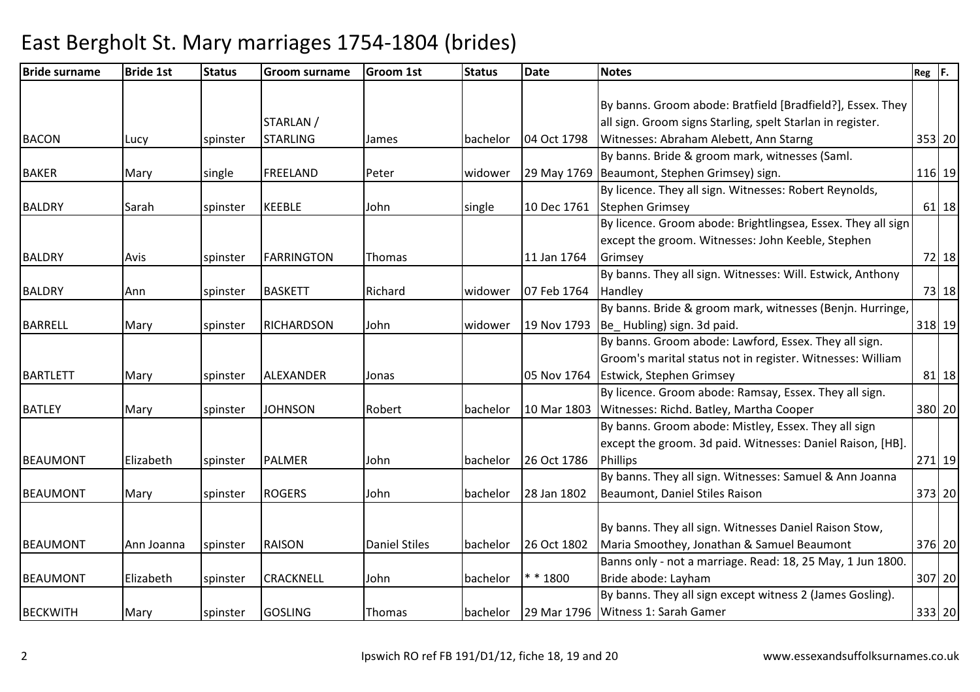| <b>Bride 1st</b> | <b>Status</b> | <b>Groom surname</b> | <b>Groom 1st</b>     | <b>Status</b> | <b>Date</b> | <b>Notes</b>                                               | $Reg$ $F.$                                                                                                                                                                                                                                                                                                                                                                                                                                                                                            |                                                                                                                                                        |
|------------------|---------------|----------------------|----------------------|---------------|-------------|------------------------------------------------------------|-------------------------------------------------------------------------------------------------------------------------------------------------------------------------------------------------------------------------------------------------------------------------------------------------------------------------------------------------------------------------------------------------------------------------------------------------------------------------------------------------------|--------------------------------------------------------------------------------------------------------------------------------------------------------|
|                  |               |                      |                      |               |             |                                                            |                                                                                                                                                                                                                                                                                                                                                                                                                                                                                                       |                                                                                                                                                        |
|                  |               |                      |                      |               |             |                                                            |                                                                                                                                                                                                                                                                                                                                                                                                                                                                                                       |                                                                                                                                                        |
|                  |               |                      |                      |               |             |                                                            |                                                                                                                                                                                                                                                                                                                                                                                                                                                                                                       |                                                                                                                                                        |
| Lucy             | spinster      | <b>STARLING</b>      | James                | bachelor      | 04 Oct 1798 |                                                            |                                                                                                                                                                                                                                                                                                                                                                                                                                                                                                       |                                                                                                                                                        |
|                  |               |                      |                      |               |             |                                                            |                                                                                                                                                                                                                                                                                                                                                                                                                                                                                                       |                                                                                                                                                        |
| Mary             | single        | <b>FREELAND</b>      | Peter                | widower       |             |                                                            |                                                                                                                                                                                                                                                                                                                                                                                                                                                                                                       |                                                                                                                                                        |
|                  |               |                      |                      |               |             | By licence. They all sign. Witnesses: Robert Reynolds,     |                                                                                                                                                                                                                                                                                                                                                                                                                                                                                                       |                                                                                                                                                        |
| Sarah            | spinster      | <b>KEEBLE</b>        | John                 | single        | 10 Dec 1761 | <b>Stephen Grimsey</b>                                     |                                                                                                                                                                                                                                                                                                                                                                                                                                                                                                       | $61$ 18                                                                                                                                                |
|                  |               |                      |                      |               |             |                                                            |                                                                                                                                                                                                                                                                                                                                                                                                                                                                                                       |                                                                                                                                                        |
|                  |               |                      |                      |               |             | except the groom. Witnesses: John Keeble, Stephen          |                                                                                                                                                                                                                                                                                                                                                                                                                                                                                                       |                                                                                                                                                        |
| Avis             | spinster      | <b>FARRINGTON</b>    | Thomas               |               | 11 Jan 1764 | Grimsey                                                    |                                                                                                                                                                                                                                                                                                                                                                                                                                                                                                       | $72$ 18                                                                                                                                                |
|                  |               |                      |                      |               |             | By banns. They all sign. Witnesses: Will. Estwick, Anthony |                                                                                                                                                                                                                                                                                                                                                                                                                                                                                                       |                                                                                                                                                        |
| Ann              | spinster      | <b>BASKETT</b>       | Richard              | widower       | 07 Feb 1764 | Handley                                                    |                                                                                                                                                                                                                                                                                                                                                                                                                                                                                                       | 73 18                                                                                                                                                  |
|                  |               |                      |                      |               |             | By banns. Bride & groom mark, witnesses (Benjn. Hurringe,  |                                                                                                                                                                                                                                                                                                                                                                                                                                                                                                       |                                                                                                                                                        |
| Mary             | spinster      | <b>RICHARDSON</b>    | John                 | widower       |             |                                                            |                                                                                                                                                                                                                                                                                                                                                                                                                                                                                                       |                                                                                                                                                        |
|                  |               |                      |                      |               |             | By banns. Groom abode: Lawford, Essex. They all sign.      |                                                                                                                                                                                                                                                                                                                                                                                                                                                                                                       |                                                                                                                                                        |
|                  |               |                      |                      |               |             | Groom's marital status not in register. Witnesses: William |                                                                                                                                                                                                                                                                                                                                                                                                                                                                                                       |                                                                                                                                                        |
| Mary             | spinster      | ALEXANDER            | Jonas                |               |             |                                                            |                                                                                                                                                                                                                                                                                                                                                                                                                                                                                                       | $81$ 18                                                                                                                                                |
|                  |               |                      |                      |               |             | By licence. Groom abode: Ramsay, Essex. They all sign.     |                                                                                                                                                                                                                                                                                                                                                                                                                                                                                                       |                                                                                                                                                        |
| Mary             | spinster      | <b>JOHNSON</b>       | Robert               | bachelor      |             | Witnesses: Richd. Batley, Martha Cooper                    |                                                                                                                                                                                                                                                                                                                                                                                                                                                                                                       |                                                                                                                                                        |
|                  |               |                      |                      |               |             | By banns. Groom abode: Mistley, Essex. They all sign       |                                                                                                                                                                                                                                                                                                                                                                                                                                                                                                       |                                                                                                                                                        |
|                  |               |                      |                      |               |             | except the groom. 3d paid. Witnesses: Daniel Raison, [HB]. |                                                                                                                                                                                                                                                                                                                                                                                                                                                                                                       |                                                                                                                                                        |
| Elizabeth        | spinster      | <b>PALMER</b>        | John                 | bachelor      | 26 Oct 1786 | Phillips                                                   |                                                                                                                                                                                                                                                                                                                                                                                                                                                                                                       |                                                                                                                                                        |
|                  |               |                      |                      |               |             | By banns. They all sign. Witnesses: Samuel & Ann Joanna    |                                                                                                                                                                                                                                                                                                                                                                                                                                                                                                       |                                                                                                                                                        |
| Mary             | spinster      | <b>ROGERS</b>        | John                 | bachelor      | 28 Jan 1802 | Beaumont, Daniel Stiles Raison                             |                                                                                                                                                                                                                                                                                                                                                                                                                                                                                                       |                                                                                                                                                        |
|                  |               |                      |                      |               |             |                                                            |                                                                                                                                                                                                                                                                                                                                                                                                                                                                                                       |                                                                                                                                                        |
|                  |               |                      |                      |               |             | By banns. They all sign. Witnesses Daniel Raison Stow,     |                                                                                                                                                                                                                                                                                                                                                                                                                                                                                                       |                                                                                                                                                        |
| Ann Joanna       | spinster      | <b>RAISON</b>        | <b>Daniel Stiles</b> | bachelor      | 26 Oct 1802 | Maria Smoothey, Jonathan & Samuel Beaumont                 |                                                                                                                                                                                                                                                                                                                                                                                                                                                                                                       |                                                                                                                                                        |
|                  |               |                      |                      |               |             |                                                            |                                                                                                                                                                                                                                                                                                                                                                                                                                                                                                       |                                                                                                                                                        |
| Elizabeth        |               | <b>CRACKNELL</b>     | John                 |               | $* * 1800$  |                                                            |                                                                                                                                                                                                                                                                                                                                                                                                                                                                                                       |                                                                                                                                                        |
|                  |               |                      |                      |               |             | By banns. They all sign except witness 2 (James Gosling).  |                                                                                                                                                                                                                                                                                                                                                                                                                                                                                                       |                                                                                                                                                        |
| Mary             | spinster      | <b>GOSLING</b>       | <b>Thomas</b>        | bachelor      |             |                                                            |                                                                                                                                                                                                                                                                                                                                                                                                                                                                                                       |                                                                                                                                                        |
|                  |               | spinster             | STARLAN /            |               | bachelor    |                                                            | By banns. Groom abode: Bratfield [Bradfield?], Essex. They<br>all sign. Groom signs Starling, spelt Starlan in register.<br>Witnesses: Abraham Alebett, Ann Starng<br>By banns. Bride & groom mark, witnesses (Saml.<br>29 May 1769 Beaumont, Stephen Grimsey) sign.<br>19 Nov 1793   Be_ Hubling) sign. 3d paid.<br>05 Nov 1764 Estwick, Stephen Grimsey<br>10 Mar 1803<br>Banns only - not a marriage. Read: 18, 25 May, 1 Jun 1800.<br>Bride abode: Layham<br>29 Mar 1796   Witness 1: Sarah Gamer | 353 20<br>116 19<br>By licence. Groom abode: Brightlingsea, Essex. They all sign<br>318 19<br>380 20<br>271 19<br>373 20<br>376 20<br>307 20<br>333 20 |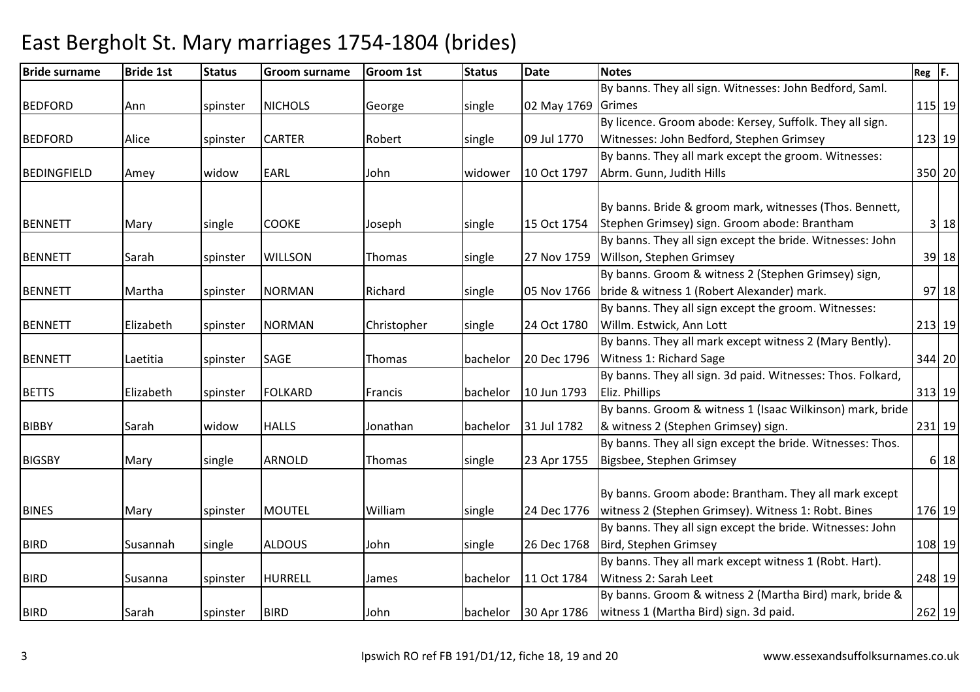| <b>Bride surname</b> | <b>Bride 1st</b> | <b>Status</b> | <b>Groom surname</b> | <b>Groom 1st</b> | <b>Status</b> | <b>Date</b> | <b>Notes</b>                                                | $Reg$ $F.$ |          |
|----------------------|------------------|---------------|----------------------|------------------|---------------|-------------|-------------------------------------------------------------|------------|----------|
|                      |                  |               |                      |                  |               |             | By banns. They all sign. Witnesses: John Bedford, Saml.     |            |          |
| <b>BEDFORD</b>       | Ann              | spinster      | <b>NICHOLS</b>       | George           | single        | 02 May 1769 | Grimes                                                      | 115 19     |          |
|                      |                  |               |                      |                  |               |             | By licence. Groom abode: Kersey, Suffolk. They all sign.    |            |          |
| <b>BEDFORD</b>       | Alice            | spinster      | <b>CARTER</b>        | Robert           | single        | 09 Jul 1770 | Witnesses: John Bedford, Stephen Grimsey                    |            | 123 19   |
|                      |                  |               |                      |                  |               |             | By banns. They all mark except the groom. Witnesses:        |            |          |
| BEDINGFIELD          | Amey             | widow         | <b>EARL</b>          | John             | widower       | 10 Oct 1797 | Abrm. Gunn, Judith Hills                                    |            | 350 20   |
|                      |                  |               |                      |                  |               |             |                                                             |            |          |
|                      |                  |               |                      |                  |               |             | By banns. Bride & groom mark, witnesses (Thos. Bennett,     |            |          |
| <b>BENNETT</b>       | Mary             | single        | <b>COOKE</b>         | Joseph           | single        | 15 Oct 1754 | Stephen Grimsey) sign. Groom abode: Brantham                |            | 3 18     |
|                      |                  |               |                      |                  |               |             | By banns. They all sign except the bride. Witnesses: John   |            |          |
| <b>BENNETT</b>       | Sarah            | spinster      | <b>WILLSON</b>       | Thomas           | single        | 27 Nov 1759 | Willson, Stephen Grimsey                                    |            | 39 18    |
|                      |                  |               |                      |                  |               |             | By banns. Groom & witness 2 (Stephen Grimsey) sign,         |            |          |
| <b>BENNETT</b>       | Martha           | spinster      | <b>NORMAN</b>        | Richard          | single        | 05 Nov 1766 | bride & witness 1 (Robert Alexander) mark.                  |            | 97 18    |
|                      |                  |               |                      |                  |               |             | By banns. They all sign except the groom. Witnesses:        |            |          |
| <b>BENNETT</b>       | Elizabeth        | spinster      | <b>NORMAN</b>        | Christopher      | single        | 24 Oct 1780 | Willm. Estwick, Ann Lott                                    |            | 213 19   |
|                      |                  |               |                      |                  |               |             | By banns. They all mark except witness 2 (Mary Bently).     |            |          |
| <b>BENNETT</b>       | Laetitia         | spinster      | SAGE                 | Thomas           | bachelor      | 20 Dec 1796 | Witness 1: Richard Sage                                     |            | 344 20   |
|                      |                  |               |                      |                  |               |             | By banns. They all sign. 3d paid. Witnesses: Thos. Folkard, |            |          |
| <b>BETTS</b>         | Elizabeth        | spinster      | <b>FOLKARD</b>       | Francis          | bachelor      | 10 Jun 1793 | Eliz. Phillips                                              |            | 313 19   |
|                      |                  |               |                      |                  |               |             | By banns. Groom & witness 1 (Isaac Wilkinson) mark, bride   |            |          |
| <b>BIBBY</b>         | Sarah            | widow         | <b>HALLS</b>         | Jonathan         | bachelor      | 31 Jul 1782 | & witness 2 (Stephen Grimsey) sign.                         |            | $231$ 19 |
|                      |                  |               |                      |                  |               |             | By banns. They all sign except the bride. Witnesses: Thos.  |            |          |
| <b>BIGSBY</b>        | Mary             | single        | <b>ARNOLD</b>        | Thomas           | single        | 23 Apr 1755 | Bigsbee, Stephen Grimsey                                    |            | 6 18     |
|                      |                  |               |                      |                  |               |             |                                                             |            |          |
|                      |                  |               |                      |                  |               |             | By banns. Groom abode: Brantham. They all mark except       |            |          |
| <b>BINES</b>         | Mary             | spinster      | <b>MOUTEL</b>        | William          | single        | 24 Dec 1776 | witness 2 (Stephen Grimsey). Witness 1: Robt. Bines         |            | 176 19   |
|                      |                  |               |                      |                  |               |             | By banns. They all sign except the bride. Witnesses: John   |            |          |
| <b>BIRD</b>          | Susannah         | single        | <b>ALDOUS</b>        | John             | single        | 26 Dec 1768 | Bird, Stephen Grimsey                                       |            | 108 19   |
|                      |                  |               |                      |                  |               |             | By banns. They all mark except witness 1 (Robt. Hart).      |            |          |
| <b>BIRD</b>          | Susanna          | spinster      | <b>HURRELL</b>       | James            | bachelor      | 11 Oct 1784 | Witness 2: Sarah Leet                                       |            | 248 19   |
|                      |                  |               |                      |                  |               |             | By banns. Groom & witness 2 (Martha Bird) mark, bride &     |            |          |
| <b>BIRD</b>          | Sarah            | spinster      | <b>BIRD</b>          | John             | bachelor      | 30 Apr 1786 | witness 1 (Martha Bird) sign. 3d paid.                      |            | $262$ 19 |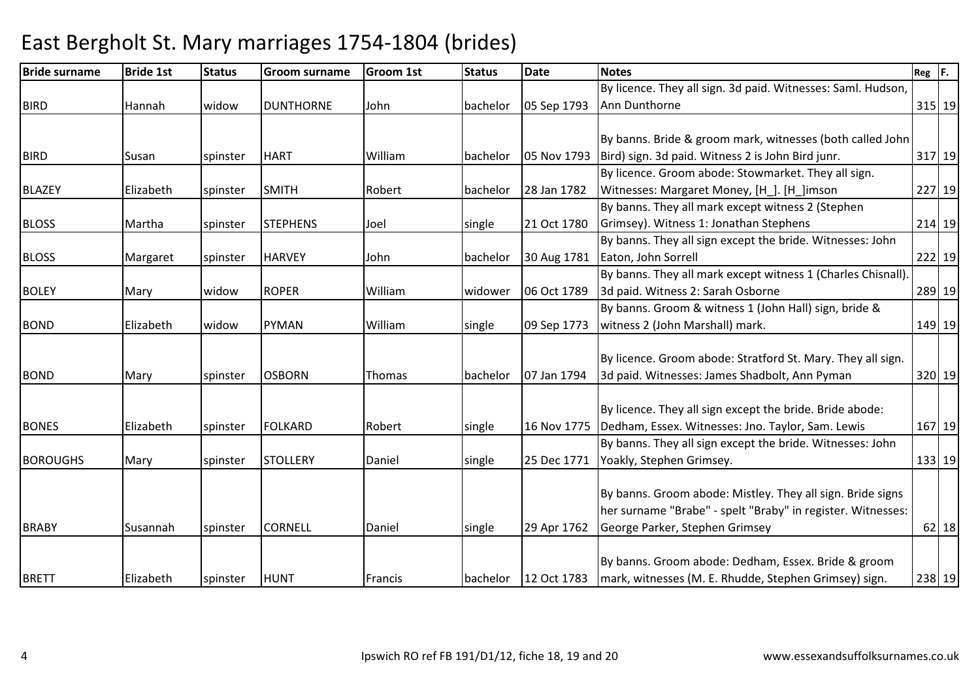| <b>Bride surname</b> | <b>Bride 1st</b> | <b>Status</b> | <b>Groom surname</b> | <b>Groom 1st</b> | <b>Status</b> | <b>Date</b> | <b>Notes</b>                                                 | $Reg$ $F.$ |           |
|----------------------|------------------|---------------|----------------------|------------------|---------------|-------------|--------------------------------------------------------------|------------|-----------|
|                      |                  |               |                      |                  |               |             | By licence. They all sign. 3d paid. Witnesses: Saml. Hudson, |            |           |
| <b>BIRD</b>          | Hannah           | widow         | <b>DUNTHORNE</b>     | John             | bachelor      | 05 Sep 1793 | Ann Dunthorne                                                | 315 19     |           |
|                      |                  |               |                      |                  |               |             |                                                              |            |           |
|                      |                  |               |                      |                  |               |             | By banns. Bride & groom mark, witnesses (both called John    |            |           |
| <b>BIRD</b>          | Susan            | spinster      | <b>HART</b>          | William          | bachelor      | 05 Nov 1793 | Bird) sign. 3d paid. Witness 2 is John Bird junr.            |            | 317 19    |
|                      |                  |               |                      |                  |               |             | By licence. Groom abode: Stowmarket. They all sign.          |            |           |
| <b>BLAZEY</b>        | Elizabeth        | spinster      | <b>SMITH</b>         | Robert           | bachelor      | 28 Jan 1782 | Witnesses: Margaret Money, [H ]. [H ]imson                   |            | 227 19    |
|                      |                  |               |                      |                  |               |             | By banns. They all mark except witness 2 (Stephen            |            |           |
| <b>BLOSS</b>         | Martha           | spinster      | <b>STEPHENS</b>      | Joel             | single        | 21 Oct 1780 | Grimsey). Witness 1: Jonathan Stephens                       |            | 214 19    |
|                      |                  |               |                      |                  |               |             | By banns. They all sign except the bride. Witnesses: John    |            |           |
| <b>BLOSS</b>         | Margaret         | spinster      | <b>HARVEY</b>        | John             | bachelor      | 30 Aug 1781 | Eaton, John Sorrell                                          |            | 222 19    |
|                      |                  |               |                      |                  |               |             | By banns. They all mark except witness 1 (Charles Chisnall). |            |           |
| <b>BOLEY</b>         | Mary             | widow         | <b>ROPER</b>         | William          | widower       | 06 Oct 1789 | 3d paid. Witness 2: Sarah Osborne                            |            | 289 19    |
|                      |                  |               |                      |                  |               |             | By banns. Groom & witness 1 (John Hall) sign, bride &        |            |           |
| <b>BOND</b>          | Elizabeth        | widow         | <b>PYMAN</b>         | William          | single        | 09 Sep 1773 | witness 2 (John Marshall) mark.                              |            | 149 19    |
|                      |                  |               |                      |                  |               |             |                                                              |            |           |
|                      |                  |               |                      |                  |               |             | By licence. Groom abode: Stratford St. Mary. They all sign.  |            |           |
| <b>BOND</b>          | Mary             | spinster      | <b>OSBORN</b>        | Thomas           | bachelor      | 07 Jan 1794 | 3d paid. Witnesses: James Shadbolt, Ann Pyman                |            | 320 19    |
|                      |                  |               |                      |                  |               |             |                                                              |            |           |
|                      |                  |               |                      |                  |               |             | By licence. They all sign except the bride. Bride abode:     |            |           |
| <b>BONES</b>         | Elizabeth        | spinster      | <b>FOLKARD</b>       | Robert           | single        | 16 Nov 1775 | Dedham, Essex. Witnesses: Jno. Taylor, Sam. Lewis            |            | 167 19    |
|                      |                  |               |                      |                  |               |             | By banns. They all sign except the bride. Witnesses: John    |            |           |
| <b>BOROUGHS</b>      | Mary             | spinster      | <b>STOLLERY</b>      | Daniel           | single        | 25 Dec 1771 | Yoakly, Stephen Grimsey.                                     |            | 133 19    |
|                      |                  |               |                      |                  |               |             |                                                              |            |           |
|                      |                  |               |                      |                  |               |             | By banns. Groom abode: Mistley. They all sign. Bride signs   |            |           |
|                      |                  |               |                      |                  |               |             | her surname "Brabe" - spelt "Braby" in register. Witnesses:  |            |           |
| <b>BRABY</b>         | Susannah         | spinster      | <b>CORNELL</b>       | Daniel           | single        | 29 Apr 1762 | George Parker, Stephen Grimsey                               |            | $62$   18 |
|                      |                  |               |                      |                  |               |             | By banns. Groom abode: Dedham, Essex. Bride & groom          |            |           |
|                      |                  |               |                      |                  |               |             |                                                              |            |           |
| <b>BRETT</b>         | Elizabeth        | spinster      | <b>HUNT</b>          | Francis          | bachelor      | 12 Oct 1783 | mark, witnesses (M. E. Rhudde, Stephen Grimsey) sign.        |            | 238 19    |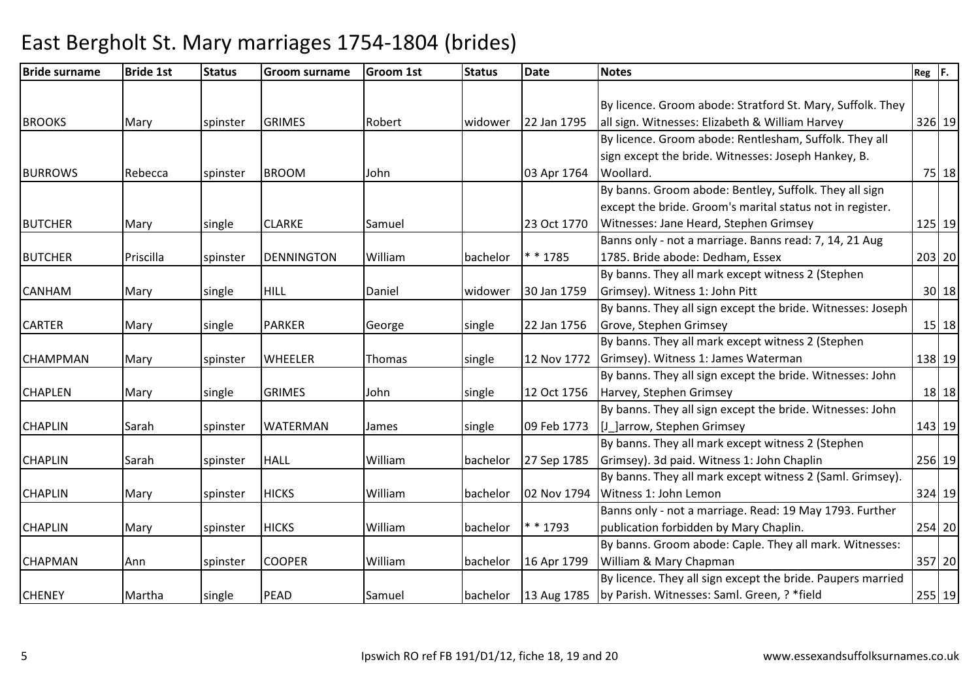| <b>Bride surname</b> | <b>Bride 1st</b> | <b>Status</b> | <b>Groom surname</b> | <b>Groom 1st</b> | <b>Status</b> | <b>Date</b> | <b>Notes</b>                                                | Reg F.    |
|----------------------|------------------|---------------|----------------------|------------------|---------------|-------------|-------------------------------------------------------------|-----------|
|                      |                  |               |                      |                  |               |             |                                                             |           |
|                      |                  |               |                      |                  |               |             | By licence. Groom abode: Stratford St. Mary, Suffolk. They  |           |
| <b>BROOKS</b>        | Mary             | spinster      | <b>GRIMES</b>        | Robert           | widower       | 22 Jan 1795 | all sign. Witnesses: Elizabeth & William Harvey             | 326 19    |
|                      |                  |               |                      |                  |               |             | By licence. Groom abode: Rentlesham, Suffolk. They all      |           |
|                      |                  |               |                      |                  |               |             | sign except the bride. Witnesses: Joseph Hankey, B.         |           |
| <b>BURROWS</b>       | Rebecca          | spinster      | <b>BROOM</b>         | John             |               | 03 Apr 1764 | Woollard.                                                   | 75 18     |
|                      |                  |               |                      |                  |               |             | By banns. Groom abode: Bentley, Suffolk. They all sign      |           |
|                      |                  |               |                      |                  |               |             | except the bride. Groom's marital status not in register.   |           |
| <b>BUTCHER</b>       | Mary             | single        | <b>CLARKE</b>        | Samuel           |               | 23 Oct 1770 | Witnesses: Jane Heard, Stephen Grimsey                      | 125 19    |
|                      |                  |               |                      |                  |               |             | Banns only - not a marriage. Banns read: 7, 14, 21 Aug      |           |
| <b>BUTCHER</b>       | Priscilla        | spinster      | <b>DENNINGTON</b>    | William          | bachelor      | $* * 1785$  | 1785. Bride abode: Dedham, Essex                            | 203 20    |
|                      |                  |               |                      |                  |               |             | By banns. They all mark except witness 2 (Stephen           |           |
| <b>CANHAM</b>        | Mary             | single        | <b>HILL</b>          | Daniel           | widower       | 30 Jan 1759 | Grimsey). Witness 1: John Pitt                              | 30 18     |
|                      |                  |               |                      |                  |               |             | By banns. They all sign except the bride. Witnesses: Joseph |           |
| <b>CARTER</b>        | Mary             | single        | <b>PARKER</b>        | George           | single        | 22 Jan 1756 | Grove, Stephen Grimsey                                      | $15$   18 |
|                      |                  |               |                      |                  |               |             | By banns. They all mark except witness 2 (Stephen           |           |
| <b>CHAMPMAN</b>      | Mary             | spinster      | <b>WHEELER</b>       | Thomas           | single        | 12 Nov 1772 | Grimsey). Witness 1: James Waterman                         | 138 19    |
|                      |                  |               |                      |                  |               |             | By banns. They all sign except the bride. Witnesses: John   |           |
| <b>CHAPLEN</b>       | Mary             | single        | <b>GRIMES</b>        | John             | single        | 12 Oct 1756 | Harvey, Stephen Grimsey                                     | 18 18     |
|                      |                  |               |                      |                  |               |             | By banns. They all sign except the bride. Witnesses: John   |           |
| <b>CHAPLIN</b>       | Sarah            | spinster      | WATERMAN             | James            | single        | 09 Feb 1773 | [J_]arrow, Stephen Grimsey                                  | 143 19    |
|                      |                  |               |                      |                  |               |             | By banns. They all mark except witness 2 (Stephen           |           |
| <b>CHAPLIN</b>       | Sarah            | spinster      | <b>HALL</b>          | William          | bachelor      | 27 Sep 1785 | Grimsey). 3d paid. Witness 1: John Chaplin                  | 256 19    |
|                      |                  |               |                      |                  |               |             | By banns. They all mark except witness 2 (Saml. Grimsey).   |           |
| <b>CHAPLIN</b>       | Mary             | spinster      | <b>HICKS</b>         | William          | bachelor      | 02 Nov 1794 | Witness 1: John Lemon                                       | 324 19    |
|                      |                  |               |                      |                  |               |             | Banns only - not a marriage. Read: 19 May 1793. Further     |           |
| <b>CHAPLIN</b>       | Mary             | spinster      | <b>HICKS</b>         | William          | bachelor      | * * 1793    | publication forbidden by Mary Chaplin.                      | 254 20    |
|                      |                  |               |                      |                  |               |             | By banns. Groom abode: Caple. They all mark. Witnesses:     |           |
| <b>CHAPMAN</b>       | Ann              | spinster      | <b>COOPER</b>        | William          | bachelor      | 16 Apr 1799 | William & Mary Chapman                                      | 357 20    |
|                      |                  |               |                      |                  |               |             | By licence. They all sign except the bride. Paupers married |           |
| <b>CHENEY</b>        | Martha           | single        | PEAD                 | Samuel           | bachelor      | 13 Aug 1785 | by Parish. Witnesses: Saml. Green, ? * field                | 255 19    |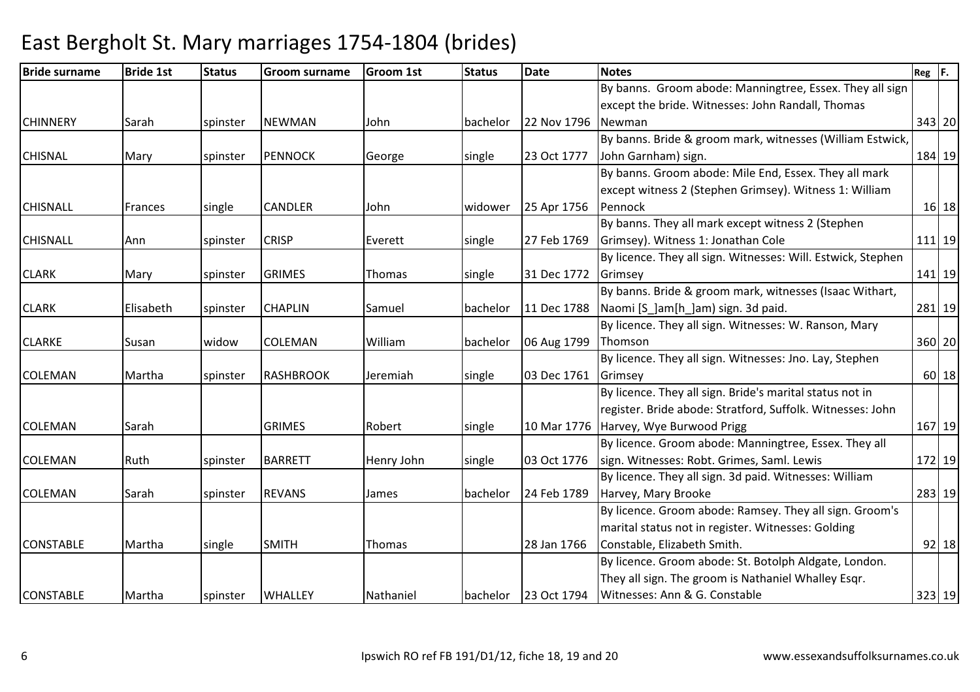| <b>Bride surname</b> | <b>Bride 1st</b> | <b>Status</b> | <b>Groom surname</b> | <b>Groom 1st</b> | <b>Status</b> | <b>Date</b> | <b>Notes</b>                                                 | $Reg$ $F.$ |
|----------------------|------------------|---------------|----------------------|------------------|---------------|-------------|--------------------------------------------------------------|------------|
|                      |                  |               |                      |                  |               |             | By banns. Groom abode: Manningtree, Essex. They all sign     |            |
|                      |                  |               |                      |                  |               |             | except the bride. Witnesses: John Randall, Thomas            |            |
| <b>CHINNERY</b>      | Sarah            | spinster      | <b>NEWMAN</b>        | John             | bachelor      | 22 Nov 1796 | Newman                                                       | 343 20     |
|                      |                  |               |                      |                  |               |             | By banns. Bride & groom mark, witnesses (William Estwick,    |            |
| <b>CHISNAL</b>       | Mary             | spinster      | <b>PENNOCK</b>       | George           | single        | 23 Oct 1777 | John Garnham) sign.                                          | 184 19     |
|                      |                  |               |                      |                  |               |             | By banns. Groom abode: Mile End, Essex. They all mark        |            |
|                      |                  |               |                      |                  |               |             | except witness 2 (Stephen Grimsey). Witness 1: William       |            |
| <b>CHISNALL</b>      | <b>Frances</b>   | single        | <b>CANDLER</b>       | John             | widower       | 25 Apr 1756 | Pennock                                                      | $16$ 18    |
|                      |                  |               |                      |                  |               |             | By banns. They all mark except witness 2 (Stephen            |            |
| <b>CHISNALL</b>      | Ann              | spinster      | <b>CRISP</b>         | Everett          | single        | 27 Feb 1769 | Grimsey). Witness 1: Jonathan Cole                           | $111$   19 |
|                      |                  |               |                      |                  |               |             | By licence. They all sign. Witnesses: Will. Estwick, Stephen |            |
| <b>CLARK</b>         | Mary             | spinster      | <b>GRIMES</b>        | Thomas           | single        | 31 Dec 1772 | Grimsey                                                      | 141 19     |
|                      |                  |               |                      |                  |               |             | By banns. Bride & groom mark, witnesses (Isaac Withart,      |            |
| <b>CLARK</b>         | Elisabeth        | spinster      | <b>CHAPLIN</b>       | Samuel           | bachelor      | 11 Dec 1788 | Naomi [S_]am[h_]am) sign. 3d paid.                           | 281 19     |
|                      |                  |               |                      |                  |               |             | By licence. They all sign. Witnesses: W. Ranson, Mary        |            |
| <b>CLARKE</b>        | Susan            | widow         | <b>COLEMAN</b>       | William          | bachelor      | 06 Aug 1799 | Thomson                                                      | 360 20     |
|                      |                  |               |                      |                  |               |             | By licence. They all sign. Witnesses: Jno. Lay, Stephen      |            |
| <b>COLEMAN</b>       | Martha           | spinster      | <b>RASHBROOK</b>     | Jeremiah         | single        | 03 Dec 1761 | Grimsey                                                      | $60$   18  |
|                      |                  |               |                      |                  |               |             | By licence. They all sign. Bride's marital status not in     |            |
|                      |                  |               |                      |                  |               |             | register. Bride abode: Stratford, Suffolk. Witnesses: John   |            |
| <b>COLEMAN</b>       | Sarah            |               | <b>GRIMES</b>        | Robert           | single        | 10 Mar 1776 | Harvey, Wye Burwood Prigg                                    | 167 19     |
|                      |                  |               |                      |                  |               |             | By licence. Groom abode: Manningtree, Essex. They all        |            |
| <b>COLEMAN</b>       | Ruth             | spinster      | <b>BARRETT</b>       | Henry John       | single        | 03 Oct 1776 | sign. Witnesses: Robt. Grimes, Saml. Lewis                   | 172 19     |
|                      |                  |               |                      |                  |               |             | By licence. They all sign. 3d paid. Witnesses: William       |            |
| <b>COLEMAN</b>       | Sarah            | spinster      | <b>REVANS</b>        | James            | bachelor      | 24 Feb 1789 | Harvey, Mary Brooke                                          | 283 19     |
|                      |                  |               |                      |                  |               |             | By licence. Groom abode: Ramsey. They all sign. Groom's      |            |
|                      |                  |               |                      |                  |               |             | marital status not in register. Witnesses: Golding           |            |
| <b>CONSTABLE</b>     | Martha           | single        | <b>SMITH</b>         | Thomas           |               | 28 Jan 1766 | Constable, Elizabeth Smith.                                  | $92$ 18    |
|                      |                  |               |                      |                  |               |             | By licence. Groom abode: St. Botolph Aldgate, London.        |            |
|                      |                  |               |                      |                  |               |             | They all sign. The groom is Nathaniel Whalley Esqr.          |            |
| <b>CONSTABLE</b>     | Martha           | spinster      | <b>WHALLEY</b>       | Nathaniel        | bachelor      | 23 Oct 1794 | Witnesses: Ann & G. Constable                                | 323 19     |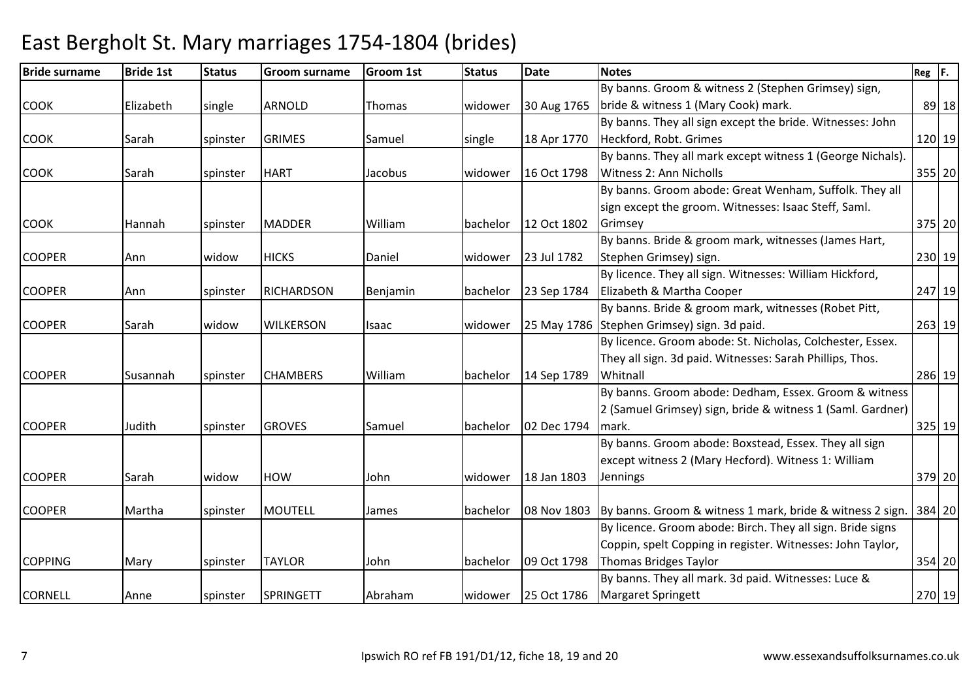| <b>Bride surname</b> | <b>Bride 1st</b> | <b>Status</b> | <b>Groom surname</b> | <b>Groom 1st</b> | <b>Status</b>   | <b>Date</b> | <b>Notes</b>                                               | $Reg$ $F.$ |
|----------------------|------------------|---------------|----------------------|------------------|-----------------|-------------|------------------------------------------------------------|------------|
|                      |                  |               |                      |                  |                 |             | By banns. Groom & witness 2 (Stephen Grimsey) sign,        |            |
| <b>COOK</b>          | Elizabeth        | single        | <b>ARNOLD</b>        | Thomas           | widower         | 30 Aug 1765 | bride & witness 1 (Mary Cook) mark.                        | 89 18      |
|                      |                  |               |                      |                  |                 |             | By banns. They all sign except the bride. Witnesses: John  |            |
| <b>COOK</b>          | Sarah            | spinster      | <b>GRIMES</b>        | Samuel           | single          | 18 Apr 1770 | Heckford, Robt. Grimes                                     | 120 19     |
|                      |                  |               |                      |                  |                 |             | By banns. They all mark except witness 1 (George Nichals). |            |
| <b>COOK</b>          | Sarah            | spinster      | <b>HART</b>          | Jacobus          | widower         | 16 Oct 1798 | Witness 2: Ann Nicholls                                    | 355 20     |
|                      |                  |               |                      |                  |                 |             | By banns. Groom abode: Great Wenham, Suffolk. They all     |            |
|                      |                  |               |                      |                  |                 |             | sign except the groom. Witnesses: Isaac Steff, Saml.       |            |
| <b>COOK</b>          | Hannah           | spinster      | <b>MADDER</b>        | William          | <b>bachelor</b> | 12 Oct 1802 | Grimsey                                                    | 375 20     |
|                      |                  |               |                      |                  |                 |             | By banns. Bride & groom mark, witnesses (James Hart,       |            |
| <b>COOPER</b>        | Ann              | widow         | <b>HICKS</b>         | Daniel           | widower         | 23 Jul 1782 | Stephen Grimsey) sign.                                     | 230 19     |
|                      |                  |               |                      |                  |                 |             | By licence. They all sign. Witnesses: William Hickford,    |            |
| <b>COOPER</b>        | Ann              | spinster      | <b>RICHARDSON</b>    | Benjamin         | bachelor        | 23 Sep 1784 | Elizabeth & Martha Cooper                                  | 247 19     |
|                      |                  |               |                      |                  |                 |             | By banns. Bride & groom mark, witnesses (Robet Pitt,       |            |
| <b>COOPER</b>        | Sarah            | widow         | <b>WILKERSON</b>     | Isaac            | widower         |             | 25 May 1786 Stephen Grimsey) sign. 3d paid.                | 263 19     |
|                      |                  |               |                      |                  |                 |             | By licence. Groom abode: St. Nicholas, Colchester, Essex.  |            |
|                      |                  |               |                      |                  |                 |             | They all sign. 3d paid. Witnesses: Sarah Phillips, Thos.   |            |
| <b>COOPER</b>        | Susannah         | spinster      | <b>CHAMBERS</b>      | William          | bachelor        | 14 Sep 1789 | Whitnall                                                   | 286 19     |
|                      |                  |               |                      |                  |                 |             | By banns. Groom abode: Dedham, Essex. Groom & witness      |            |
|                      |                  |               |                      |                  |                 |             | 2 (Samuel Grimsey) sign, bride & witness 1 (Saml. Gardner) |            |
| <b>COOPER</b>        | Judith           | spinster      | <b>GROVES</b>        | Samuel           | bachelor        | 02 Dec 1794 | mark.                                                      | 325 19     |
|                      |                  |               |                      |                  |                 |             | By banns. Groom abode: Boxstead, Essex. They all sign      |            |
|                      |                  |               |                      |                  |                 |             | except witness 2 (Mary Hecford). Witness 1: William        |            |
| <b>COOPER</b>        | Sarah            | widow         | <b>HOW</b>           | John             | widower         | 18 Jan 1803 | Jennings                                                   | 379 20     |
|                      |                  |               |                      |                  |                 |             |                                                            |            |
| <b>COOPER</b>        | Martha           | spinster      | <b>MOUTELL</b>       | James            | bachelor        | 08 Nov 1803 | By banns. Groom & witness 1 mark, bride & witness 2 sign.  | 384 20     |
|                      |                  |               |                      |                  |                 |             | By licence. Groom abode: Birch. They all sign. Bride signs |            |
|                      |                  |               |                      |                  |                 |             | Coppin, spelt Copping in register. Witnesses: John Taylor, |            |
| <b>COPPING</b>       | Mary             | spinster      | <b>TAYLOR</b>        | John             | bachelor        | 09 Oct 1798 | <b>Thomas Bridges Taylor</b>                               | 354 20     |
|                      |                  |               |                      |                  |                 |             | By banns. They all mark. 3d paid. Witnesses: Luce &        |            |
| <b>CORNELL</b>       | Anne             | spinster      | SPRINGETT            | Abraham          | widower         | 25 Oct 1786 | <b>Margaret Springett</b>                                  | 270 19     |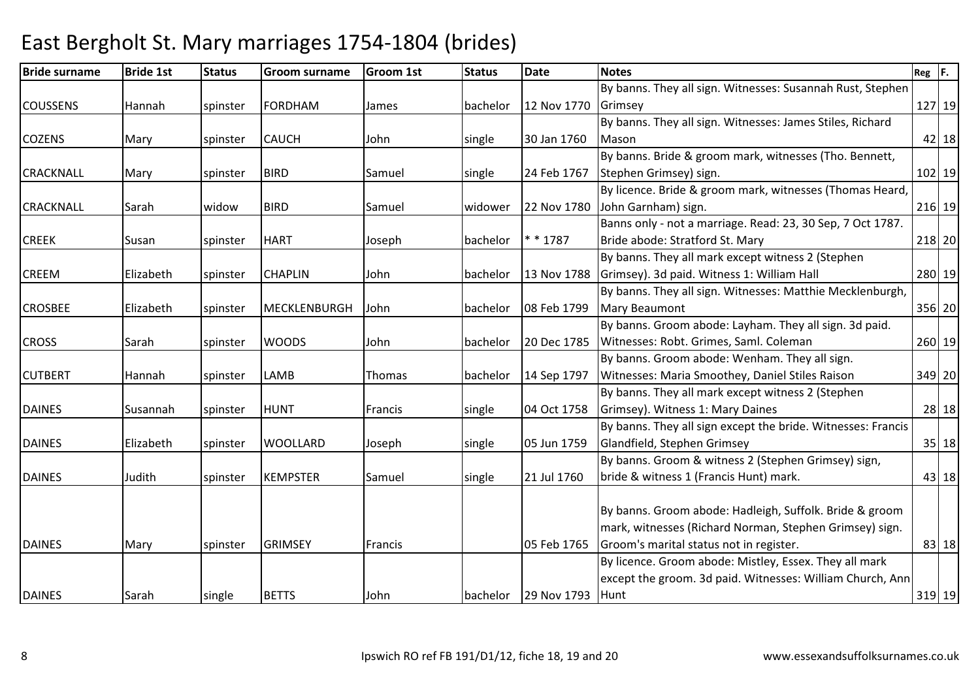| <b>Bride surname</b> | <b>Bride 1st</b> | <b>Status</b> | <b>Groom surname</b> | <b>Groom 1st</b> | <b>Status</b> | <b>Date</b> | <b>Notes</b>                                                 | $Reg$ $F.$ |         |
|----------------------|------------------|---------------|----------------------|------------------|---------------|-------------|--------------------------------------------------------------|------------|---------|
|                      |                  |               |                      |                  |               |             | By banns. They all sign. Witnesses: Susannah Rust, Stephen   |            |         |
| <b>COUSSENS</b>      | Hannah           | spinster      | <b>FORDHAM</b>       | James            | bachelor      | 12 Nov 1770 | Grimsey                                                      | 127 19     |         |
|                      |                  |               |                      |                  |               |             | By banns. They all sign. Witnesses: James Stiles, Richard    |            |         |
| <b>COZENS</b>        | Mary             | spinster      | <b>CAUCH</b>         | John             | single        | 30 Jan 1760 | Mason                                                        |            | $42$ 18 |
|                      |                  |               |                      |                  |               |             | By banns. Bride & groom mark, witnesses (Tho. Bennett,       |            |         |
| <b>CRACKNALL</b>     | Mary             | spinster      | <b>BIRD</b>          | Samuel           | single        | 24 Feb 1767 | Stephen Grimsey) sign.                                       | $102$ 19   |         |
|                      |                  |               |                      |                  |               |             | By licence. Bride & groom mark, witnesses (Thomas Heard,     |            |         |
| <b>CRACKNALL</b>     | Sarah            | widow         | <b>BIRD</b>          | Samuel           | widower       | 22 Nov 1780 | John Garnham) sign.                                          | 216 19     |         |
|                      |                  |               |                      |                  |               |             | Banns only - not a marriage. Read: 23, 30 Sep, 7 Oct 1787.   |            |         |
| <b>CREEK</b>         | Susan            | spinster      | <b>HART</b>          | Joseph           | bachelor      | $* * 1787$  | Bride abode: Stratford St. Mary                              | 218 20     |         |
|                      |                  |               |                      |                  |               |             | By banns. They all mark except witness 2 (Stephen            |            |         |
| <b>CREEM</b>         | Elizabeth        | spinster      | <b>CHAPLIN</b>       | John             | bachelor      | 13 Nov 1788 | Grimsey). 3d paid. Witness 1: William Hall                   | 280 19     |         |
|                      |                  |               |                      |                  |               |             | By banns. They all sign. Witnesses: Matthie Mecklenburgh,    |            |         |
| <b>CROSBEE</b>       | Elizabeth        | spinster      | MECKLENBURGH         | John             | bachelor      | 08 Feb 1799 | Mary Beaumont                                                | 356 20     |         |
|                      |                  |               |                      |                  |               |             | By banns. Groom abode: Layham. They all sign. 3d paid.       |            |         |
| <b>CROSS</b>         | Sarah            | spinster      | <b>WOODS</b>         | John             | bachelor      | 20 Dec 1785 | Witnesses: Robt. Grimes, Saml. Coleman                       | 260 19     |         |
|                      |                  |               |                      |                  |               |             | By banns. Groom abode: Wenham. They all sign.                |            |         |
| <b>CUTBERT</b>       | Hannah           | spinster      | <b>LAMB</b>          | Thomas           | bachelor      | 14 Sep 1797 | Witnesses: Maria Smoothey, Daniel Stiles Raison              | 349 20     |         |
|                      |                  |               |                      |                  |               |             | By banns. They all mark except witness 2 (Stephen            |            |         |
| <b>DAINES</b>        | Susannah         | spinster      | <b>HUNT</b>          | Francis          | single        | 04 Oct 1758 | Grimsey). Witness 1: Mary Daines                             |            | 28 18   |
|                      |                  |               |                      |                  |               |             | By banns. They all sign except the bride. Witnesses: Francis |            |         |
| <b>DAINES</b>        | Elizabeth        | spinster      | <b>WOOLLARD</b>      | Joseph           | single        | 05 Jun 1759 | Glandfield, Stephen Grimsey                                  |            | 35 18   |
|                      |                  |               |                      |                  |               |             | By banns. Groom & witness 2 (Stephen Grimsey) sign,          |            |         |
| <b>DAINES</b>        | Judith           | spinster      | <b>KEMPSTER</b>      | Samuel           | single        | 21 Jul 1760 | bride & witness 1 (Francis Hunt) mark.                       |            | 43 18   |
|                      |                  |               |                      |                  |               |             |                                                              |            |         |
|                      |                  |               |                      |                  |               |             | By banns. Groom abode: Hadleigh, Suffolk. Bride & groom      |            |         |
|                      |                  |               |                      |                  |               |             | mark, witnesses (Richard Norman, Stephen Grimsey) sign.      |            |         |
| <b>DAINES</b>        | Mary             | spinster      | <b>GRIMSEY</b>       | Francis          |               | 05 Feb 1765 | Groom's marital status not in register.                      |            | 83 18   |
|                      |                  |               |                      |                  |               |             | By licence. Groom abode: Mistley, Essex. They all mark       |            |         |
|                      |                  |               |                      |                  |               |             | except the groom. 3d paid. Witnesses: William Church, Ann    |            |         |
| <b>DAINES</b>        | <b>Sarah</b>     | single        | <b>BETTS</b>         | John             | bachelor      | 29 Nov 1793 | Hunt                                                         | $319$ 19   |         |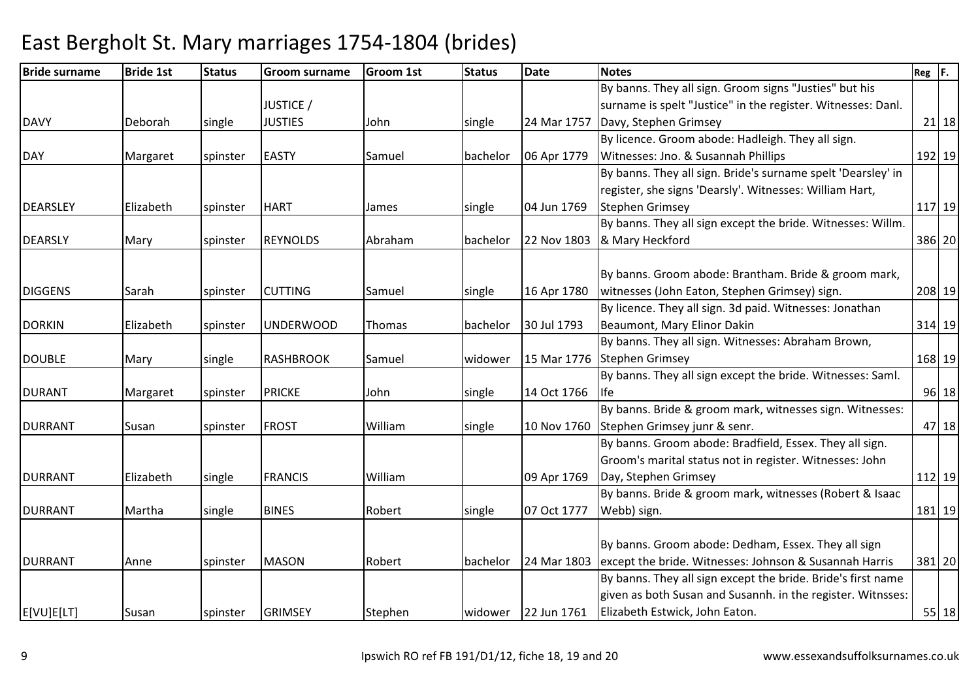#### Bride surnamee Bride 1st Status Groom surname Groom 1st Status Date Notes Reg F. DAVY Deborah single JUSTICE / JUSTIESS 3 John single 24 Mar 1757 Davy, Stephen Grimsey By banns. They all sign. Groom signs "Justies" but his surname is spelt "Justice" in the register. Witnesses: Danl. y 21|18 DAY Margaret Spinster EASTY Samuel bachelor 06 Apr 1779 By licence. Groom abode: Hadleigh. They all sign. Witnesses: Jno. & Susannah Phillips <sup>192</sup> <sup>19</sup>DEARSLEY Elizabeth spinster HART James single 04 Jun 1769By banns. They all sign. Bride's surname spelt 'Dearsley' in register, she signs 'Dearsly'. Witnesses: William Hart, Stephen Grimseyy 117|19 DEARSLY Mary spinster REYNOLDS Abraham bachelor 22 Nov 1803By banns. They all sign except the bride. Witnesses: Willm. & Mary Heckfordd 386 20 DIGGENS Sarah Spinster CUTTING Samuel single 16 Apr 1780 By banns. Groom abode: Brantham. Bride & groom mark, witnesses (John Eaton, Stephen Grimsey) sign. 208 19DORKIN Elizabeth spinster UNDERWOOD Thomas bachelor 30 Jul 1793By licence. They all sign. 3d paid. Witnesses: Jonathan Beaumont, Mary Elinor Dakin <sup>314</sup> <sup>19</sup>DOUBLE Mary single RASHBROOK Samuel widower 15 Mar 1776Stephen GrimseyBy banns. They all sign. Witnesses: Abraham Brown, y 168 19 DURANT Margaret spinster PRICKE John single 14 Oct 1766By banns. They all sign except the bride. Witnesses: Saml. Ifee 96 18 DURRANT Susan spinster FROST William single 10 Nov 1760By banns. Bride & groom mark, witnesses sign. Witnesses: Stephen Grimsey junr & senr. $47 \mid 18$ DURRANT Elizabeth single FRANCIS William 09 Apr 1769By banns. Groom abode: Bradfield, Essex. They all sign. Groom's marital status not in register. Witnesses: John Day, Stephen Grimseyy 112 19 DURRANT Martha single BINES Robert single 07 Oct 1777By banns. Bride & groom mark, witnesses (Robert & Isaac Webb) sign. 181 19DURRANT Anne spinster MASON Robert bachelor 24 Mar 1803By banns. Groom abode: Dedham, Essex. They all sign 24 Mar 1803 lexcept the bride. Witnesses: Johnson & Susannah Harris <sup>381</sup> <sup>20</sup>E[VU]E[LT] |Susan |spinster |GRIMSEY |Stephen |widower |22 Jun 1761 By banns. They all sign except the bride. Bride's first name given as both Susan and Susannh. in the register. Witnsses: Elizabeth Estwick, John Eaton.55 18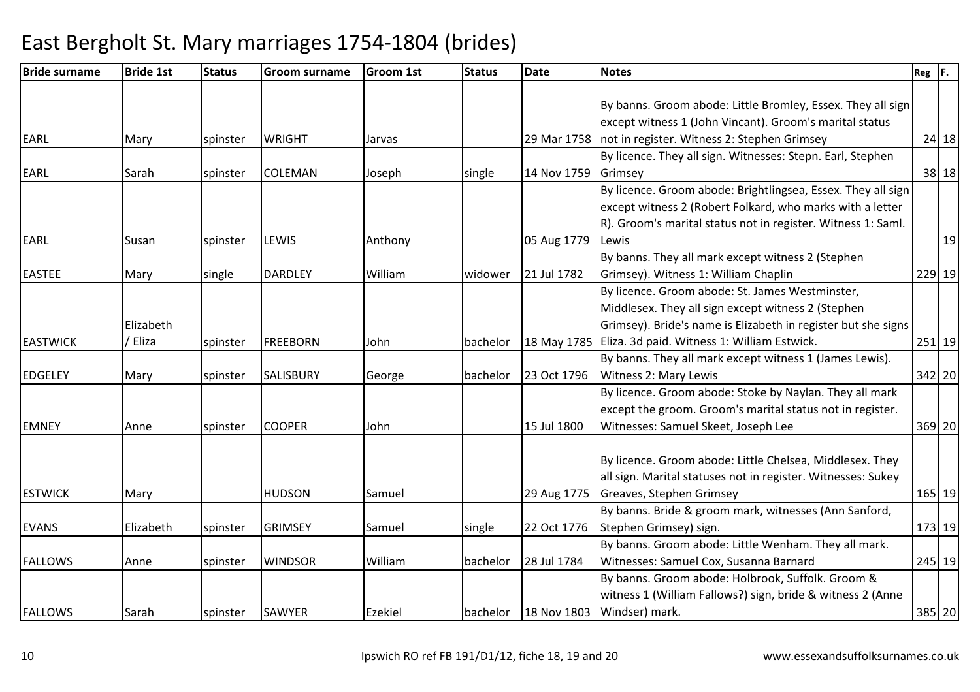#### Bride surnamee Bride 1st Status Groom surname Groom 1st Status Date Notes Reg F. EARL Mary spinster WRIGHT Jarvas 29 Mar 1758not in register. Witness 2: Stephen GrimseyBy banns. Groom abode: Little Bromley, Essex. They all sign except witness 1 (John Vincant). Groom's marital status <sup>24</sup> <sup>18</sup>EARL Sarah spinster COLEMAN Joseph single 14 Nov 1759By licence. They all sign. Witnesses: Stepn. Earl, Stephen Grimseyy 38 18 EARL Susan Susing Susan Susan Internative Section (Anthony 1905 Aug 1779) By licence. Groom abode: Brightlingsea, Essex. They all sign except witness 2 (Robert Folkard, who marks with a letter R). Groom's marital status not in register. Witness 1: Saml. Lewiss and  $\sim$  19 EASTEE Mary single DARDLEY William widower 21 Jul 1782By banns. They all mark except witness 2 (Stephen Grimsey). Witness 1: William Chaplin <sup>229</sup> <sup>19</sup>EASTWICKElizabeth / Elizaa 1991 Spinster FREEBORN John 18 Dachelor 18 May 1785 Eliza. 3d paid. Witness 1: William Estwick. By licence. Groom abode: St. James Westminster, Middlesex. They all sign except witness 2 (Stephen Grimsey). Bride's name is Elizabeth in register but she signs 251 19EDGELEY Mary spinster SALISBURY George bachelor 23 Oct 1796By banns. They all mark except witness 1 (James Lewis). Witness 2: Mary Lewis <sup>342</sup> <sup>20</sup>EMNEY Anne spinster COOPER John 15 Jul 1800By licence. Groom abode: Stoke by Naylan. They all mark except the groom. Groom's marital status not in register. Witnesses: Samuel Skeet, Joseph Lee <sup>369</sup> <sup>20</sup>ESTWICK Mary HUDSON Samuel 29 Aug 1775By licence. Groom abode: Little Chelsea, Middlesex. They all sign. Marital statuses not in register. Witnesses: Sukey Greaves, Stephen Grimsey <sup>165</sup> <sup>19</sup>EVANS Elizabeth spinster GRIMSEY Samuel single 22 Oct 1776By banns. Bride & groom mark, witnesses (Ann Sanford, Stephen Grimsey) sign. 173 19FALLOWS Anne spinster WINDSOR William bachelor 28 Jul 1784By banns. Groom abode: Little Wenham. They all mark. Witnesses: Samuel Cox, Susanna Barnard <sup>245</sup> <sup>19</sup>FALLOWS Sarah spinster SAWYER Ezekiel bachelor 18 Nov 1803By banns. Groom abode: Holbrook, Suffolk. Groom & witness 1 (William Fallows?) sign, bride & witness 2 (Anne Windser) mark.385 20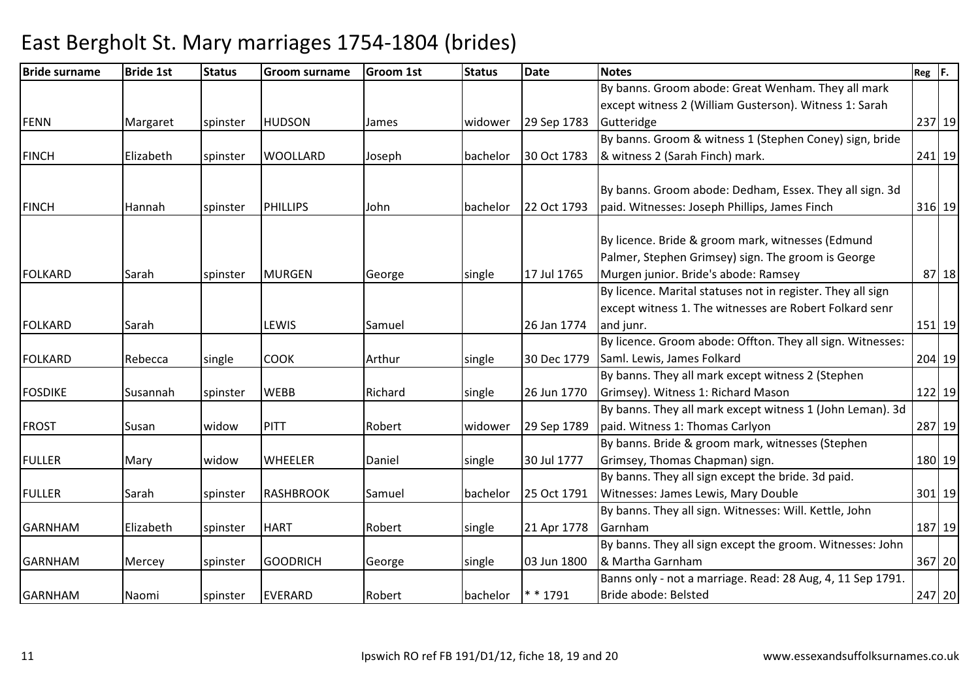| <b>Bride surname</b> | <b>Bride 1st</b> | <b>Status</b> | <b>Groom surname</b> | <b>Groom 1st</b> | <b>Status</b> | <b>Date</b> | <b>Notes</b>                                                | $Reg$ $F.$ |
|----------------------|------------------|---------------|----------------------|------------------|---------------|-------------|-------------------------------------------------------------|------------|
|                      |                  |               |                      |                  |               |             | By banns. Groom abode: Great Wenham. They all mark          |            |
|                      |                  |               |                      |                  |               |             | except witness 2 (William Gusterson). Witness 1: Sarah      |            |
| <b>FENN</b>          | Margaret         | spinster      | <b>HUDSON</b>        | James            | widower       | 29 Sep 1783 | Gutteridge                                                  | 237 19     |
|                      |                  |               |                      |                  |               |             | By banns. Groom & witness 1 (Stephen Coney) sign, bride     |            |
| <b>FINCH</b>         | Elizabeth        | spinster      | <b>WOOLLARD</b>      | Joseph           | bachelor      | 30 Oct 1783 | & witness 2 (Sarah Finch) mark.                             | 241 19     |
|                      |                  |               |                      |                  |               |             | By banns. Groom abode: Dedham, Essex. They all sign. 3d     |            |
| <b>FINCH</b>         | Hannah           | spinster      | <b>PHILLIPS</b>      | lJohn.           | bachelor      | 22 Oct 1793 | paid. Witnesses: Joseph Phillips, James Finch               | 316 19     |
|                      |                  |               |                      |                  |               |             |                                                             |            |
|                      |                  |               |                      |                  |               |             | By licence. Bride & groom mark, witnesses (Edmund           |            |
|                      |                  |               |                      |                  |               |             | Palmer, Stephen Grimsey) sign. The groom is George          |            |
| <b>FOLKARD</b>       | Sarah            | spinster      | <b>MURGEN</b>        | George           | single        | 17 Jul 1765 | Murgen junior. Bride's abode: Ramsey                        | 87 18      |
|                      |                  |               |                      |                  |               |             | By licence. Marital statuses not in register. They all sign |            |
|                      |                  |               |                      |                  |               |             | except witness 1. The witnesses are Robert Folkard senr     |            |
| <b>FOLKARD</b>       | Sarah            |               | LEWIS                | Samuel           |               | 26 Jan 1774 | and junr.                                                   | 151 19     |
|                      |                  |               |                      |                  |               |             | By licence. Groom abode: Offton. They all sign. Witnesses:  |            |
| <b>FOLKARD</b>       | Rebecca          | single        | <b>COOK</b>          | Arthur           | single        | 30 Dec 1779 | Saml. Lewis, James Folkard                                  | 204 19     |
|                      |                  |               |                      |                  |               |             | By banns. They all mark except witness 2 (Stephen           |            |
| <b>FOSDIKE</b>       | Susannah         | spinster      | <b>WEBB</b>          | Richard          | single        | 26 Jun 1770 | Grimsey). Witness 1: Richard Mason                          | 122 19     |
|                      |                  |               |                      |                  |               |             | By banns. They all mark except witness 1 (John Leman). 3d   |            |
| <b>FROST</b>         | Susan            | widow         | <b>PITT</b>          | Robert           | widower       | 29 Sep 1789 | paid. Witness 1: Thomas Carlyon                             | 287 19     |
|                      |                  |               |                      |                  |               |             | By banns. Bride & groom mark, witnesses (Stephen            |            |
| <b>FULLER</b>        | Mary             | widow         | <b>WHEELER</b>       | Daniel           | single        | 30 Jul 1777 | Grimsey, Thomas Chapman) sign.                              | 180 19     |
|                      |                  |               |                      |                  |               |             | By banns. They all sign except the bride. 3d paid.          |            |
| <b>FULLER</b>        | Sarah            | spinster      | <b>RASHBROOK</b>     | Samuel           | bachelor      | 25 Oct 1791 | Witnesses: James Lewis, Mary Double                         | 301 19     |
|                      |                  |               |                      |                  |               |             | By banns. They all sign. Witnesses: Will. Kettle, John      |            |
| <b>GARNHAM</b>       | Elizabeth        | spinster      | <b>HART</b>          | Robert           | single        | 21 Apr 1778 | Garnham                                                     | 187 19     |
|                      |                  |               |                      |                  |               |             | By banns. They all sign except the groom. Witnesses: John   |            |
| <b>GARNHAM</b>       | Mercey           | spinster      | <b>GOODRICH</b>      | George           | single        | 03 Jun 1800 | & Martha Garnham                                            | 367 20     |
|                      |                  |               |                      |                  |               |             | Banns only - not a marriage. Read: 28 Aug, 4, 11 Sep 1791.  |            |
| <b>GARNHAM</b>       | Naomi            | spinster      | EVERARD              | Robert           | bachelor      | $* * 1791$  | Bride abode: Belsted                                        | 247 20     |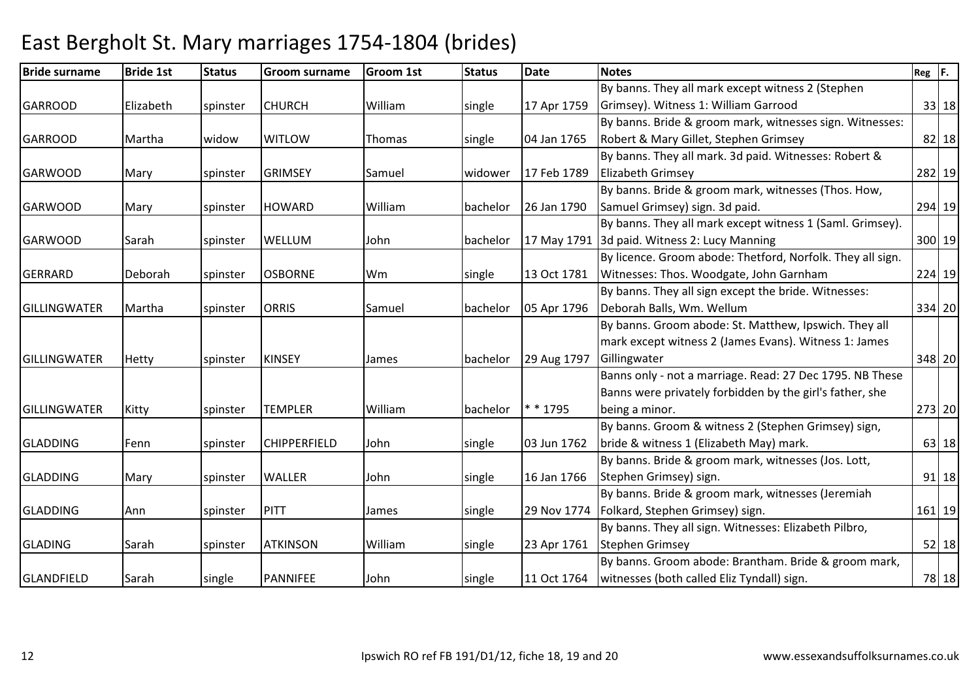| <b>Bride surname</b> | <b>Bride 1st</b> | <b>Status</b> | <b>Groom surname</b> | <b>Groom 1st</b> | <b>Status</b> | <b>Date</b> | <b>Notes</b>                                               | $Reg$ $F.$ |          |
|----------------------|------------------|---------------|----------------------|------------------|---------------|-------------|------------------------------------------------------------|------------|----------|
|                      |                  |               |                      |                  |               |             | By banns. They all mark except witness 2 (Stephen          |            |          |
| <b>GARROOD</b>       | Elizabeth        | spinster      | <b>CHURCH</b>        | William          | single        | 17 Apr 1759 | Grimsey). Witness 1: William Garrood                       |            | 33 18    |
|                      |                  |               |                      |                  |               |             | By banns. Bride & groom mark, witnesses sign. Witnesses:   |            |          |
| <b>GARROOD</b>       | Martha           | widow         | <b>WITLOW</b>        | <b>Thomas</b>    | single        | 04 Jan 1765 | Robert & Mary Gillet, Stephen Grimsey                      |            | 82 18    |
|                      |                  |               |                      |                  |               |             | By banns. They all mark. 3d paid. Witnesses: Robert &      |            |          |
| <b>GARWOOD</b>       | Mary             | spinster      | <b>GRIMSEY</b>       | Samuel           | widower       | 17 Feb 1789 | <b>Elizabeth Grimsey</b>                                   |            | 282 19   |
|                      |                  |               |                      |                  |               |             | By banns. Bride & groom mark, witnesses (Thos. How,        |            |          |
| <b>GARWOOD</b>       | Mary             | spinster      | <b>HOWARD</b>        | William          | bachelor      | 26 Jan 1790 | Samuel Grimsey) sign. 3d paid.                             |            | 294 19   |
|                      |                  |               |                      |                  |               |             | By banns. They all mark except witness 1 (Saml. Grimsey).  |            |          |
| <b>GARWOOD</b>       | Sarah            | spinster      | WELLUM               | John             | bachelor      |             | 17 May 1791 3d paid. Witness 2: Lucy Manning               |            | 300 19   |
|                      |                  |               |                      |                  |               |             | By licence. Groom abode: Thetford, Norfolk. They all sign. |            |          |
| GERRARD              | Deborah          | spinster      | <b>OSBORNE</b>       | Wm               | single        | 13 Oct 1781 | Witnesses: Thos. Woodgate, John Garnham                    |            | 224 19   |
|                      |                  |               |                      |                  |               |             | By banns. They all sign except the bride. Witnesses:       |            |          |
| <b>GILLINGWATER</b>  | Martha           | spinster      | <b>ORRIS</b>         | Samuel           | bachelor      | 05 Apr 1796 | Deborah Balls, Wm. Wellum                                  |            | 334 20   |
|                      |                  |               |                      |                  |               |             | By banns. Groom abode: St. Matthew, Ipswich. They all      |            |          |
|                      |                  |               |                      |                  |               |             | mark except witness 2 (James Evans). Witness 1: James      |            |          |
| <b>GILLINGWATER</b>  | Hetty            | spinster      | <b>KINSEY</b>        | James            | bachelor      | 29 Aug 1797 | Gillingwater                                               |            | 348 20   |
|                      |                  |               |                      |                  |               |             | Banns only - not a marriage. Read: 27 Dec 1795. NB These   |            |          |
|                      |                  |               |                      |                  |               |             | Banns were privately forbidden by the girl's father, she   |            |          |
| <b>GILLINGWATER</b>  | Kitty            | spinster      | <b>TEMPLER</b>       | William          | bachelor      | * * 1795    | being a minor.                                             |            | 273 20   |
|                      |                  |               |                      |                  |               |             | By banns. Groom & witness 2 (Stephen Grimsey) sign,        |            |          |
| <b>GLADDING</b>      | lFenn            | spinster      | <b>CHIPPERFIELD</b>  | John             | single        | 03 Jun 1762 | bride & witness 1 (Elizabeth May) mark.                    |            | 63 18    |
|                      |                  |               |                      |                  |               |             | By banns. Bride & groom mark, witnesses (Jos. Lott,        |            |          |
| <b>GLADDING</b>      | Mary             | spinster      | <b>WALLER</b>        | John             | single        | 16 Jan 1766 | Stephen Grimsey) sign.                                     |            | $91$ 18  |
|                      |                  |               |                      |                  |               |             | By banns. Bride & groom mark, witnesses (Jeremiah          |            |          |
| <b>GLADDING</b>      | Ann              | spinster      | <b>PITT</b>          | James            | single        | 29 Nov 1774 | Folkard, Stephen Grimsey) sign.                            |            | $161$ 19 |
|                      |                  |               |                      |                  |               |             | By banns. They all sign. Witnesses: Elizabeth Pilbro,      |            |          |
| <b>GLADING</b>       | Sarah            | spinster      | <b>ATKINSON</b>      | William          | single        | 23 Apr 1761 | <b>Stephen Grimsey</b>                                     |            | $52$ 18  |
|                      |                  |               |                      |                  |               |             | By banns. Groom abode: Brantham. Bride & groom mark,       |            |          |
| GLANDFIELD           | Sarah            | single        | PANNIFEE             | John             | single        |             | 11 Oct 1764   witnesses (both called Eliz Tyndall) sign.   |            | 78 18    |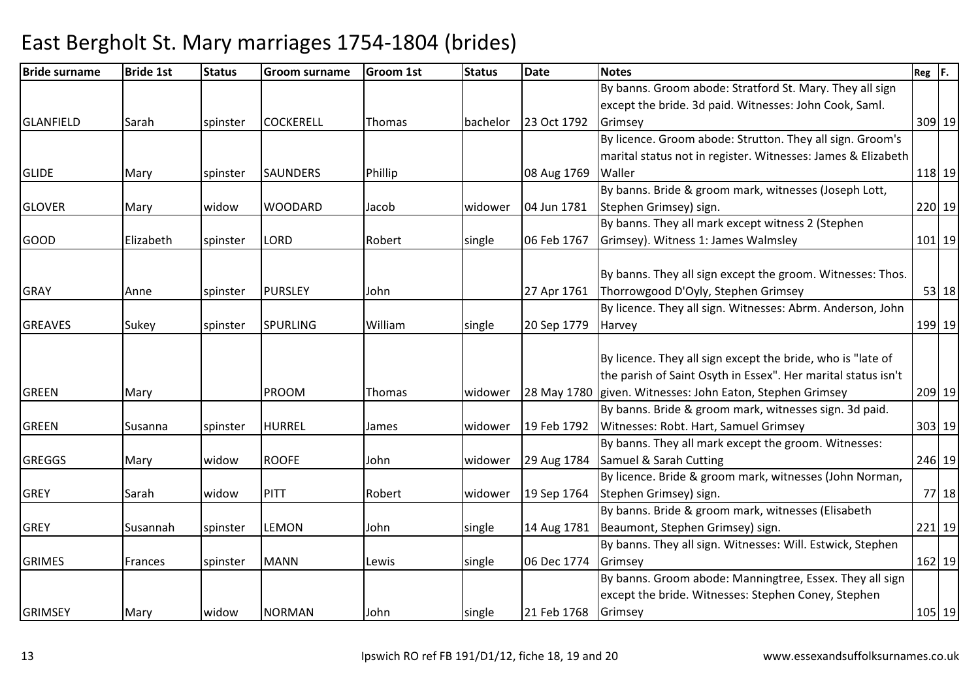#### Bride surnamee Bride 1st Status Groom surname Groom 1st Status Date Notes Reg F. GLANFIELD Sarah spinster COCKERELL Thomas bachelor 23 Oct 1792By banns. Groom abode: Stratford St. Mary. They all sign except the bride. 3d paid. Witnesses: John Cook, Saml. **Grimsey** y 309 19 GLIDE Mary Spinster SAUNDERS Phillip 108 Aug 1769 By licence. Groom abode: Strutton. They all sign. Groom's marital status not in register. Witnesses: James & Elizabeth **Waller** r 118 19 GLOVER Mary widow WOODARD Jacob widower 04 Jun 1781By banns. Bride & groom mark, witnesses (Joseph Lott, Stephen Grimsey) sign. 220 19GOOD Elizabeth spinster LORD Robert single 06 Feb 1767By banns. They all mark except witness 2 (Stephen Grimsey). Witness 1: James Walmsley <sup>101</sup> <sup>19</sup>GRAY **Anne** Spinster PURSLEY John 1 127 Apr 1761 By banns. They all sign except the groom. Witnesses: Thos. Thorrowgood D'Oyly, Stephen Grimsey <sup>53</sup> <sup>18</sup>GREAVES Sukey Spinster SPURLING William Single 20 Sep 1779 By licence. They all sign. Witnesses: Abrm. Anderson, John **Harvey** y 199 19 GREEN Mary PROOM Thomas widower 28 May 1780given. Witnesses: John Eaton, Stephen GrimseyBy licence. They all sign except the bride, who is "late of the parish of Saint Osyth in Essex". Her marital status isn't <sup>209</sup> <sup>19</sup>GREEN Susanna spinster HURREL James widower 19 Feb 1792By banns. Bride & groom mark, witnesses sign. 3d paid. Witnesses: Robt. Hart, Samuel Grimsey303 19 GREGGS Mary widow ROOFE John widower 29 Aug 1784Samuel & Sarah CuttingBy banns. They all mark except the groom. Witnesses: g 246 19 GREY Sarah widow PITT Robert widower 19 Sep 1764By licence. Bride & groom mark, witnesses (John Norman, Stephen Grimsey) sign. 77 18GREY Susannah spinster LEMON John single 14 Aug 1781Beaumont, Stephen Grimsey) sign.By banns. Bride & groom mark, witnesses (Elisabeth 221 19GRIMES Frances Spinster MANN Lewis Single 106 Dec 1774 By banns. They all sign. Witnesses: Will. Estwick, Stephen **Grimsey** y 162 19 GRIMSEY Mary widow NORMAN John single 21 Feb 1768By banns. Groom abode: Manningtree, Essex. They all sign except the bride. Witnesses: Stephen Coney, Stephen **Grimsey** y 105|19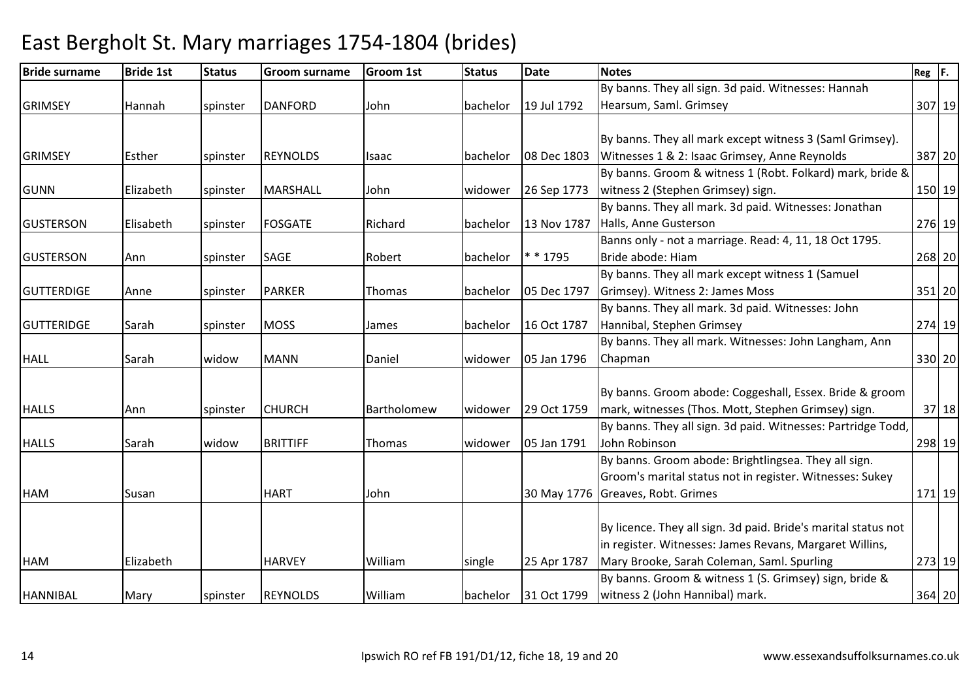| <b>Bride surname</b> | <b>Bride 1st</b> | <b>Status</b> | <b>Groom surname</b> | <b>Groom 1st</b> | <b>Status</b> | <b>Date</b> | <b>Notes</b>                                                   | $Reg$ $F.$ |        |
|----------------------|------------------|---------------|----------------------|------------------|---------------|-------------|----------------------------------------------------------------|------------|--------|
|                      |                  |               |                      |                  |               |             | By banns. They all sign. 3d paid. Witnesses: Hannah            |            |        |
| <b>GRIMSEY</b>       | Hannah           | spinster      | <b>DANFORD</b>       | John             | bachelor      | 19 Jul 1792 | Hearsum, Saml. Grimsey                                         |            | 307 19 |
|                      |                  |               |                      |                  |               |             |                                                                |            |        |
|                      |                  |               |                      |                  |               |             | By banns. They all mark except witness 3 (Saml Grimsey).       |            |        |
| <b>GRIMSEY</b>       | Esther           | spinster      | <b>REYNOLDS</b>      | Isaac            | bachelor      | 08 Dec 1803 | Witnesses 1 & 2: Isaac Grimsey, Anne Reynolds                  |            | 387 20 |
|                      |                  |               |                      |                  |               |             | By banns. Groom & witness 1 (Robt. Folkard) mark, bride &      |            |        |
| <b>GUNN</b>          | Elizabeth        | spinster      | <b>MARSHALL</b>      | John             | widower       | 26 Sep 1773 | witness 2 (Stephen Grimsey) sign.                              |            | 150 19 |
|                      |                  |               |                      |                  |               |             | By banns. They all mark. 3d paid. Witnesses: Jonathan          |            |        |
| <b>GUSTERSON</b>     | Elisabeth        | spinster      | <b>FOSGATE</b>       | Richard          | bachelor      | 13 Nov 1787 | Halls, Anne Gusterson                                          |            | 276 19 |
|                      |                  |               |                      |                  |               |             | Banns only - not a marriage. Read: 4, 11, 18 Oct 1795.         |            |        |
| <b>GUSTERSON</b>     | Ann              | spinster      | <b>SAGE</b>          | Robert           | bachelor      | * * 1795    | Bride abode: Hiam                                              |            | 268 20 |
|                      |                  |               |                      |                  |               |             | By banns. They all mark except witness 1 (Samuel               |            |        |
| <b>GUTTERDIGE</b>    | Anne             | spinster      | <b>PARKER</b>        | Thomas           | bachelor      | 05 Dec 1797 | Grimsey). Witness 2: James Moss                                |            | 351 20 |
|                      |                  |               |                      |                  |               |             | By banns. They all mark. 3d paid. Witnesses: John              |            |        |
| <b>GUTTERIDGE</b>    | Sarah            | spinster      | <b>MOSS</b>          | James            | bachelor      | 16 Oct 1787 | Hannibal, Stephen Grimsey                                      |            | 274 19 |
|                      |                  |               |                      |                  |               |             | By banns. They all mark. Witnesses: John Langham, Ann          |            |        |
| <b>HALL</b>          | Sarah            | widow         | <b>MANN</b>          | Daniel           | widower       | 05 Jan 1796 | Chapman                                                        |            | 330 20 |
|                      |                  |               |                      |                  |               |             |                                                                |            |        |
|                      |                  |               |                      |                  |               |             | By banns. Groom abode: Coggeshall, Essex. Bride & groom        |            |        |
| <b>HALLS</b>         | Ann              | spinster      | <b>CHURCH</b>        | Bartholomew      | widower       | 29 Oct 1759 | mark, witnesses (Thos. Mott, Stephen Grimsey) sign.            |            | 37 18  |
|                      |                  |               |                      |                  |               |             | By banns. They all sign. 3d paid. Witnesses: Partridge Todd,   |            |        |
| <b>HALLS</b>         | Sarah            | widow         | <b>BRITTIFF</b>      | Thomas           | widower       | 05 Jan 1791 | John Robinson                                                  |            | 298 19 |
|                      |                  |               |                      |                  |               |             | By banns. Groom abode: Brightlingsea. They all sign.           |            |        |
|                      |                  |               |                      |                  |               |             | Groom's marital status not in register. Witnesses: Sukey       |            |        |
| <b>HAM</b>           | Susan            |               | <b>HART</b>          | John             |               |             | 30 May 1776 Greaves, Robt. Grimes                              |            | 171 19 |
|                      |                  |               |                      |                  |               |             |                                                                |            |        |
|                      |                  |               |                      |                  |               |             | By licence. They all sign. 3d paid. Bride's marital status not |            |        |
|                      |                  |               |                      |                  |               |             | in register. Witnesses: James Revans, Margaret Willins,        |            |        |
| <b>HAM</b>           | Elizabeth        |               | <b>HARVEY</b>        | William          | single        | 25 Apr 1787 | Mary Brooke, Sarah Coleman, Saml. Spurling                     |            | 273 19 |
|                      |                  |               |                      |                  |               |             | By banns. Groom & witness 1 (S. Grimsey) sign, bride &         |            |        |
| <b>HANNIBAL</b>      | Mary             | spinster      | <b>REYNOLDS</b>      | William          | bachelor      |             | 31 Oct 1799   witness 2 (John Hannibal) mark.                  |            | 364 20 |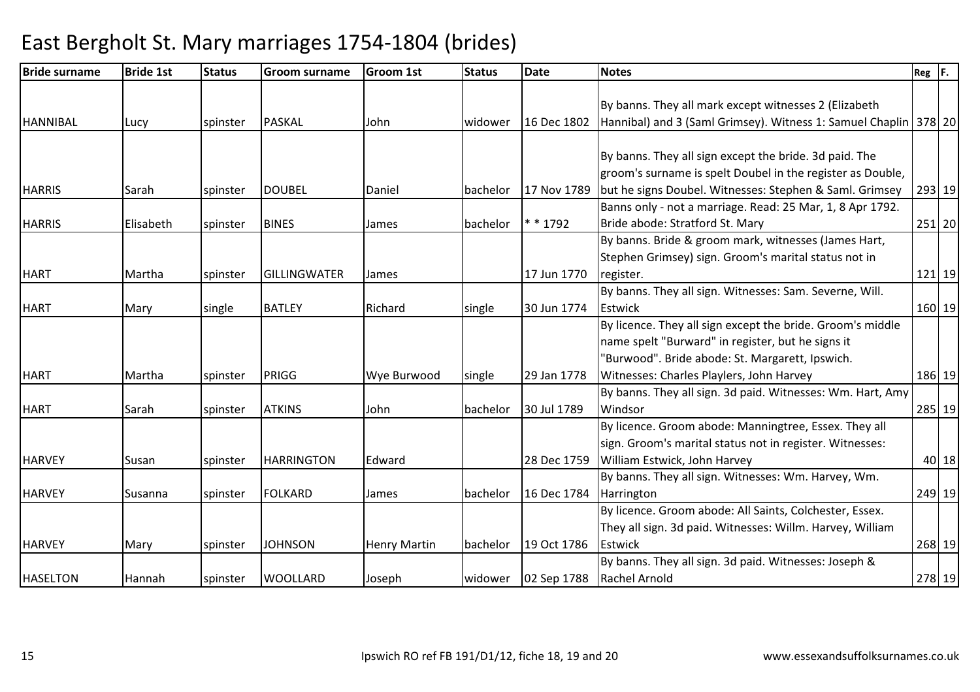#### Bride surnamee Bride 1st Status Groom surname Groom 1st Status Date Notes Reg F. HANNIBAL Lucy spinster PASKAL John widower 16 Dec 1802By banns. They all mark except witnesses 2 (Elizabeth Hannibal) and 3 (Saml Grimsey). Witness 1: Samuel Chaplin <sup>378</sup> <sup>20</sup>HARRIS Sarah spinster DOUBEL Daniel bachelor 17 Nov 1789By banns. They all sign except the bride. 3d paid. The groom's surname is spelt Doubel in the register as Double, but he signs Doubel. Witnesses: Stephen & Saml. Grimsey <sup>293</sup> <sup>19</sup>HARRIS Elisabeth spinster BINES James bachelor \* \* 1792Banns only - not a marriage. Read: 25 Mar, 1, 8 Apr 1792. Bride abode: Stratford St. Mary <sup>251</sup> <sup>20</sup>HART Martha spinster GILLINGWATER James 17 Jun 1770By banns. Bride & groom mark, witnesses (James Hart, Stephen Grimsey) sign. Groom's marital status not in register. 121 19HART Mary single BATLEY Richard single 30 Jun 1774By banns. They all sign. Witnesses: Sam. Severne, Will. **Estwick** k 160 19 HART Martha spinster PRIGG Wye Burwood single 29 Jan 1778By licence. They all sign except the bride. Groom's middle name spelt "Burward" in register, but he signs it "Burwood". Bride abode: St. Margarett, Ipswich. Witnesses: Charles Playlers, John Harvey <sup>186</sup> <sup>19</sup>HART Sarah spinster ATKINS John bachelor 30 Jul 1789By banns. They all sign. 3d paid. Witnesses: Wm. Hart, Amy Windsor <sup>285</sup> <sup>19</sup>HARVEY Susan spinster HARRINGTON Edward 28 Dec 1759By licence. Groom abode: Manningtree, Essex. They all sign. Groom's marital status not in register. Witnesses: William Estwick, John Harvey <sup>40</sup> <sup>18</sup>HARVEY Susanna Spinster FOLKARD James bachelor 16 Dec 1784 By banns. They all sign. Witnesses: Wm. Harvey, Wm. **Harrington**  <sup>249</sup> <sup>19</sup>HARVEY Mary spinster JOHNSON Henry Martin bachelor 19 Oct 1786By licence. Groom abode: All Saints, Colchester, Essex. They all sign. 3d paid. Witnesses: Willm. Harvey, William Estwickk 268 19 HASELTON Hannah spinster WOOLLARD Joseph widower 02 Sep 1788By banns. They all sign. 3d paid. Witnesses: Joseph & Rachel Arnoldd 278 | 19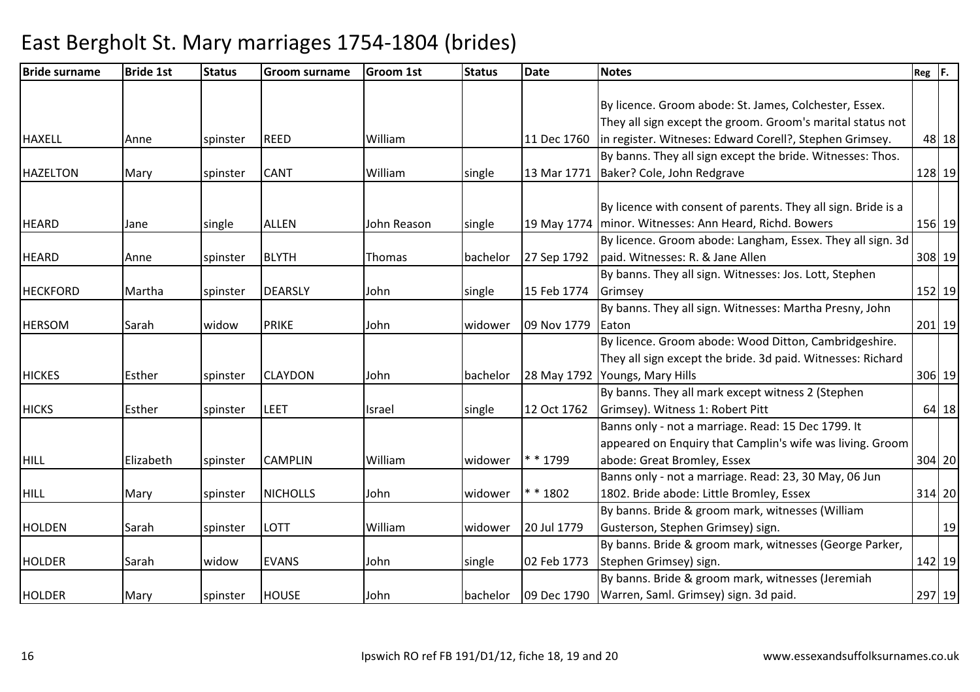| <b>Bride surname</b> | <b>Bride 1st</b> | <b>Status</b> | <b>Groom surname</b> | <b>Groom 1st</b> | <b>Status</b> | <b>Date</b> | <b>Notes</b>                                                  | $Reg$ $F.$ |         |
|----------------------|------------------|---------------|----------------------|------------------|---------------|-------------|---------------------------------------------------------------|------------|---------|
|                      |                  |               |                      |                  |               |             |                                                               |            |         |
|                      |                  |               |                      |                  |               |             | By licence. Groom abode: St. James, Colchester, Essex.        |            |         |
|                      |                  |               |                      |                  |               |             | They all sign except the groom. Groom's marital status not    |            |         |
| <b>HAXELL</b>        | Anne             | spinster      | <b>REED</b>          | William          |               | 11 Dec 1760 | in register. Witneses: Edward Corell?, Stephen Grimsey.       |            | 48 18   |
|                      |                  |               |                      |                  |               |             | By banns. They all sign except the bride. Witnesses: Thos.    |            |         |
| <b>HAZELTON</b>      | Mary             | spinster      | CANT                 | William          | single        | 13 Mar 1771 | Baker? Cole, John Redgrave                                    | 128 19     |         |
|                      |                  |               |                      |                  |               |             |                                                               |            |         |
|                      |                  |               |                      |                  |               |             | By licence with consent of parents. They all sign. Bride is a |            |         |
| <b>HEARD</b>         | Jane             | single        | <b>ALLEN</b>         | John Reason      | single        | 19 May 1774 | minor. Witnesses: Ann Heard, Richd. Bowers                    | 156 19     |         |
|                      |                  |               |                      |                  |               |             | By licence. Groom abode: Langham, Essex. They all sign. 3d    |            |         |
| <b>HEARD</b>         | Anne             | spinster      | <b>BLYTH</b>         | Thomas           | bachelor      | 27 Sep 1792 | paid. Witnesses: R. & Jane Allen                              | 308 19     |         |
|                      |                  |               |                      |                  |               |             | By banns. They all sign. Witnesses: Jos. Lott, Stephen        |            |         |
| <b>HECKFORD</b>      | Martha           | spinster      | <b>DEARSLY</b>       | John             | single        | 15 Feb 1774 | Grimsey                                                       | 152 19     |         |
|                      |                  |               |                      |                  |               |             | By banns. They all sign. Witnesses: Martha Presny, John       |            |         |
| <b>HERSOM</b>        | Sarah            | widow         | <b>PRIKE</b>         | John             | widower       | 09 Nov 1779 | Eaton                                                         | $201$ 19   |         |
|                      |                  |               |                      |                  |               |             | By licence. Groom abode: Wood Ditton, Cambridgeshire.         |            |         |
|                      |                  |               |                      |                  |               |             | They all sign except the bride. 3d paid. Witnesses: Richard   |            |         |
| <b>HICKES</b>        | Esther           | spinster      | <b>CLAYDON</b>       | John             | bachelor      | 28 May 1792 | Youngs, Mary Hills                                            | 306 19     |         |
|                      |                  |               |                      |                  |               |             | By banns. They all mark except witness 2 (Stephen             |            |         |
| <b>HICKS</b>         | Esther           | spinster      | LEET                 | Israel           | single        | 12 Oct 1762 | Grimsey). Witness 1: Robert Pitt                              |            | $64$ 18 |
|                      |                  |               |                      |                  |               |             | Banns only - not a marriage. Read: 15 Dec 1799. It            |            |         |
|                      |                  |               |                      |                  |               |             | appeared on Enquiry that Camplin's wife was living. Groom     |            |         |
| <b>HILL</b>          | Elizabeth        | spinster      | <b>CAMPLIN</b>       | William          | widower       | * * 1799    | abode: Great Bromley, Essex                                   | $304$ 20   |         |
|                      |                  |               |                      |                  |               |             | Banns only - not a marriage. Read: 23, 30 May, 06 Jun         |            |         |
| <b>HILL</b>          | Mary             | spinster      | <b>NICHOLLS</b>      | John             | widower       | * * 1802    | 1802. Bride abode: Little Bromley, Essex                      | 314 20     |         |
|                      |                  |               |                      |                  |               |             | By banns. Bride & groom mark, witnesses (William              |            |         |
| <b>HOLDEN</b>        | Sarah            | spinster      | LOTT                 | William          | widower       | 20 Jul 1779 | Gusterson, Stephen Grimsey) sign.                             |            | 19      |
|                      |                  |               |                      |                  |               |             | By banns. Bride & groom mark, witnesses (George Parker,       |            |         |
| <b>HOLDER</b>        | Sarah            | widow         | <b>EVANS</b>         | John             | single        | 02 Feb 1773 | Stephen Grimsey) sign.                                        | 142 19     |         |
|                      |                  |               |                      |                  |               |             | By banns. Bride & groom mark, witnesses (Jeremiah             |            |         |
| <b>HOLDER</b>        | Mary             | spinster      | <b>HOUSE</b>         | John             | bachelor      |             | 09 Dec 1790   Warren, Saml. Grimsey) sign. 3d paid.           | 297 19     |         |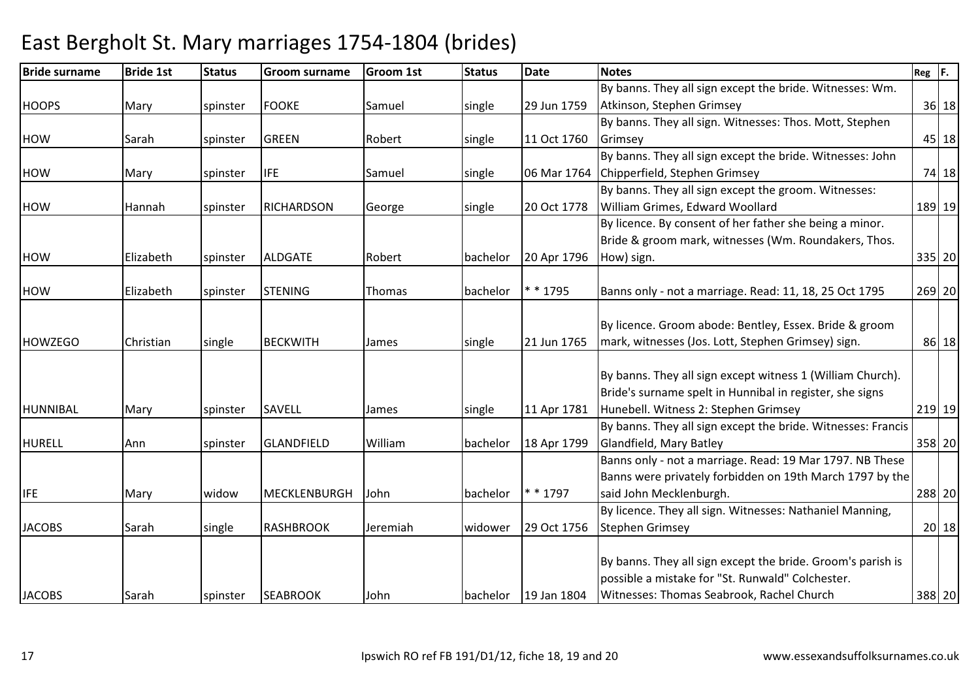| <b>Bride surname</b> | <b>Bride 1st</b> | <b>Status</b> | <b>Groom surname</b> | <b>Groom 1st</b> | <b>Status</b> | <b>Date</b> | <b>Notes</b>                                                 | $Reg$ $F.$ |       |
|----------------------|------------------|---------------|----------------------|------------------|---------------|-------------|--------------------------------------------------------------|------------|-------|
|                      |                  |               |                      |                  |               |             | By banns. They all sign except the bride. Witnesses: Wm.     |            |       |
| <b>HOOPS</b>         | Mary             | spinster      | <b>FOOKE</b>         | Samuel           | single        | 29 Jun 1759 | Atkinson, Stephen Grimsey                                    |            | 36 18 |
|                      |                  |               |                      |                  |               |             | By banns. They all sign. Witnesses: Thos. Mott, Stephen      |            |       |
| <b>HOW</b>           | Sarah            | spinster      | <b>GREEN</b>         | Robert           | single        | 11 Oct 1760 | Grimsey                                                      |            | 45 18 |
|                      |                  |               |                      |                  |               |             | By banns. They all sign except the bride. Witnesses: John    |            |       |
| HOW                  | Mary             | spinster      | <b>IFE</b>           | Samuel           | single        |             | 06 Mar 1764 Chipperfield, Stephen Grimsey                    |            | 74 18 |
|                      |                  |               |                      |                  |               |             | By banns. They all sign except the groom. Witnesses:         |            |       |
| HOW                  | Hannah           | spinster      | <b>RICHARDSON</b>    | George           | single        | 20 Oct 1778 | William Grimes, Edward Woollard                              | 189 19     |       |
|                      |                  |               |                      |                  |               |             | By licence. By consent of her father she being a minor.      |            |       |
|                      |                  |               |                      |                  |               |             | Bride & groom mark, witnesses (Wm. Roundakers, Thos.         |            |       |
| <b>HOW</b>           | Elizabeth        | spinster      | <b>ALDGATE</b>       | Robert           | bachelor      | 20 Apr 1796 | How) sign.                                                   | 335 20     |       |
|                      |                  |               |                      |                  |               |             |                                                              |            |       |
| <b>HOW</b>           | Elizabeth        | spinster      | <b>STENING</b>       | Thomas           | bachelor      | * * 1795    | Banns only - not a marriage. Read: 11, 18, 25 Oct 1795       | 269 20     |       |
|                      |                  |               |                      |                  |               |             |                                                              |            |       |
|                      |                  |               |                      |                  |               |             | By licence. Groom abode: Bentley, Essex. Bride & groom       |            |       |
| <b>HOWZEGO</b>       | Christian        | single        | <b>BECKWITH</b>      | James            | single        | 21 Jun 1765 | mark, witnesses (Jos. Lott, Stephen Grimsey) sign.           |            | 86 18 |
|                      |                  |               |                      |                  |               |             | By banns. They all sign except witness 1 (William Church).   |            |       |
|                      |                  |               |                      |                  |               |             | Bride's surname spelt in Hunnibal in register, she signs     |            |       |
| <b>HUNNIBAL</b>      | Mary             | spinster      | <b>SAVELL</b>        | James            | single        | 11 Apr 1781 | Hunebell. Witness 2: Stephen Grimsey                         | 219 19     |       |
|                      |                  |               |                      |                  |               |             | By banns. They all sign except the bride. Witnesses: Francis |            |       |
| <b>HURELL</b>        | Ann              | spinster      | <b>GLANDFIELD</b>    | William          | bachelor      | 18 Apr 1799 | Glandfield, Mary Batley                                      | 358 20     |       |
|                      |                  |               |                      |                  |               |             | Banns only - not a marriage. Read: 19 Mar 1797. NB These     |            |       |
|                      |                  |               |                      |                  |               |             | Banns were privately forbidden on 19th March 1797 by the     |            |       |
| <b>IFE</b>           | Mary             | widow         | <b>MECKLENBURGH</b>  | l John           | bachelor      | * * 1797    | said John Mecklenburgh.                                      | 288 20     |       |
|                      |                  |               |                      |                  |               |             | By licence. They all sign. Witnesses: Nathaniel Manning,     |            |       |
| <b>JACOBS</b>        | Sarah            | single        | <b>RASHBROOK</b>     | Jeremiah         | widower       | 29 Oct 1756 | <b>Stephen Grimsey</b>                                       |            | 20 18 |
|                      |                  |               |                      |                  |               |             |                                                              |            |       |
|                      |                  |               |                      |                  |               |             | By banns. They all sign except the bride. Groom's parish is  |            |       |
|                      |                  |               |                      |                  |               |             | possible a mistake for "St. Runwald" Colchester.             |            |       |
| <b>JACOBS</b>        | Sarah            | spinster      | <b>SEABROOK</b>      | John             | bachelor      | 19 Jan 1804 | Witnesses: Thomas Seabrook, Rachel Church                    | 388 20     |       |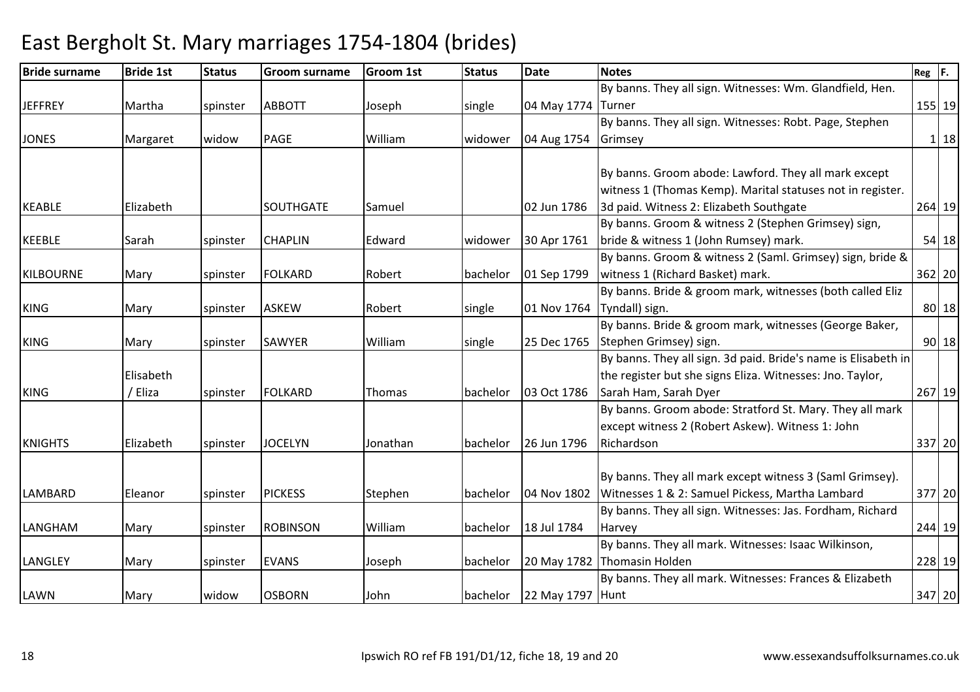| <b>Bride surname</b> | <b>Bride 1st</b> | <b>Status</b> | <b>Groom surname</b> | <b>Groom 1st</b> | <b>Status</b> | <b>Date</b>        | <b>Notes</b>                                                   | $Reg$ $F.$ |          |
|----------------------|------------------|---------------|----------------------|------------------|---------------|--------------------|----------------------------------------------------------------|------------|----------|
|                      |                  |               |                      |                  |               |                    | By banns. They all sign. Witnesses: Wm. Glandfield, Hen.       |            |          |
| <b>JEFFREY</b>       | Martha           | spinster      | <b>ABBOTT</b>        | Joseph           | single        | 04 May 1774 Turner |                                                                |            | 155 19   |
|                      |                  |               |                      |                  |               |                    | By banns. They all sign. Witnesses: Robt. Page, Stephen        |            |          |
| <b>JONES</b>         | Margaret         | widow         | <b>PAGE</b>          | William          | widower       | 04 Aug 1754        | Grimsey                                                        |            | 1 18     |
|                      |                  |               |                      |                  |               |                    |                                                                |            |          |
|                      |                  |               |                      |                  |               |                    | By banns. Groom abode: Lawford. They all mark except           |            |          |
|                      |                  |               |                      |                  |               |                    | witness 1 (Thomas Kemp). Marital statuses not in register.     |            |          |
| <b>KEABLE</b>        | Elizabeth        |               | SOUTHGATE            | Samuel           |               | 02 Jun 1786        | 3d paid. Witness 2: Elizabeth Southgate                        |            | 264 19   |
|                      |                  |               |                      |                  |               |                    | By banns. Groom & witness 2 (Stephen Grimsey) sign,            |            |          |
| <b>KEEBLE</b>        | Sarah            | spinster      | <b>CHAPLIN</b>       | Edward           | widower       | 30 Apr 1761        | bride & witness 1 (John Rumsey) mark.                          |            | $54$ 18  |
|                      |                  |               |                      |                  |               |                    | By banns. Groom & witness 2 (Saml. Grimsey) sign, bride &      |            |          |
| <b>KILBOURNE</b>     | Mary             | spinster      | <b>FOLKARD</b>       | Robert           | bachelor      | 01 Sep 1799        | witness 1 (Richard Basket) mark.                               |            | 362 20   |
|                      |                  |               |                      |                  |               |                    | By banns. Bride & groom mark, witnesses (both called Eliz      |            |          |
| <b>KING</b>          | Mary             | spinster      | <b>ASKEW</b>         | Robert           | single        |                    | 01 Nov 1764   Tyndall) sign.                                   |            | 80 18    |
|                      |                  |               |                      |                  |               |                    | By banns. Bride & groom mark, witnesses (George Baker,         |            |          |
| <b>KING</b>          | Mary             | spinster      | <b>SAWYER</b>        | William          | single        | 25 Dec 1765        | Stephen Grimsey) sign.                                         |            | $90$ 18  |
|                      |                  |               |                      |                  |               |                    | By banns. They all sign. 3d paid. Bride's name is Elisabeth in |            |          |
|                      | Elisabeth        |               |                      |                  |               |                    | the register but she signs Eliza. Witnesses: Jno. Taylor,      |            |          |
| <b>KING</b>          | / Eliza          | spinster      | <b>FOLKARD</b>       | Thomas           | bachelor      | 03 Oct 1786        | Sarah Ham, Sarah Dyer                                          |            | $267$ 19 |
|                      |                  |               |                      |                  |               |                    | By banns. Groom abode: Stratford St. Mary. They all mark       |            |          |
|                      |                  |               |                      |                  |               |                    | except witness 2 (Robert Askew). Witness 1: John               |            |          |
| <b>KNIGHTS</b>       | Elizabeth        | spinster      | <b>JOCELYN</b>       | Jonathan         | bachelor      | 26 Jun 1796        | Richardson                                                     |            | 337 20   |
|                      |                  |               |                      |                  |               |                    |                                                                |            |          |
|                      |                  |               |                      |                  |               |                    | By banns. They all mark except witness 3 (Saml Grimsey).       |            |          |
| LAMBARD              | Eleanor          | spinster      | <b>PICKESS</b>       | Stephen          | bachelor      |                    | 04 Nov 1802 Witnesses 1 & 2: Samuel Pickess, Martha Lambard    |            | 377 20   |
|                      |                  |               |                      |                  |               |                    | By banns. They all sign. Witnesses: Jas. Fordham, Richard      |            |          |
| LANGHAM              | Mary             | spinster      | <b>ROBINSON</b>      | William          | bachelor      | 18 Jul 1784        | Harvey                                                         |            | 244 19   |
|                      |                  |               |                      |                  |               |                    | By banns. They all mark. Witnesses: Isaac Wilkinson,           |            |          |
| LANGLEY              | Mary             | spinster      | <b>EVANS</b>         | Joseph           | bachelor      |                    | 20 May 1782 Thomasin Holden                                    |            | 228 19   |
|                      |                  |               |                      |                  |               |                    | By banns. They all mark. Witnesses: Frances & Elizabeth        |            |          |
| LAWN                 | Mary             | widow         | <b>OSBORN</b>        | John             | bachelor      | 22 May 1797 Hunt   |                                                                |            | 347 20   |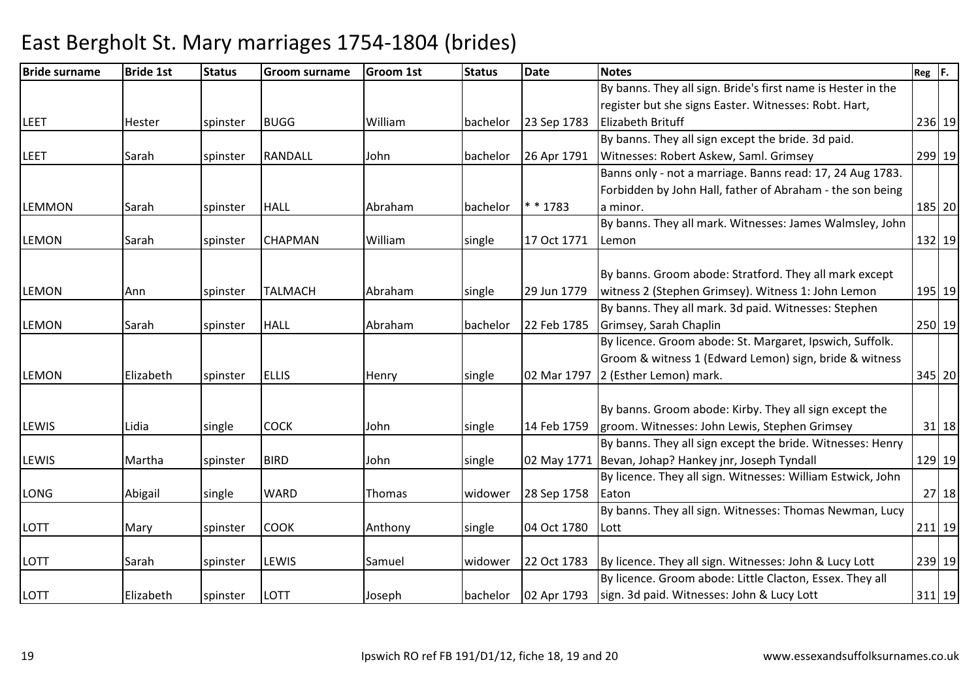#### Bride surnamee Bride 1st Status Groom surname Groom 1st Status Date Notes Reg F. LEET Hester spinster BUGG William bachelor 23 Sep 1783By banns. They all sign. Bride's first name is Hester in the register but she signs Easter. Witnesses: Robt. Hart, Elizabeth Brituff <sup>236</sup> <sup>19</sup>LEET Sarah spinster RANDALL John bachelor 26 Apr 1791By banns. They all sign except the bride. 3d paid. Witnesses: Robert Askew, Saml. Grimsey <sup>299</sup> <sup>19</sup>LEMMON Sarah spinster HALL Abraham bachelor \* \* 1783Banns only - not a marriage. Banns read: 17, 24 Aug 1783. Forbidden by John Hall, father of Abraham - the son being a minor.185 20 LEMON Sarah spinster CHAPMAN William single 17 Oct 1771By banns. They all mark. Witnesses: James Walmsley, John Lemonn 132 19 LEMON Ann spinster TALMACH Abraham single 29 Jun 1779By banns. Groom abode: Stratford. They all mark except witness 2 (Stephen Grimsey). Witness 1: John Lemon195 19 LEMON Sarah spinster HALL Abraham bachelor 22 Feb 1785By banns. They all mark. 3d paid. Witnesses: Stephen Grimsey, Sarah Chaplin <sup>250</sup> <sup>19</sup>LEMON Elizabeth spinster ELLIS Henry single 02 Mar 1797By licence. Groom abode: St. Margaret, Ipswich, Suffolk. Groom & witness 1 (Edward Lemon) sign, bride & witness 02 Mar 1797 12 (Esther Lemon) mark. 345 20LEWIS Lidia single COCK John single 14 Feb 1759By banns. Groom abode: Kirby. They all sign except the groom. Witnesses: John Lewis, Stephen Grimsey <sup>31</sup> <sup>18</sup>LEWIS Martha spinster BIRD John single 02 May 1771Bevan, Johap? Hankey jnr, Joseph TyndallBy banns. They all sign except the bride. Witnesses: Henry 129 19LONG | Abigail | single | WARD | Thomas | widower | 28 Sep 1758 By licence. They all sign. Witnesses: William Estwick, John **Eaton** n 27 | 18 LOTT Mary spinster COOK Anthony single 04 Oct 1780By banns. They all sign. Witnesses: Thomas Newman, Lucy Lottt 211 | 19 LOTT Sarah spinster LEWIS Samuel widower 22 Oct 178322 Oct 1783 By licence. They all sign. Witnesses: John & Lucy Lott | 239 19 LOTT Elizabeth spinster LOTT Joseph bachelor 02 Apr 1793By licence. Groom abode: Little Clacton, Essex. They all sign. 3d paid. Witnesses: John & Lucy Lott<sup>311</sup> <sup>19</sup>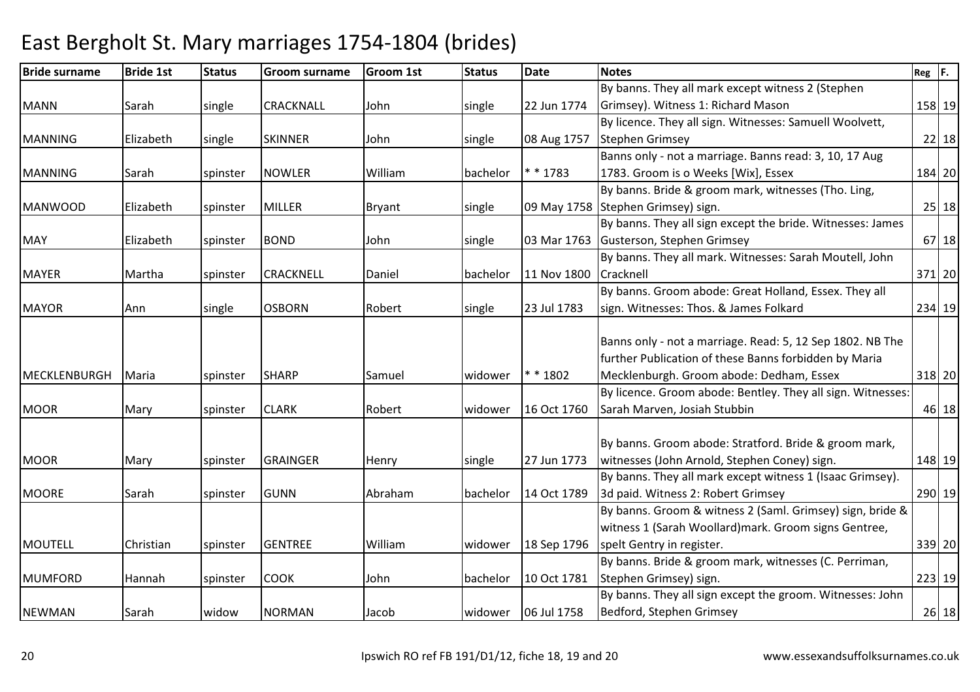| <b>Bride surname</b> | <b>Bride 1st</b> | <b>Status</b> | <b>Groom surname</b> | <b>Groom 1st</b> | <b>Status</b> | <b>Date</b>         | <b>Notes</b>                                                | $Reg$ $F.$ |        |
|----------------------|------------------|---------------|----------------------|------------------|---------------|---------------------|-------------------------------------------------------------|------------|--------|
|                      |                  |               |                      |                  |               |                     | By banns. They all mark except witness 2 (Stephen           |            |        |
| <b>MANN</b>          | Sarah            | single        | <b>CRACKNALL</b>     | John             | single        | 22 Jun 1774         | Grimsey). Witness 1: Richard Mason                          |            | 158 19 |
|                      |                  |               |                      |                  |               |                     | By licence. They all sign. Witnesses: Samuell Woolvett,     |            |        |
| <b>MANNING</b>       | Elizabeth        | single        | <b>SKINNER</b>       | John             | single        | 08 Aug 1757         | <b>Stephen Grimsey</b>                                      |            | 22 18  |
|                      |                  |               |                      |                  |               |                     | Banns only - not a marriage. Banns read: 3, 10, 17 Aug      |            |        |
| <b>MANNING</b>       | Sarah            | spinster      | <b>NOWLER</b>        | William          | bachelor      | $* * 1783$          | 1783. Groom is o Weeks [Wix], Essex                         |            | 184 20 |
|                      |                  |               |                      |                  |               |                     | By banns. Bride & groom mark, witnesses (Tho. Ling,         |            |        |
| <b>MANWOOD</b>       | Elizabeth        | spinster      | <b>MILLER</b>        | <b>Bryant</b>    | single        |                     | 09 May 1758 Stephen Grimsey) sign.                          |            | 25 18  |
|                      |                  |               |                      |                  |               |                     | By banns. They all sign except the bride. Witnesses: James  |            |        |
| <b>MAY</b>           | Elizabeth        | spinster      | <b>BOND</b>          | John             | single        | 03 Mar 1763         | Gusterson, Stephen Grimsey                                  |            | 67 18  |
|                      |                  |               |                      |                  |               |                     | By banns. They all mark. Witnesses: Sarah Moutell, John     |            |        |
| <b>MAYER</b>         | Martha           | spinster      | <b>CRACKNELL</b>     | Daniel           | bachelor      | 11 Nov 1800         | Cracknell                                                   |            | 371 20 |
|                      |                  |               |                      |                  |               |                     | By banns. Groom abode: Great Holland, Essex. They all       |            |        |
| <b>MAYOR</b>         | Ann              | single        | <b>OSBORN</b>        | Robert           | single        | 23 Jul 1783         | sign. Witnesses: Thos. & James Folkard                      |            | 234 19 |
|                      |                  |               |                      |                  |               |                     |                                                             |            |        |
|                      |                  |               |                      |                  |               |                     | Banns only - not a marriage. Read: 5, 12 Sep 1802. NB The   |            |        |
|                      |                  |               |                      |                  |               |                     | further Publication of these Banns forbidden by Maria       |            |        |
| <b>MECKLENBURGH</b>  | Maria            | spinster      | <b>SHARP</b>         | Samuel           | widower       | * * 1802            | Mecklenburgh. Groom abode: Dedham, Essex                    |            | 318 20 |
|                      |                  |               |                      |                  |               |                     | By licence. Groom abode: Bentley. They all sign. Witnesses: |            |        |
| <b>MOOR</b>          | Mary             | spinster      | <b>CLARK</b>         | Robert           | widower       | 16 Oct 1760         | Sarah Marven, Josiah Stubbin                                |            | 46 18  |
|                      |                  |               |                      |                  |               |                     |                                                             |            |        |
|                      |                  |               |                      |                  |               |                     | By banns. Groom abode: Stratford. Bride & groom mark,       |            |        |
| <b>MOOR</b>          | Mary             | spinster      | <b>GRAINGER</b>      | Henry            | single        | 27 Jun 1773         | witnesses (John Arnold, Stephen Coney) sign.                |            | 148 19 |
|                      |                  |               |                      |                  |               |                     | By banns. They all mark except witness 1 (Isaac Grimsey).   |            |        |
| <b>MOORE</b>         | Sarah            | spinster      | <b>GUNN</b>          | Abraham          | bachelor      | 14 Oct 1789         | 3d paid. Witness 2: Robert Grimsey                          |            | 290 19 |
|                      |                  |               |                      |                  |               |                     | By banns. Groom & witness 2 (Saml. Grimsey) sign, bride &   |            |        |
|                      |                  |               |                      |                  |               |                     | witness 1 (Sarah Woollard) mark. Groom signs Gentree,       |            |        |
| <b>MOUTELL</b>       | Christian        | spinster      | <b>GENTREE</b>       | William          | widower       | 18 Sep 1796         | spelt Gentry in register.                                   |            | 339 20 |
|                      |                  |               |                      |                  |               |                     | By banns. Bride & groom mark, witnesses (C. Perriman,       |            |        |
| MUMFORD              | Hannah           | spinster      | <b>COOK</b>          | John             | bachelor      | 10 Oct 1781         | Stephen Grimsey) sign.                                      |            | 223 19 |
|                      |                  |               |                      |                  |               |                     | By banns. They all sign except the groom. Witnesses: John   |            |        |
| <b>NEWMAN</b>        | Sarah            | widow         | <b>NORMAN</b>        | Jacob            |               | widower 06 Jul 1758 | Bedford, Stephen Grimsey                                    |            | 26 18  |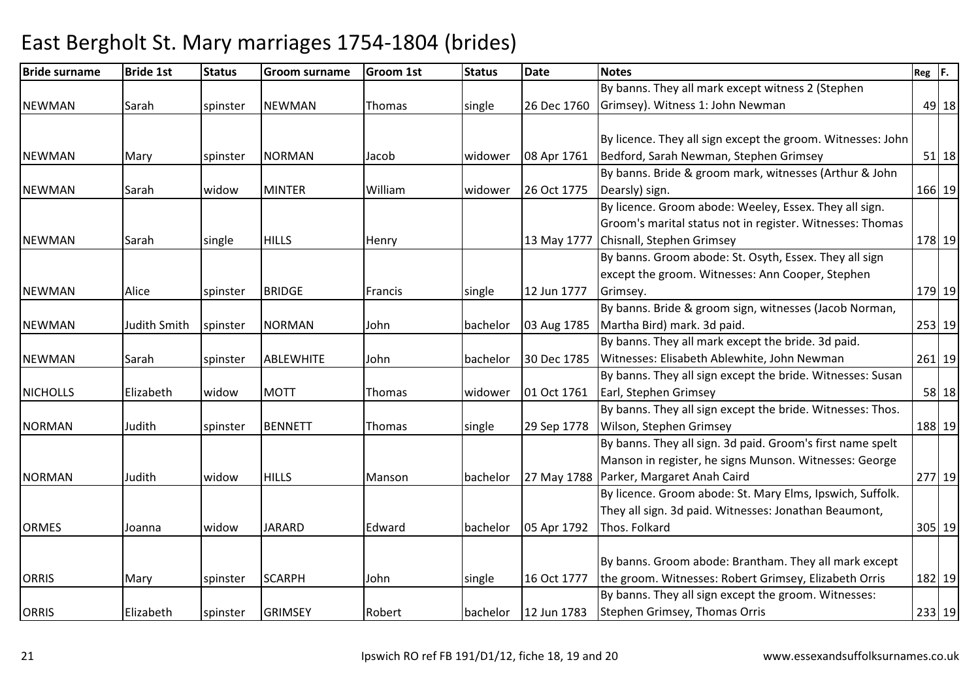| <b>Bride surname</b> | <b>Bride 1st</b> | <b>Status</b> | <b>Groom surname</b> | <b>Groom 1st</b> | <b>Status</b> | <b>Date</b> | <b>Notes</b>                                                | $Reg$ $F.$ |           |
|----------------------|------------------|---------------|----------------------|------------------|---------------|-------------|-------------------------------------------------------------|------------|-----------|
|                      |                  |               |                      |                  |               |             | By banns. They all mark except witness 2 (Stephen           |            |           |
| <b>NEWMAN</b>        | Sarah            | spinster      | <b>NEWMAN</b>        | Thomas           | single        | 26 Dec 1760 | Grimsey). Witness 1: John Newman                            |            | 49 18     |
|                      |                  |               |                      |                  |               |             |                                                             |            |           |
|                      |                  |               |                      |                  |               |             | By licence. They all sign except the groom. Witnesses: John |            |           |
| <b>NEWMAN</b>        | Mary             | spinster      | <b>NORMAN</b>        | Jacob            | widower       | 08 Apr 1761 | Bedford, Sarah Newman, Stephen Grimsey                      |            | $51$   18 |
|                      |                  |               |                      |                  |               |             | By banns. Bride & groom mark, witnesses (Arthur & John      |            |           |
| <b>NEWMAN</b>        | Sarah            | widow         | <b>MINTER</b>        | William          | widower       | 26 Oct 1775 | Dearsly) sign.                                              |            | 166 19    |
|                      |                  |               |                      |                  |               |             | By licence. Groom abode: Weeley, Essex. They all sign.      |            |           |
|                      |                  |               |                      |                  |               |             | Groom's marital status not in register. Witnesses: Thomas   |            |           |
| <b>NEWMAN</b>        | Sarah            | single        | <b>HILLS</b>         | Henry            |               | 13 May 1777 | Chisnall, Stephen Grimsey                                   |            | 178 19    |
|                      |                  |               |                      |                  |               |             | By banns. Groom abode: St. Osyth, Essex. They all sign      |            |           |
|                      |                  |               |                      |                  |               |             | except the groom. Witnesses: Ann Cooper, Stephen            |            |           |
| <b>NEWMAN</b>        | Alice            | spinster      | <b>BRIDGE</b>        | Francis          | single        | 12 Jun 1777 | Grimsey.                                                    |            | 179 19    |
|                      |                  |               |                      |                  |               |             | By banns. Bride & groom sign, witnesses (Jacob Norman,      |            |           |
| <b>NEWMAN</b>        | Judith Smith     | spinster      | <b>NORMAN</b>        | John             | bachelor      | 03 Aug 1785 | Martha Bird) mark. 3d paid.                                 |            | 253 19    |
|                      |                  |               |                      |                  |               |             | By banns. They all mark except the bride. 3d paid.          |            |           |
| <b>NEWMAN</b>        | Sarah            | spinster      | <b>ABLEWHITE</b>     | John             | bachelor      | 30 Dec 1785 | Witnesses: Elisabeth Ablewhite, John Newman                 |            | 261 19    |
|                      |                  |               |                      |                  |               |             | By banns. They all sign except the bride. Witnesses: Susan  |            |           |
| <b>NICHOLLS</b>      | Elizabeth        | widow         | <b>MOTT</b>          | Thomas           | widower       | 01 Oct 1761 | Earl, Stephen Grimsey                                       |            | $58$   18 |
|                      |                  |               |                      |                  |               |             | By banns. They all sign except the bride. Witnesses: Thos.  |            |           |
| <b>NORMAN</b>        | Judith           | spinster      | <b>BENNETT</b>       | Thomas           | single        | 29 Sep 1778 | Wilson, Stephen Grimsey                                     |            | 188 19    |
|                      |                  |               |                      |                  |               |             | By banns. They all sign. 3d paid. Groom's first name spelt  |            |           |
|                      |                  |               |                      |                  |               |             | Manson in register, he signs Munson. Witnesses: George      |            |           |
| <b>NORMAN</b>        | Judith           | widow         | <b>HILLS</b>         | Manson           | bachelor      |             | 27 May 1788   Parker, Margaret Anah Caird                   |            | 277 19    |
|                      |                  |               |                      |                  |               |             | By licence. Groom abode: St. Mary Elms, Ipswich, Suffolk.   |            |           |
|                      |                  |               |                      |                  |               |             | They all sign. 3d paid. Witnesses: Jonathan Beaumont,       |            |           |
| <b>ORMES</b>         | Joanna           | widow         | <b>JARARD</b>        | Edward           | bachelor      | 05 Apr 1792 | Thos. Folkard                                               |            | 305 19    |
|                      |                  |               |                      |                  |               |             |                                                             |            |           |
|                      |                  |               |                      |                  |               |             | By banns. Groom abode: Brantham. They all mark except       |            |           |
| <b>ORRIS</b>         | Mary             | spinster      | <b>SCARPH</b>        | John             | single        | 16 Oct 1777 | the groom. Witnesses: Robert Grimsey, Elizabeth Orris       |            | 182 19    |
|                      |                  |               |                      |                  |               |             | By banns. They all sign except the groom. Witnesses:        |            |           |
| <b>ORRIS</b>         | Elizabeth        | spinster      | <b>GRIMSEY</b>       | Robert           | bachelor      | 12 Jun 1783 | Stephen Grimsey, Thomas Orris                               |            | 233 19    |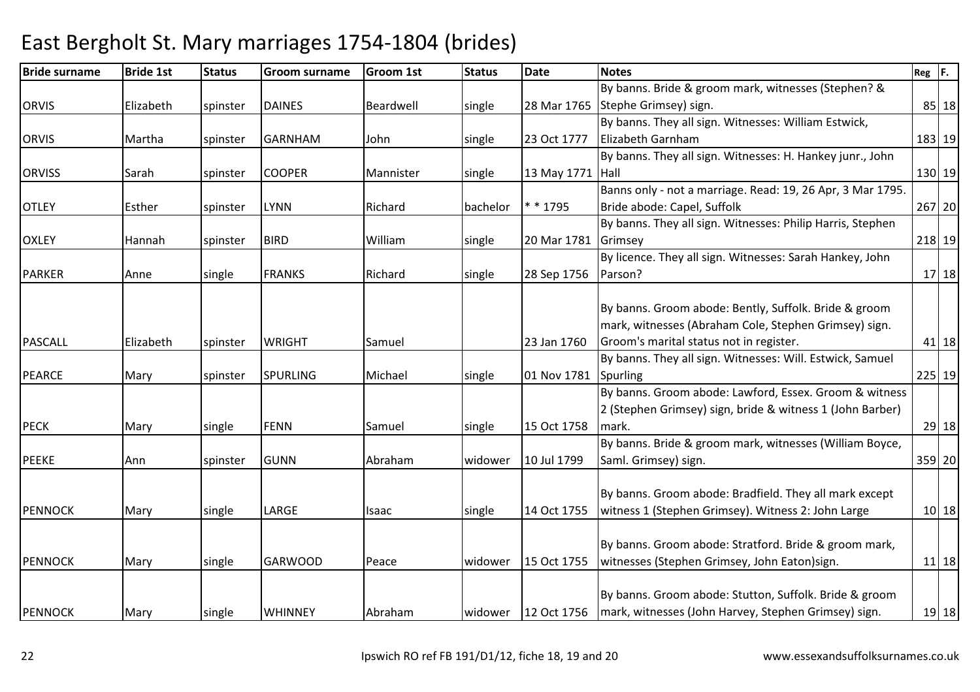| <b>Bride surname</b> | <b>Bride 1st</b> | <b>Status</b> | <b>Groom surname</b> | <b>Groom 1st</b> | <b>Status</b> | <b>Date</b>      | <b>Notes</b>                                                       | $Reg$ $F.$ |           |
|----------------------|------------------|---------------|----------------------|------------------|---------------|------------------|--------------------------------------------------------------------|------------|-----------|
|                      |                  |               |                      |                  |               |                  | By banns. Bride & groom mark, witnesses (Stephen? &                |            |           |
| <b>ORVIS</b>         | Elizabeth        | spinster      | <b>DAINES</b>        | Beardwell        | single        | 28 Mar 1765      | Stephe Grimsey) sign.                                              |            | 85 18     |
|                      |                  |               |                      |                  |               |                  | By banns. They all sign. Witnesses: William Estwick,               |            |           |
| <b>ORVIS</b>         | Martha           | spinster      | <b>GARNHAM</b>       | John             | single        | 23 Oct 1777      | Elizabeth Garnham                                                  | 183 19     |           |
|                      |                  |               |                      |                  |               |                  | By banns. They all sign. Witnesses: H. Hankey junr., John          |            |           |
| <b>ORVISS</b>        | Sarah            | spinster      | <b>COOPER</b>        | Mannister        | single        | 13 May 1771 Hall |                                                                    | 130 19     |           |
|                      |                  |               |                      |                  |               |                  | Banns only - not a marriage. Read: 19, 26 Apr, 3 Mar 1795.         |            |           |
| <b>OTLEY</b>         | Esther           | spinster      | <b>LYNN</b>          | Richard          | bachelor      | * * 1795         | Bride abode: Capel, Suffolk                                        | 267 20     |           |
|                      |                  |               |                      |                  |               |                  | By banns. They all sign. Witnesses: Philip Harris, Stephen         |            |           |
| <b>OXLEY</b>         | Hannah           | spinster      | <b>BIRD</b>          | William          | single        | 20 Mar 1781      | Grimsey                                                            | 218 19     |           |
|                      |                  |               |                      |                  |               |                  | By licence. They all sign. Witnesses: Sarah Hankey, John           |            |           |
| <b>PARKER</b>        | Anne             | single        | <b>FRANKS</b>        | Richard          | single        | 28 Sep 1756      | Parson?                                                            |            | $17$   18 |
|                      |                  |               |                      |                  |               |                  |                                                                    |            |           |
|                      |                  |               |                      |                  |               |                  | By banns. Groom abode: Bently, Suffolk. Bride & groom              |            |           |
|                      |                  |               |                      |                  |               |                  | mark, witnesses (Abraham Cole, Stephen Grimsey) sign.              |            |           |
| <b>PASCALL</b>       | Elizabeth        | spinster      | <b>WRIGHT</b>        | Samuel           |               | 23 Jan 1760      | Groom's marital status not in register.                            |            | 41 18     |
|                      |                  |               |                      |                  |               |                  | By banns. They all sign. Witnesses: Will. Estwick, Samuel          |            |           |
| PEARCE               | Mary             | spinster      | <b>SPURLING</b>      | Michael          | single        | 01 Nov 1781      | Spurling                                                           | 225 19     |           |
|                      |                  |               |                      |                  |               |                  | By banns. Groom abode: Lawford, Essex. Groom & witness             |            |           |
|                      |                  |               |                      |                  |               |                  | 2 (Stephen Grimsey) sign, bride & witness 1 (John Barber)          |            |           |
| <b>PECK</b>          | Mary             | single        | <b>FENN</b>          | Samuel           | single        | 15 Oct 1758      | mark.                                                              |            | 29 18     |
|                      |                  |               |                      |                  |               |                  | By banns. Bride & groom mark, witnesses (William Boyce,            |            |           |
| <b>PEEKE</b>         | Ann              | spinster      | <b>GUNN</b>          | Abraham          | widower       | 10 Jul 1799      | Saml. Grimsey) sign.                                               | 359 20     |           |
|                      |                  |               |                      |                  |               |                  |                                                                    |            |           |
|                      |                  |               |                      |                  |               |                  | By banns. Groom abode: Bradfield. They all mark except             |            |           |
| <b>PENNOCK</b>       | Mary             | single        | LARGE                | Isaac            | single        | 14 Oct 1755      | witness 1 (Stephen Grimsey). Witness 2: John Large                 |            | $10$ 18   |
|                      |                  |               |                      |                  |               |                  |                                                                    |            |           |
|                      |                  |               |                      |                  |               |                  | By banns. Groom abode: Stratford. Bride & groom mark,              |            |           |
| <b>PENNOCK</b>       | Mary             | single        | <b>GARWOOD</b>       | Peace            | widower       | 15 Oct 1755      | witnesses (Stephen Grimsey, John Eaton)sign.                       |            | $11$   18 |
|                      |                  |               |                      |                  |               |                  |                                                                    |            |           |
|                      |                  |               |                      |                  |               |                  | By banns. Groom abode: Stutton, Suffolk. Bride & groom             |            |           |
| <b>PENNOCK</b>       | Mary             | single        | <b>WHINNEY</b>       | Abraham          | widower       |                  | 12 Oct 1756   mark, witnesses (John Harvey, Stephen Grimsey) sign. |            | $19$   18 |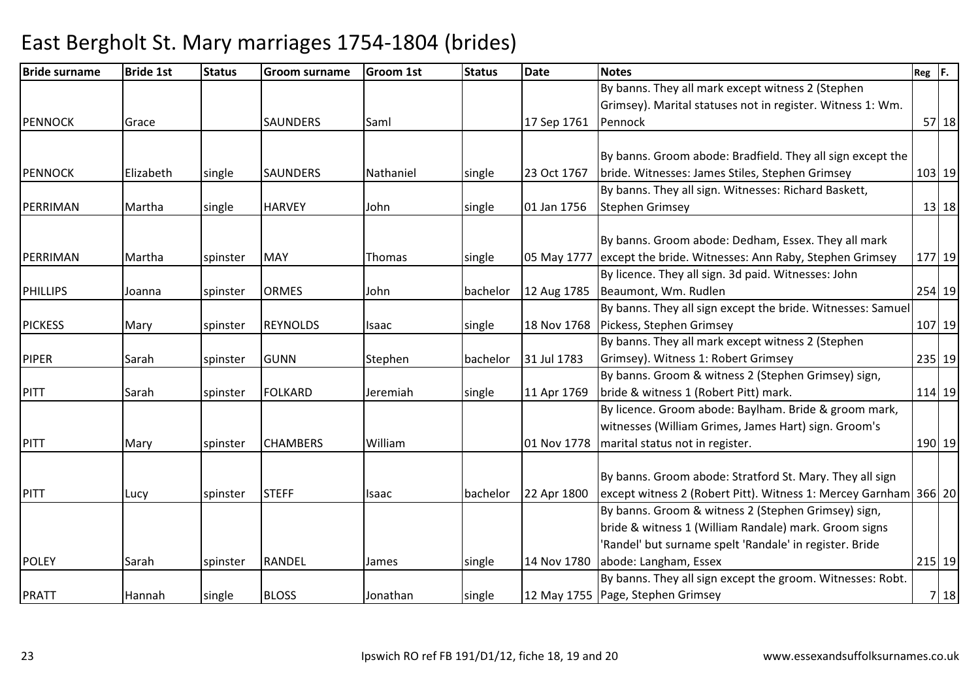| <b>Bride surname</b> | <b>Bride 1st</b> | <b>Status</b> | <b>Groom surname</b> | <b>Groom 1st</b> | <b>Status</b> | <b>Date</b> | <b>Notes</b>                                                       | Reg F. |           |
|----------------------|------------------|---------------|----------------------|------------------|---------------|-------------|--------------------------------------------------------------------|--------|-----------|
|                      |                  |               |                      |                  |               |             | By banns. They all mark except witness 2 (Stephen                  |        |           |
|                      |                  |               |                      |                  |               |             | Grimsey). Marital statuses not in register. Witness 1: Wm.         |        |           |
| <b>PENNOCK</b>       | Grace            |               | <b>SAUNDERS</b>      | Saml             |               | 17 Sep 1761 | Pennock                                                            |        | $57$   18 |
|                      |                  |               |                      |                  |               |             |                                                                    |        |           |
|                      |                  |               |                      |                  |               |             | By banns. Groom abode: Bradfield. They all sign except the         |        |           |
| <b>PENNOCK</b>       | Elizabeth        | single        | <b>SAUNDERS</b>      | Nathaniel        | single        | 23 Oct 1767 | bride. Witnesses: James Stiles, Stephen Grimsey                    |        | 103 19    |
|                      |                  |               |                      |                  |               |             | By banns. They all sign. Witnesses: Richard Baskett,               |        |           |
| PERRIMAN             | Martha           | single        | <b>HARVEY</b>        | John             | single        | 01 Jan 1756 | <b>Stephen Grimsey</b>                                             |        | 13 18     |
|                      |                  |               |                      |                  |               |             |                                                                    |        |           |
|                      |                  |               |                      |                  |               |             | By banns. Groom abode: Dedham, Essex. They all mark                |        |           |
| PERRIMAN             | Martha           | spinster      | <b>MAY</b>           | Thomas           | single        |             | 05 May 1777 except the bride. Witnesses: Ann Raby, Stephen Grimsey |        | 177 19    |
|                      |                  |               |                      |                  |               |             | By licence. They all sign. 3d paid. Witnesses: John                |        |           |
| <b>PHILLIPS</b>      | Joanna           | spinster      | <b>ORMES</b>         | John             | bachelor      |             | 12 Aug 1785   Beaumont, Wm. Rudlen                                 |        | 254 19    |
|                      |                  |               |                      |                  |               |             | By banns. They all sign except the bride. Witnesses: Samuel        |        |           |
| <b>PICKESS</b>       | Mary             | spinster      | <b>REYNOLDS</b>      | Isaac            | single        |             | 18 Nov 1768   Pickess, Stephen Grimsey                             |        | 107 19    |
|                      |                  |               |                      |                  |               |             | By banns. They all mark except witness 2 (Stephen                  |        |           |
| <b>PIPER</b>         | Sarah            | spinster      | <b>GUNN</b>          | Stephen          | bachelor      | 31 Jul 1783 | Grimsey). Witness 1: Robert Grimsey                                |        | 235 19    |
|                      |                  |               |                      |                  |               |             | By banns. Groom & witness 2 (Stephen Grimsey) sign,                |        |           |
| <b>PITT</b>          | Sarah            | spinster      | <b>FOLKARD</b>       | Jeremiah         | single        | 11 Apr 1769 | bride & witness 1 (Robert Pitt) mark.                              |        | 114 19    |
|                      |                  |               |                      |                  |               |             | By licence. Groom abode: Baylham. Bride & groom mark,              |        |           |
|                      |                  |               |                      |                  |               |             | witnesses (William Grimes, James Hart) sign. Groom's               |        |           |
| PITT                 | Mary             | spinster      | <b>CHAMBERS</b>      | William          |               | 01 Nov 1778 | marital status not in register.                                    |        | 190 19    |
|                      |                  |               |                      |                  |               |             |                                                                    |        |           |
|                      |                  |               |                      |                  |               |             | By banns. Groom abode: Stratford St. Mary. They all sign           |        |           |
| <b>PITT</b>          | Lucy             | spinster      | <b>STEFF</b>         | Isaac            | bachelor      | 22 Apr 1800 | except witness 2 (Robert Pitt). Witness 1: Mercey Garnham 366 20   |        |           |
|                      |                  |               |                      |                  |               |             | By banns. Groom & witness 2 (Stephen Grimsey) sign,                |        |           |
|                      |                  |               |                      |                  |               |             | bride & witness 1 (William Randale) mark. Groom signs              |        |           |
|                      |                  |               |                      |                  |               |             | 'Randel' but surname spelt 'Randale' in register. Bride            |        |           |
| <b>POLEY</b>         | Sarah            | spinster      | RANDEL               | James            | single        | 14 Nov 1780 | abode: Langham, Essex                                              |        | 215 19    |
|                      |                  |               |                      |                  |               |             | By banns. They all sign except the groom. Witnesses: Robt.         |        |           |
| <b>PRATT</b>         | Hannah           | single        | <b>BLOSS</b>         | Jonathan         | single        |             | 12 May 1755   Page, Stephen Grimsey                                |        | 7 18      |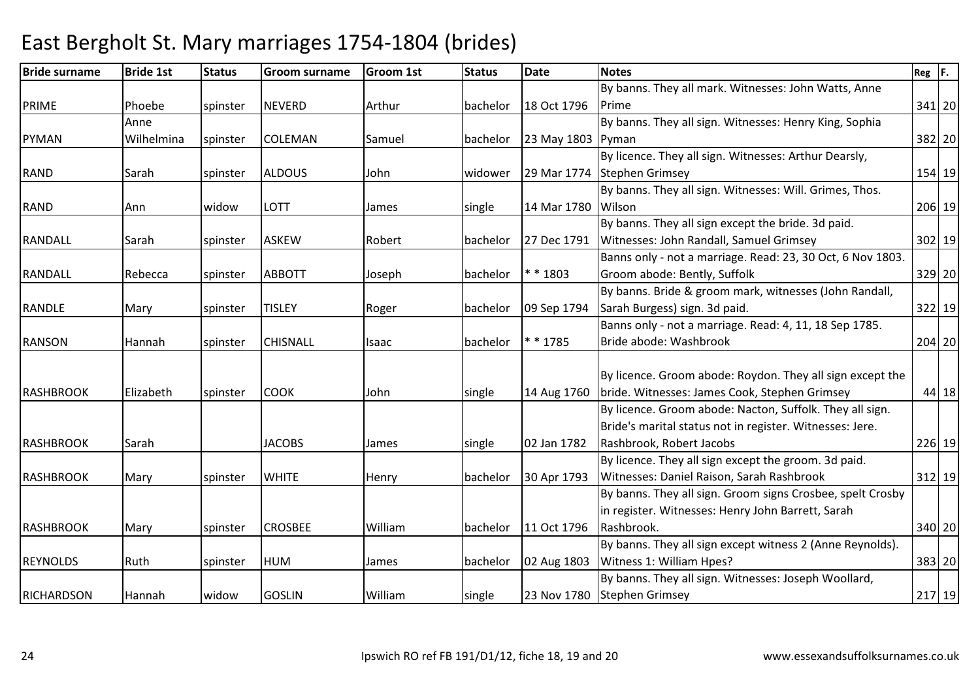| <b>Bride surname</b> | <b>Bride 1st</b> | <b>Status</b> | <b>Groom surname</b> | <b>Groom 1st</b> | <b>Status</b> | <b>Date</b> | <b>Notes</b>                                               | $Reg$ $F.$ |        |
|----------------------|------------------|---------------|----------------------|------------------|---------------|-------------|------------------------------------------------------------|------------|--------|
|                      |                  |               |                      |                  |               |             | By banns. They all mark. Witnesses: John Watts, Anne       |            |        |
| <b>PRIME</b>         | Phoebe           | spinster      | <b>NEVERD</b>        | Arthur           | bachelor      | 18 Oct 1796 | Prime                                                      |            | 341 20 |
|                      | Anne             |               |                      |                  |               |             | By banns. They all sign. Witnesses: Henry King, Sophia     |            |        |
| <b>PYMAN</b>         | Wilhelmina       | spinster      | <b>COLEMAN</b>       | Samuel           | bachelor      | 23 May 1803 | Pyman                                                      |            | 382 20 |
|                      |                  |               |                      |                  |               |             | By licence. They all sign. Witnesses: Arthur Dearsly,      |            |        |
| RAND                 | Sarah            | spinster      | <b>ALDOUS</b>        | John             | widower       | 29 Mar 1774 | Stephen Grimsey                                            |            | 154 19 |
|                      |                  |               |                      |                  |               |             | By banns. They all sign. Witnesses: Will. Grimes, Thos.    |            |        |
| <b>RAND</b>          | Ann              | widow         | LOTT                 | James            | single        | 14 Mar 1780 | Wilson                                                     |            | 206 19 |
|                      |                  |               |                      |                  |               |             | By banns. They all sign except the bride. 3d paid.         |            |        |
| <b>RANDALL</b>       | Sarah            | spinster      | <b>ASKEW</b>         | Robert           | bachelor      | 27 Dec 1791 | Witnesses: John Randall, Samuel Grimsey                    |            | 302 19 |
|                      |                  |               |                      |                  |               |             | Banns only - not a marriage. Read: 23, 30 Oct, 6 Nov 1803. |            |        |
| RANDALL              | Rebecca          | spinster      | <b>ABBOTT</b>        | Joseph           | bachelor      | * * 1803    | Groom abode: Bently, Suffolk                               |            | 329 20 |
|                      |                  |               |                      |                  |               |             | By banns. Bride & groom mark, witnesses (John Randall,     |            |        |
| RANDLE               | Mary             | spinster      | <b>TISLEY</b>        | Roger            | bachelor      | 09 Sep 1794 | Sarah Burgess) sign. 3d paid.                              |            | 322 19 |
|                      |                  |               |                      |                  |               |             | Banns only - not a marriage. Read: 4, 11, 18 Sep 1785.     |            |        |
| <b>RANSON</b>        | Hannah           | spinster      | <b>CHISNALL</b>      | Isaac            | bachelor      | * * 1785    | Bride abode: Washbrook                                     |            | 204 20 |
|                      |                  |               |                      |                  |               |             |                                                            |            |        |
|                      |                  |               |                      |                  |               |             | By licence. Groom abode: Roydon. They all sign except the  |            |        |
| <b>RASHBROOK</b>     | Elizabeth        | spinster      | <b>COOK</b>          | John             | single        | 14 Aug 1760 | bride. Witnesses: James Cook, Stephen Grimsey              |            | 44 18  |
|                      |                  |               |                      |                  |               |             | By licence. Groom abode: Nacton, Suffolk. They all sign.   |            |        |
|                      |                  |               |                      |                  |               |             | Bride's marital status not in register. Witnesses: Jere.   |            |        |
| <b>RASHBROOK</b>     | Sarah            |               | <b>JACOBS</b>        | James            | single        | 02 Jan 1782 | Rashbrook, Robert Jacobs                                   |            | 226 19 |
|                      |                  |               |                      |                  |               |             | By licence. They all sign except the groom. 3d paid.       |            |        |
| <b>RASHBROOK</b>     | Mary             | spinster      | <b>WHITE</b>         | Henry            | bachelor      | 30 Apr 1793 | Witnesses: Daniel Raison, Sarah Rashbrook                  |            | 312 19 |
|                      |                  |               |                      |                  |               |             | By banns. They all sign. Groom signs Crosbee, spelt Crosby |            |        |
|                      |                  |               |                      |                  |               |             | in register. Witnesses: Henry John Barrett, Sarah          |            |        |
| <b>RASHBROOK</b>     | Mary             | spinster      | <b>CROSBEE</b>       | William          | bachelor      | 11 Oct 1796 | Rashbrook.                                                 |            | 340 20 |
|                      |                  |               |                      |                  |               |             | By banns. They all sign except witness 2 (Anne Reynolds).  |            |        |
| <b>REYNOLDS</b>      | Ruth             | spinster      | <b>HUM</b>           | James            | bachelor      | 02 Aug 1803 | Witness 1: William Hpes?                                   |            | 383 20 |
|                      |                  |               |                      |                  |               |             | By banns. They all sign. Witnesses: Joseph Woollard,       |            |        |
| <b>RICHARDSON</b>    | Hannah           | widow         | <b>GOSLIN</b>        | William          | single        | 23 Nov 1780 | <b>Stephen Grimsey</b>                                     |            | 217 19 |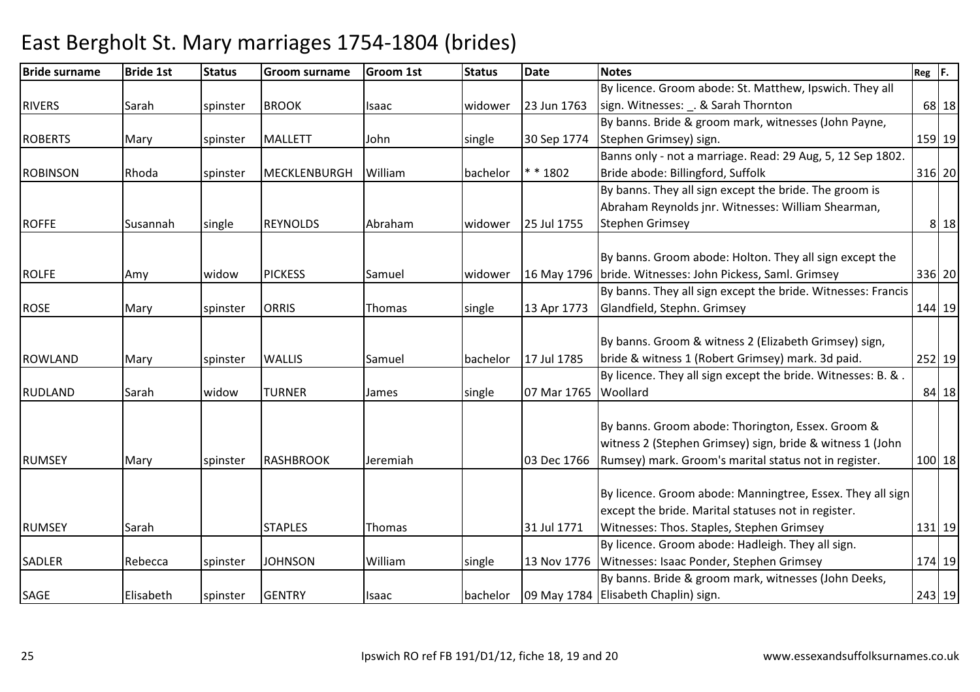| <b>Bride surname</b> | <b>Bride 1st</b> | <b>Status</b> | <b>Groom surname</b> | <b>Groom 1st</b> | <b>Status</b> | <b>Date</b> | <b>Notes</b>                                                 | $Reg$ $F.$ |          |
|----------------------|------------------|---------------|----------------------|------------------|---------------|-------------|--------------------------------------------------------------|------------|----------|
|                      |                  |               |                      |                  |               |             | By licence. Groom abode: St. Matthew, Ipswich. They all      |            |          |
| <b>RIVERS</b>        | Sarah            | spinster      | <b>BROOK</b>         | Isaac            | widower       | 23 Jun 1763 | sign. Witnesses: _. & Sarah Thornton                         |            | 68 18    |
|                      |                  |               |                      |                  |               |             | By banns. Bride & groom mark, witnesses (John Payne,         |            |          |
| <b>ROBERTS</b>       | Mary             | spinster      | <b>MALLETT</b>       | John             | single        | 30 Sep 1774 | Stephen Grimsey) sign.                                       |            | 159 19   |
|                      |                  |               |                      |                  |               |             | Banns only - not a marriage. Read: 29 Aug, 5, 12 Sep 1802.   |            |          |
| <b>ROBINSON</b>      | Rhoda            | spinster      | <b>MECKLENBURGH</b>  | William          | bachelor      | $* * 1802$  | Bride abode: Billingford, Suffolk                            |            | 316 20   |
|                      |                  |               |                      |                  |               |             | By banns. They all sign except the bride. The groom is       |            |          |
|                      |                  |               |                      |                  |               |             | Abraham Reynolds jnr. Witnesses: William Shearman,           |            |          |
| <b>ROFFE</b>         | Susannah         | single        | <b>REYNOLDS</b>      | Abraham          | widower       | 25 Jul 1755 | <b>Stephen Grimsey</b>                                       |            | 8 18     |
|                      |                  |               |                      |                  |               |             | By banns. Groom abode: Holton. They all sign except the      |            |          |
| <b>ROLFE</b>         | Amy              | widow         | <b>PICKESS</b>       | Samuel           | widower       |             | 16 May 1796   bride. Witnesses: John Pickess, Saml. Grimsey  |            | 336 20   |
|                      |                  |               |                      |                  |               |             | By banns. They all sign except the bride. Witnesses: Francis |            |          |
| <b>ROSE</b>          | Mary             | spinster      | <b>ORRIS</b>         | Thomas           | single        | 13 Apr 1773 | Glandfield, Stephn. Grimsey                                  |            | 144 19   |
|                      |                  |               |                      |                  |               |             |                                                              |            |          |
|                      |                  |               |                      |                  |               |             | By banns. Groom & witness 2 (Elizabeth Grimsey) sign,        |            |          |
| <b>ROWLAND</b>       | Mary             | spinster      | <b>WALLIS</b>        | Samuel           | bachelor      | 17 Jul 1785 | bride & witness 1 (Robert Grimsey) mark. 3d paid.            |            | 252 19   |
|                      |                  |               |                      |                  |               |             | By licence. They all sign except the bride. Witnesses: B. &. |            |          |
| <b>RUDLAND</b>       | Sarah            | widow         | <b>TURNER</b>        | James            | single        | 07 Mar 1765 | Woollard                                                     |            | $84$ 18  |
|                      |                  |               |                      |                  |               |             |                                                              |            |          |
|                      |                  |               |                      |                  |               |             | By banns. Groom abode: Thorington, Essex. Groom &            |            |          |
|                      |                  |               |                      |                  |               |             | witness 2 (Stephen Grimsey) sign, bride & witness 1 (John    |            |          |
| <b>RUMSEY</b>        | Mary             | spinster      | <b>RASHBROOK</b>     | Jeremiah         |               | 03 Dec 1766 | Rumsey) mark. Groom's marital status not in register.        |            | $100$ 18 |
|                      |                  |               |                      |                  |               |             |                                                              |            |          |
|                      |                  |               |                      |                  |               |             | By licence. Groom abode: Manningtree, Essex. They all sign   |            |          |
|                      |                  |               |                      |                  |               |             | except the bride. Marital statuses not in register.          |            |          |
| <b>RUMSEY</b>        | Sarah            |               | <b>STAPLES</b>       | Thomas           |               | 31 Jul 1771 | Witnesses: Thos. Staples, Stephen Grimsey                    |            | $131$ 19 |
|                      |                  |               |                      |                  |               |             | By licence. Groom abode: Hadleigh. They all sign.            |            |          |
| <b>SADLER</b>        | Rebecca          | spinster      | <b>JOHNSON</b>       | William          | single        |             | 13 Nov 1776   Witnesses: Isaac Ponder, Stephen Grimsey       |            | 174 19   |
|                      |                  |               |                      |                  |               |             | By banns. Bride & groom mark, witnesses (John Deeks,         |            |          |
| SAGE                 | Elisabeth        | spinster      | <b>GENTRY</b>        | Isaac            | bachelor      |             | 09 May 1784 Elisabeth Chaplin) sign.                         |            | 243 19   |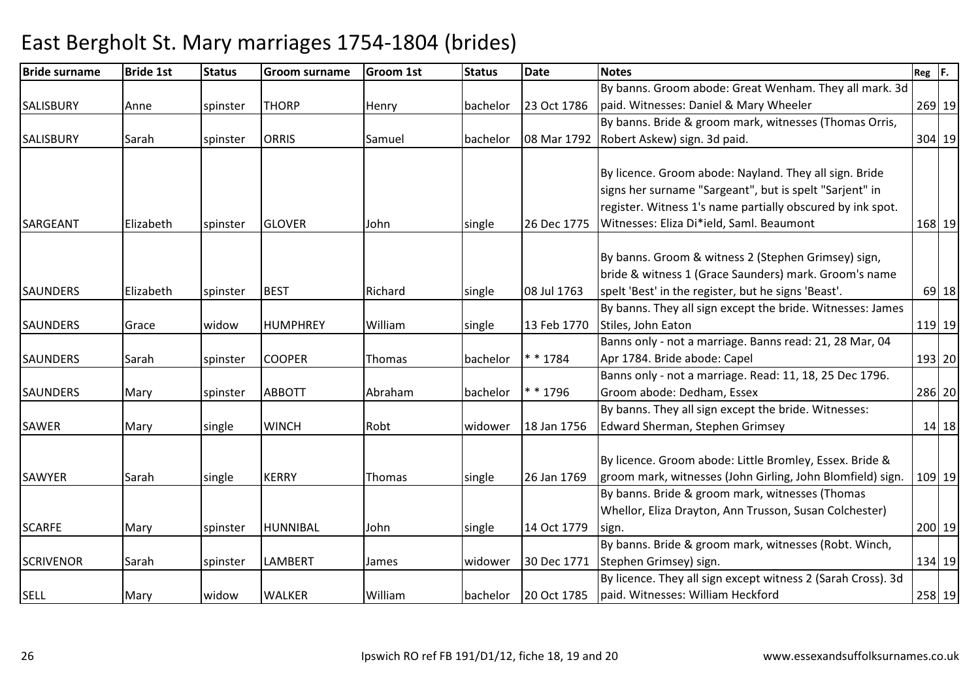| <b>Bride surname</b> | <b>Bride 1st</b> | <b>Status</b> | <b>Groom surname</b> | <b>Groom 1st</b> | <b>Status</b> | <b>Date</b> | <b>Notes</b>                                                 | $ Reg $ $ F.$ |
|----------------------|------------------|---------------|----------------------|------------------|---------------|-------------|--------------------------------------------------------------|---------------|
|                      |                  |               |                      |                  |               |             | By banns. Groom abode: Great Wenham. They all mark. 3d       |               |
| <b>SALISBURY</b>     | Anne             | spinster      | <b>THORP</b>         | Henry            | bachelor      | 23 Oct 1786 | paid. Witnesses: Daniel & Mary Wheeler                       | 269 19        |
|                      |                  |               |                      |                  |               |             | By banns. Bride & groom mark, witnesses (Thomas Orris,       |               |
| <b>SALISBURY</b>     | Sarah            | spinster      | <b>ORRIS</b>         | Samuel           | bachelor      | 08 Mar 1792 | Robert Askew) sign. 3d paid.                                 | 304 19        |
|                      |                  |               |                      |                  |               |             |                                                              |               |
|                      |                  |               |                      |                  |               |             | By licence. Groom abode: Nayland. They all sign. Bride       |               |
|                      |                  |               |                      |                  |               |             | signs her surname "Sargeant", but is spelt "Sarjent" in      |               |
|                      |                  |               |                      |                  |               |             | register. Witness 1's name partially obscured by ink spot.   |               |
| <b>SARGEANT</b>      | Elizabeth        | spinster      | <b>GLOVER</b>        | John             | single        | 26 Dec 1775 | Witnesses: Eliza Di*ield, Saml. Beaumont                     | 168 19        |
|                      |                  |               |                      |                  |               |             | By banns. Groom & witness 2 (Stephen Grimsey) sign,          |               |
|                      |                  |               |                      |                  |               |             | bride & witness 1 (Grace Saunders) mark. Groom's name        |               |
| <b>SAUNDERS</b>      | Elizabeth        | spinster      | <b>BEST</b>          | Richard          | single        | 08 Jul 1763 | spelt 'Best' in the register, but he signs 'Beast'.          | $69$ 18       |
|                      |                  |               |                      |                  |               |             | By banns. They all sign except the bride. Witnesses: James   |               |
| <b>SAUNDERS</b>      | Grace            | widow         | <b>HUMPHREY</b>      | William          | single        | 13 Feb 1770 | Stiles, John Eaton                                           | 119 19        |
|                      |                  |               |                      |                  |               |             | Banns only - not a marriage. Banns read: 21, 28 Mar, 04      |               |
| <b>SAUNDERS</b>      | Sarah            | spinster      | <b>COOPER</b>        | Thomas           | bachelor      | * * 1784    | Apr 1784. Bride abode: Capel                                 | 193 20        |
|                      |                  |               |                      |                  |               |             | Banns only - not a marriage. Read: 11, 18, 25 Dec 1796.      |               |
| <b>SAUNDERS</b>      | Mary             | spinster      | <b>ABBOTT</b>        | Abraham          | bachelor      | * * 1796    | Groom abode: Dedham, Essex                                   | 286 20        |
|                      |                  |               |                      |                  |               |             | By banns. They all sign except the bride. Witnesses:         |               |
| <b>SAWER</b>         | Mary             | single        | <b>WINCH</b>         | Robt             | widower       | 18 Jan 1756 | <b>Edward Sherman, Stephen Grimsey</b>                       | $14$ 18       |
|                      |                  |               |                      |                  |               |             |                                                              |               |
|                      |                  |               |                      |                  |               |             | By licence. Groom abode: Little Bromley, Essex. Bride &      |               |
| <b>SAWYER</b>        | Sarah            | single        | <b>KERRY</b>         | Thomas           | single        | 26 Jan 1769 | groom mark, witnesses (John Girling, John Blomfield) sign.   | 109 19        |
|                      |                  |               |                      |                  |               |             | By banns. Bride & groom mark, witnesses (Thomas              |               |
|                      |                  |               |                      |                  |               |             | Whellor, Eliza Drayton, Ann Trusson, Susan Colchester)       |               |
| <b>SCARFE</b>        | Mary             | spinster      | <b>HUNNIBAL</b>      | John             | single        | 14 Oct 1779 | sign.                                                        | 200 19        |
|                      |                  |               |                      |                  |               |             | By banns. Bride & groom mark, witnesses (Robt. Winch,        |               |
| <b>SCRIVENOR</b>     | Sarah            | spinster      | <b>LAMBERT</b>       | James            | widower       | 30 Dec 1771 | Stephen Grimsey) sign.                                       | 134 19        |
|                      |                  |               |                      |                  |               |             | By licence. They all sign except witness 2 (Sarah Cross). 3d |               |
| <b>SELL</b>          | Mary             | widow         | <b>WALKER</b>        | William          | bachelor      | 20 Oct 1785 | paid. Witnesses: William Heckford                            | 258 19        |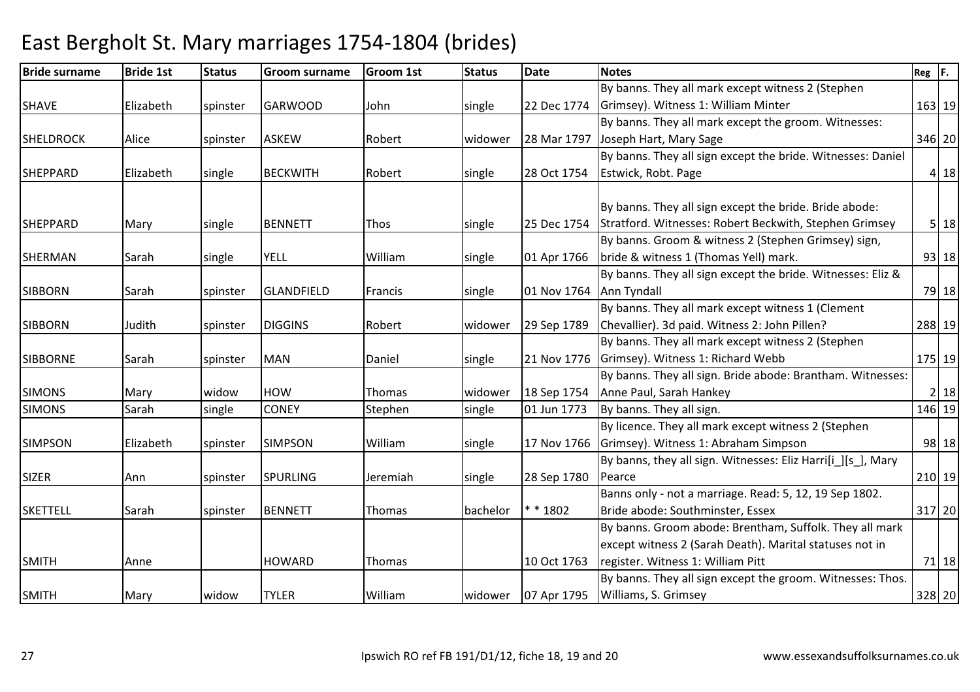| <b>Bride surname</b> | <b>Bride 1st</b> | <b>Status</b> | <b>Groom surname</b> | <b>Groom 1st</b> | <b>Status</b> | <b>Date</b> | <b>Notes</b>                                                 | $\overline{\text{Reg}}$ $\overline{\text{F}}$ . |         |
|----------------------|------------------|---------------|----------------------|------------------|---------------|-------------|--------------------------------------------------------------|-------------------------------------------------|---------|
|                      |                  |               |                      |                  |               |             | By banns. They all mark except witness 2 (Stephen            |                                                 |         |
| <b>SHAVE</b>         | Elizabeth        | spinster      | <b>GARWOOD</b>       | John             | single        | 22 Dec 1774 | Grimsey). Witness 1: William Minter                          |                                                 | 163 19  |
|                      |                  |               |                      |                  |               |             | By banns. They all mark except the groom. Witnesses:         |                                                 |         |
| <b>SHELDROCK</b>     | Alice            | spinster      | <b>ASKEW</b>         | Robert           | widower       | 28 Mar 1797 | Joseph Hart, Mary Sage                                       |                                                 | 346 20  |
|                      |                  |               |                      |                  |               |             | By banns. They all sign except the bride. Witnesses: Daniel  |                                                 |         |
| <b>SHEPPARD</b>      | Elizabeth        | single        | <b>BECKWITH</b>      | Robert           | single        | 28 Oct 1754 | Estwick, Robt. Page                                          |                                                 | 4 18    |
|                      |                  |               |                      |                  |               |             | By banns. They all sign except the bride. Bride abode:       |                                                 |         |
| <b>SHEPPARD</b>      | Mary             | single        | <b>BENNETT</b>       | Thos             | single        | 25 Dec 1754 | Stratford. Witnesses: Robert Beckwith, Stephen Grimsey       |                                                 | 5 18    |
|                      |                  |               |                      |                  |               |             | By banns. Groom & witness 2 (Stephen Grimsey) sign,          |                                                 |         |
| <b>SHERMAN</b>       | Sarah            | single        | <b>YELL</b>          | William          | single        | 01 Apr 1766 | bride & witness 1 (Thomas Yell) mark.                        |                                                 | 93 18   |
|                      |                  |               |                      |                  |               |             | By banns. They all sign except the bride. Witnesses: Eliz &  |                                                 |         |
| <b>SIBBORN</b>       | Sarah            | spinster      | GLANDFIELD           | Francis          | single        | 01 Nov 1764 | Ann Tyndall                                                  |                                                 | 79 18   |
|                      |                  |               |                      |                  |               |             | By banns. They all mark except witness 1 (Clement            |                                                 |         |
| <b>SIBBORN</b>       | Judith           | spinster      | <b>DIGGINS</b>       | Robert           | widower       | 29 Sep 1789 | Chevallier). 3d paid. Witness 2: John Pillen?                |                                                 | 288 19  |
|                      |                  |               |                      |                  |               |             | By banns. They all mark except witness 2 (Stephen            |                                                 |         |
| <b>SIBBORNE</b>      | Sarah            | spinster      | <b>MAN</b>           | Daniel           | single        | 21 Nov 1776 | Grimsey). Witness 1: Richard Webb                            |                                                 | 175 19  |
|                      |                  |               |                      |                  |               |             | By banns. They all sign. Bride abode: Brantham. Witnesses:   |                                                 |         |
| <b>SIMONS</b>        | Mary             | widow         | <b>HOW</b>           | Thomas           | widower       | 18 Sep 1754 | Anne Paul, Sarah Hankey                                      |                                                 | 2 18    |
| <b>SIMONS</b>        | Sarah            | single        | <b>CONEY</b>         | Stephen          | single        | 01 Jun 1773 | By banns. They all sign.                                     |                                                 | 146 19  |
|                      |                  |               |                      |                  |               |             | By licence. They all mark except witness 2 (Stephen          |                                                 |         |
| <b>SIMPSON</b>       | Elizabeth        | spinster      | <b>SIMPSON</b>       | William          | single        | 17 Nov 1766 | Grimsey). Witness 1: Abraham Simpson                         |                                                 | 98 18   |
|                      |                  |               |                      |                  |               |             | By banns, they all sign. Witnesses: Eliz Harri[i_][s_], Mary |                                                 |         |
| <b>SIZER</b>         | Ann              | spinster      | <b>SPURLING</b>      | Jeremiah         | single        | 28 Sep 1780 | Pearce                                                       |                                                 | 210 19  |
|                      |                  |               |                      |                  |               |             | Banns only - not a marriage. Read: 5, 12, 19 Sep 1802.       |                                                 |         |
| <b>SKETTELL</b>      | Sarah            | spinster      | <b>BENNETT</b>       | <b>Thomas</b>    | bachelor      | $* * 1802$  | Bride abode: Southminster, Essex                             |                                                 | 317 20  |
|                      |                  |               |                      |                  |               |             | By banns. Groom abode: Brentham, Suffolk. They all mark      |                                                 |         |
|                      |                  |               |                      |                  |               |             | except witness 2 (Sarah Death). Marital statuses not in      |                                                 |         |
| <b>SMITH</b>         | Anne             |               | <b>HOWARD</b>        | Thomas           |               | 10 Oct 1763 | register. Witness 1: William Pitt                            |                                                 | $71$ 18 |
|                      |                  |               |                      |                  |               |             | By banns. They all sign except the groom. Witnesses: Thos.   |                                                 |         |
| <b>SMITH</b>         | Mary             | widow         | <b>TYLER</b>         | William          | widower       | 07 Apr 1795 | Williams, S. Grimsey                                         |                                                 | 328 20  |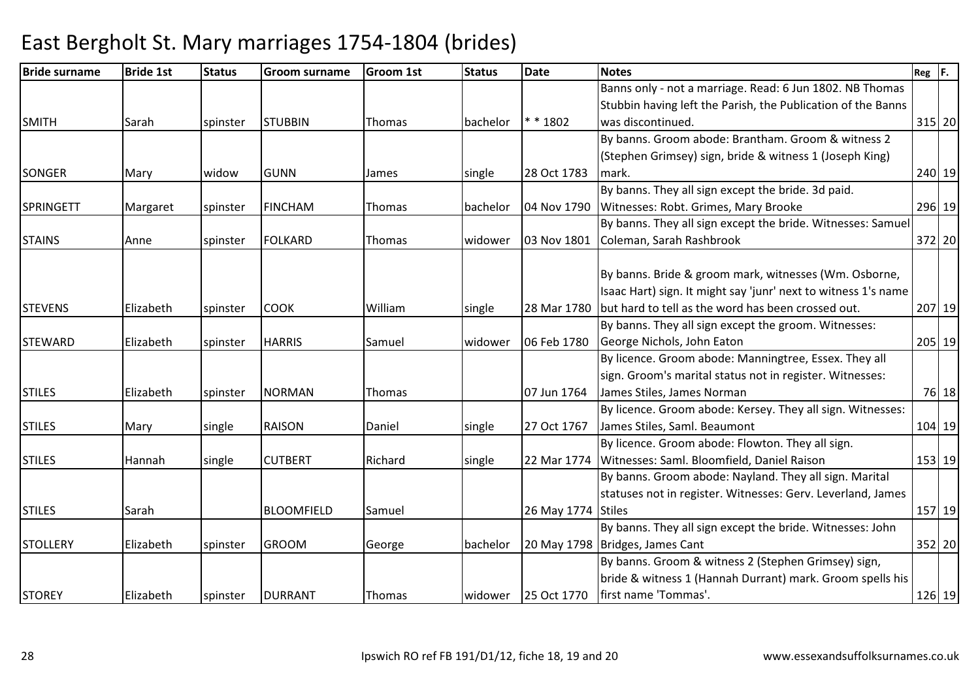| <b>Bride surname</b> | <b>Bride 1st</b> | <b>Status</b> | <b>Groom surname</b> | <b>Groom 1st</b> | <b>Status</b> | <b>Date</b>        | <b>Notes</b>                                                   | $Reg$ $F.$ |        |
|----------------------|------------------|---------------|----------------------|------------------|---------------|--------------------|----------------------------------------------------------------|------------|--------|
|                      |                  |               |                      |                  |               |                    | Banns only - not a marriage. Read: 6 Jun 1802. NB Thomas       |            |        |
|                      |                  |               |                      |                  |               |                    | Stubbin having left the Parish, the Publication of the Banns   |            |        |
| <b>SMITH</b>         | <b>Sarah</b>     | spinster      | <b>STUBBIN</b>       | <b>Thomas</b>    | bachelor      | $* * 1802$         | was discontinued.                                              | 315 20     |        |
|                      |                  |               |                      |                  |               |                    | By banns. Groom abode: Brantham. Groom & witness 2             |            |        |
|                      |                  |               |                      |                  |               |                    | (Stephen Grimsey) sign, bride & witness 1 (Joseph King)        |            |        |
| SONGER               | Mary             | widow         | <b>GUNN</b>          | James            | single        | 28 Oct 1783        | mark.                                                          | 240 19     |        |
|                      |                  |               |                      |                  |               |                    | By banns. They all sign except the bride. 3d paid.             |            |        |
| <b>SPRINGETT</b>     | Margaret         | spinster      | <b>FINCHAM</b>       | Thomas           | bachelor      | 04 Nov 1790        | Witnesses: Robt. Grimes, Mary Brooke                           | 296 19     |        |
|                      |                  |               |                      |                  |               |                    | By banns. They all sign except the bride. Witnesses: Samuel    |            |        |
| <b>STAINS</b>        | Anne             | spinster      | <b>FOLKARD</b>       | Thomas           | widower       | 03 Nov 1801        | Coleman, Sarah Rashbrook                                       | 372 20     |        |
|                      |                  |               |                      |                  |               |                    |                                                                |            |        |
|                      |                  |               |                      |                  |               |                    | By banns. Bride & groom mark, witnesses (Wm. Osborne,          |            |        |
|                      |                  |               |                      |                  |               |                    | Isaac Hart) sign. It might say 'junr' next to witness 1's name |            |        |
| <b>STEVENS</b>       | Elizabeth        | spinster      | <b>COOK</b>          | William          | single        | 28 Mar 1780        | but hard to tell as the word has been crossed out.             | 207 19     |        |
|                      |                  |               |                      |                  |               |                    | By banns. They all sign except the groom. Witnesses:           |            |        |
| <b>STEWARD</b>       | Elizabeth        | spinster      | <b>HARRIS</b>        | Samuel           | widower       | 06 Feb 1780        | George Nichols, John Eaton                                     | 205 19     |        |
|                      |                  |               |                      |                  |               |                    | By licence. Groom abode: Manningtree, Essex. They all          |            |        |
|                      |                  |               |                      |                  |               |                    | sign. Groom's marital status not in register. Witnesses:       |            |        |
| <b>STILES</b>        | Elizabeth        | spinster      | <b>NORMAN</b>        | Thomas           |               | 07 Jun 1764        | James Stiles, James Norman                                     |            | 76 18  |
|                      |                  |               |                      |                  |               |                    | By licence. Groom abode: Kersey. They all sign. Witnesses:     |            |        |
| <b>STILES</b>        | Mary             | single        | <b>RAISON</b>        | Daniel           | single        | 27 Oct 1767        | James Stiles, Saml. Beaumont                                   | 104 19     |        |
|                      |                  |               |                      |                  |               |                    | By licence. Groom abode: Flowton. They all sign.               |            |        |
| <b>STILES</b>        | Hannah           | single        | <b>CUTBERT</b>       | Richard          | single        | 22 Mar 1774        | Witnesses: Saml. Bloomfield, Daniel Raison                     |            | 153 19 |
|                      |                  |               |                      |                  |               |                    | By banns. Groom abode: Nayland. They all sign. Marital         |            |        |
|                      |                  |               |                      |                  |               |                    | statuses not in register. Witnesses: Gerv. Leverland, James    |            |        |
| <b>STILES</b>        | Sarah            |               | <b>BLOOMFIELD</b>    | Samuel           |               | 26 May 1774 Stiles |                                                                | 157 19     |        |
|                      |                  |               |                      |                  |               |                    | By banns. They all sign except the bride. Witnesses: John      |            |        |
| <b>STOLLERY</b>      | Elizabeth        | spinster      | <b>GROOM</b>         | George           | bachelor      |                    | 20 May 1798   Bridges, James Cant                              | 352 20     |        |
|                      |                  |               |                      |                  |               |                    | By banns. Groom & witness 2 (Stephen Grimsey) sign,            |            |        |
|                      |                  |               |                      |                  |               |                    | bride & witness 1 (Hannah Durrant) mark. Groom spells his      |            |        |
| <b>STOREY</b>        | Elizabeth        | spinster      | <b>DURRANT</b>       | Thomas           | widower       |                    | 25 Oct 1770   first name 'Tommas'.                             |            | 126 19 |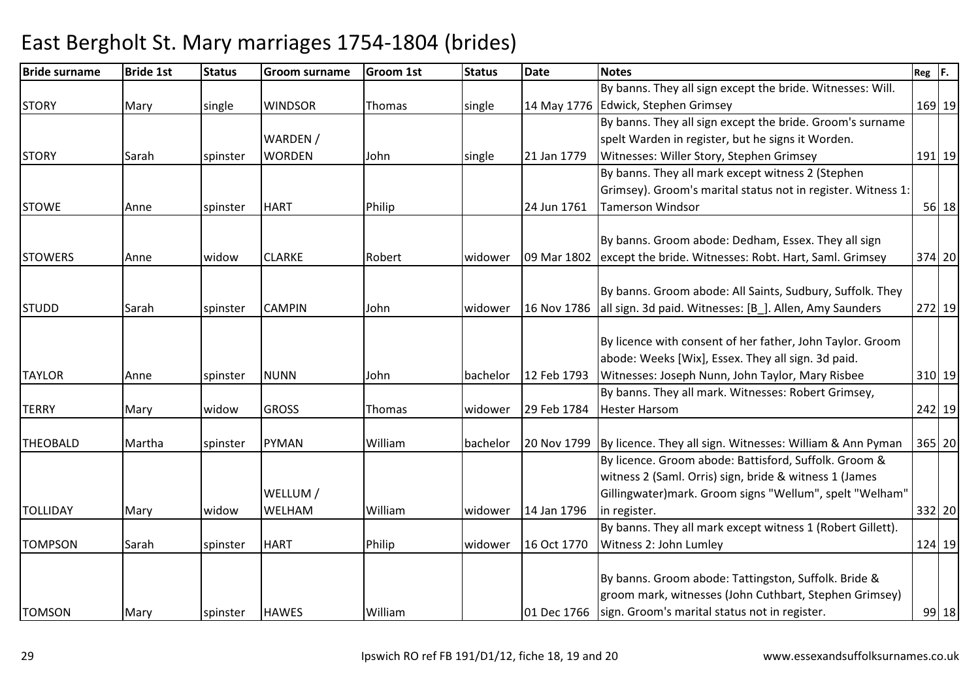| <b>Bride surname</b> | <b>Bride 1st</b> | <b>Status</b> | <b>Groom surname</b> | <b>Groom 1st</b> | <b>Status</b> | Date        | <b>Notes</b>                                                 | $Reg$ $ F.$ |
|----------------------|------------------|---------------|----------------------|------------------|---------------|-------------|--------------------------------------------------------------|-------------|
|                      |                  |               |                      |                  |               |             | By banns. They all sign except the bride. Witnesses: Will.   |             |
| <b>STORY</b>         | Mary             | single        | <b>WINDSOR</b>       | Thomas           | single        | 14 May 1776 | Edwick, Stephen Grimsey                                      | 169 19      |
|                      |                  |               |                      |                  |               |             | By banns. They all sign except the bride. Groom's surname    |             |
|                      |                  |               | WARDEN /             |                  |               |             | spelt Warden in register, but he signs it Worden.            |             |
| <b>STORY</b>         | Sarah            | spinster      | <b>WORDEN</b>        | John             | single        | 21 Jan 1779 | Witnesses: Willer Story, Stephen Grimsey                     | 191 19      |
|                      |                  |               |                      |                  |               |             | By banns. They all mark except witness 2 (Stephen            |             |
|                      |                  |               |                      |                  |               |             | Grimsey). Groom's marital status not in register. Witness 1: |             |
| <b>STOWE</b>         | Anne             | spinster      | <b>HART</b>          | Philip           |               | 24 Jun 1761 | <b>Tamerson Windsor</b>                                      | 56 18       |
|                      |                  |               |                      |                  |               |             | By banns. Groom abode: Dedham, Essex. They all sign          |             |
| <b>STOWERS</b>       | Anne             | widow         | <b>CLARKE</b>        | Robert           | widower       | 09 Mar 1802 | except the bride. Witnesses: Robt. Hart, Saml. Grimsey       | 374 20      |
|                      |                  |               |                      |                  |               |             |                                                              |             |
|                      |                  |               |                      |                  |               |             | By banns. Groom abode: All Saints, Sudbury, Suffolk. They    |             |
| <b>STUDD</b>         | Sarah            | spinster      | <b>CAMPIN</b>        | John             | widower       | 16 Nov 1786 | all sign. 3d paid. Witnesses: [B_]. Allen, Amy Saunders      | 272 19      |
|                      |                  |               |                      |                  |               |             |                                                              |             |
|                      |                  |               |                      |                  |               |             | By licence with consent of her father, John Taylor. Groom    |             |
|                      |                  |               |                      |                  |               |             | abode: Weeks [Wix], Essex. They all sign. 3d paid.           |             |
| <b>TAYLOR</b>        | Anne             | spinster      | <b>NUNN</b>          | John             | bachelor      | 12 Feb 1793 | Witnesses: Joseph Nunn, John Taylor, Mary Risbee             | 310 19      |
|                      |                  |               |                      |                  |               |             | By banns. They all mark. Witnesses: Robert Grimsey,          |             |
| <b>TERRY</b>         | Mary             | widow         | <b>GROSS</b>         | Thomas           | widower       | 29 Feb 1784 | <b>Hester Harsom</b>                                         | 242 19      |
| <b>THEOBALD</b>      | Martha           | spinster      | <b>PYMAN</b>         | William          | bachelor      | 20 Nov 1799 | By licence. They all sign. Witnesses: William & Ann Pyman    | 365 20      |
|                      |                  |               |                      |                  |               |             | By licence. Groom abode: Battisford, Suffolk. Groom &        |             |
|                      |                  |               |                      |                  |               |             | witness 2 (Saml. Orris) sign, bride & witness 1 (James       |             |
|                      |                  |               | WELLUM /             |                  |               |             | Gillingwater) mark. Groom signs "Wellum", spelt "Welham"     |             |
| <b>TOLLIDAY</b>      | Mary             | widow         | WELHAM               | William          | widower       | 14 Jan 1796 | in register.                                                 | 332 20      |
|                      |                  |               |                      |                  |               |             | By banns. They all mark except witness 1 (Robert Gillett).   |             |
| <b>TOMPSON</b>       | Sarah            | spinster      | <b>HART</b>          | Philip           | widower       | 16 Oct 1770 | Witness 2: John Lumley                                       | 124 19      |
|                      |                  |               |                      |                  |               |             |                                                              |             |
|                      |                  |               |                      |                  |               |             | By banns. Groom abode: Tattingston, Suffolk. Bride &         |             |
|                      |                  |               |                      |                  |               |             | groom mark, witnesses (John Cuthbart, Stephen Grimsey)       |             |
| <b>TOMSON</b>        | Mary             | spinster      | <b>HAWES</b>         | William          |               | 01 Dec 1766 | sign. Groom's marital status not in register.                | 99 18       |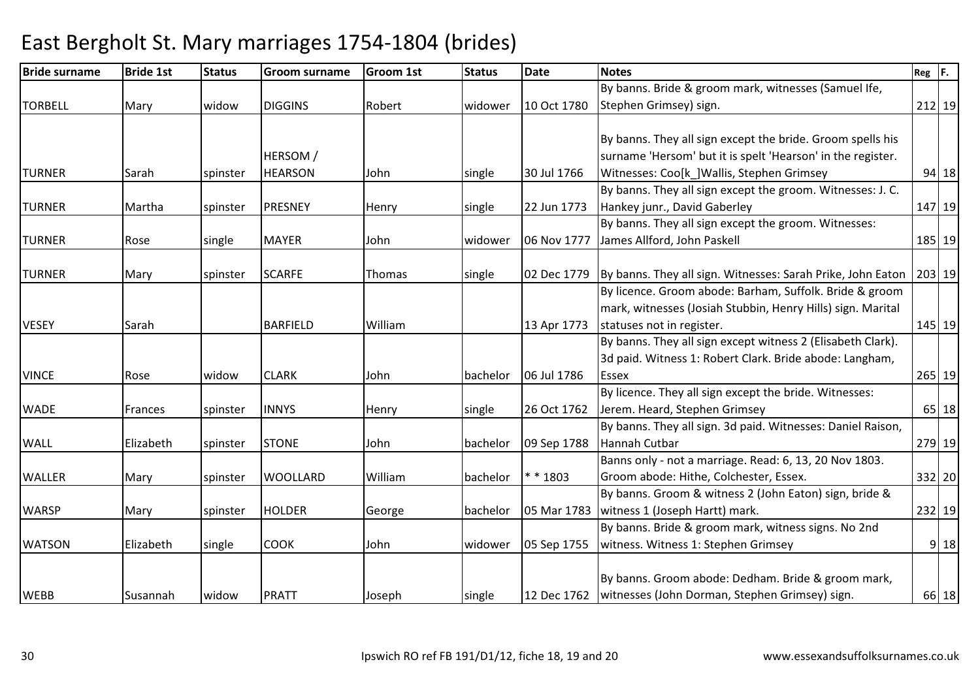| <b>Bride surname</b> | <b>Bride 1st</b> | <b>Status</b> | <b>Groom surname</b> | <b>Groom 1st</b> | <b>Status</b> | <b>Date</b> | <b>Notes</b>                                                              | $Reg$ $F.$ |        |
|----------------------|------------------|---------------|----------------------|------------------|---------------|-------------|---------------------------------------------------------------------------|------------|--------|
|                      |                  |               |                      |                  |               |             | By banns. Bride & groom mark, witnesses (Samuel Ife,                      |            |        |
| <b>TORBELL</b>       | Mary             | widow         | <b>DIGGINS</b>       | Robert           | widower       | 10 Oct 1780 | Stephen Grimsey) sign.                                                    |            | 212 19 |
|                      |                  |               |                      |                  |               |             |                                                                           |            |        |
|                      |                  |               |                      |                  |               |             | By banns. They all sign except the bride. Groom spells his                |            |        |
|                      |                  |               | <b>HERSOM</b> /      |                  |               |             | surname 'Hersom' but it is spelt 'Hearson' in the register.               |            |        |
| <b>TURNER</b>        | Sarah            | spinster      | <b>HEARSON</b>       | John             | single        | 30 Jul 1766 | Witnesses: Coo[k_]Wallis, Stephen Grimsey                                 |            | 94 18  |
|                      |                  |               |                      |                  |               |             | By banns. They all sign except the groom. Witnesses: J. C.                |            |        |
| <b>TURNER</b>        | Martha           | spinster      | PRESNEY              | Henry            | single        | 22 Jun 1773 | Hankey junr., David Gaberley                                              |            | 147 19 |
|                      |                  |               |                      |                  |               |             | By banns. They all sign except the groom. Witnesses:                      |            |        |
| <b>TURNER</b>        | Rose             | single        | <b>MAYER</b>         | John             | widower       | 06 Nov 1777 | James Allford, John Paskell                                               |            | 185 19 |
|                      |                  |               |                      |                  |               |             |                                                                           |            |        |
| <b>TURNER</b>        | Mary             | spinster      | <b>SCARFE</b>        | Thomas           | single        |             | 02 Dec 1779   By banns. They all sign. Witnesses: Sarah Prike, John Eaton |            | 203 19 |
|                      |                  |               |                      |                  |               |             | By licence. Groom abode: Barham, Suffolk. Bride & groom                   |            |        |
|                      |                  |               |                      |                  |               |             | mark, witnesses (Josiah Stubbin, Henry Hills) sign. Marital               |            |        |
| <b>VESEY</b>         | Sarah            |               | <b>BARFIELD</b>      | William          |               | 13 Apr 1773 | statuses not in register.                                                 |            | 145 19 |
|                      |                  |               |                      |                  |               |             | By banns. They all sign except witness 2 (Elisabeth Clark).               |            |        |
|                      |                  |               |                      |                  |               |             | 3d paid. Witness 1: Robert Clark. Bride abode: Langham,                   |            |        |
| <b>VINCE</b>         | Rose             | widow         | <b>CLARK</b>         | John             | bachelor      | 06 Jul 1786 | Essex                                                                     |            | 265 19 |
|                      |                  |               |                      |                  |               |             | By licence. They all sign except the bride. Witnesses:                    |            |        |
| <b>WADE</b>          | Frances          | spinster      | <b>INNYS</b>         | Henry            | single        | 26 Oct 1762 | Jerem. Heard, Stephen Grimsey                                             |            | 65 18  |
|                      |                  |               |                      |                  |               |             | By banns. They all sign. 3d paid. Witnesses: Daniel Raison,               |            |        |
| <b>WALL</b>          | Elizabeth        | spinster      | <b>STONE</b>         | John             | bachelor      | 09 Sep 1788 | Hannah Cutbar                                                             |            | 279 19 |
|                      |                  |               |                      |                  |               |             | Banns only - not a marriage. Read: 6, 13, 20 Nov 1803.                    |            |        |
| <b>WALLER</b>        | Mary             | spinster      | <b>WOOLLARD</b>      | William          | bachelor      | * * 1803    | Groom abode: Hithe, Colchester, Essex.                                    |            | 332 20 |
|                      |                  |               |                      |                  |               |             | By banns. Groom & witness 2 (John Eaton) sign, bride &                    |            |        |
| <b>WARSP</b>         | Mary             | spinster      | <b>HOLDER</b>        | George           | bachelor      | 05 Mar 1783 | witness 1 (Joseph Hartt) mark.                                            |            | 232 19 |
|                      |                  |               |                      |                  |               |             | By banns. Bride & groom mark, witness signs. No 2nd                       |            |        |
| <b>WATSON</b>        | Elizabeth        | single        | <b>COOK</b>          | John             | widower       | 05 Sep 1755 | witness. Witness 1: Stephen Grimsey                                       |            | 9 18   |
|                      |                  |               |                      |                  |               |             |                                                                           |            |        |
|                      |                  |               |                      |                  |               |             | By banns. Groom abode: Dedham. Bride & groom mark,                        |            |        |
| <b>WEBB</b>          | Susannah         | widow         | <b>PRATT</b>         | Joseph           | single        |             | 12 Dec 1762   witnesses (John Dorman, Stephen Grimsey) sign.              |            | 66 18  |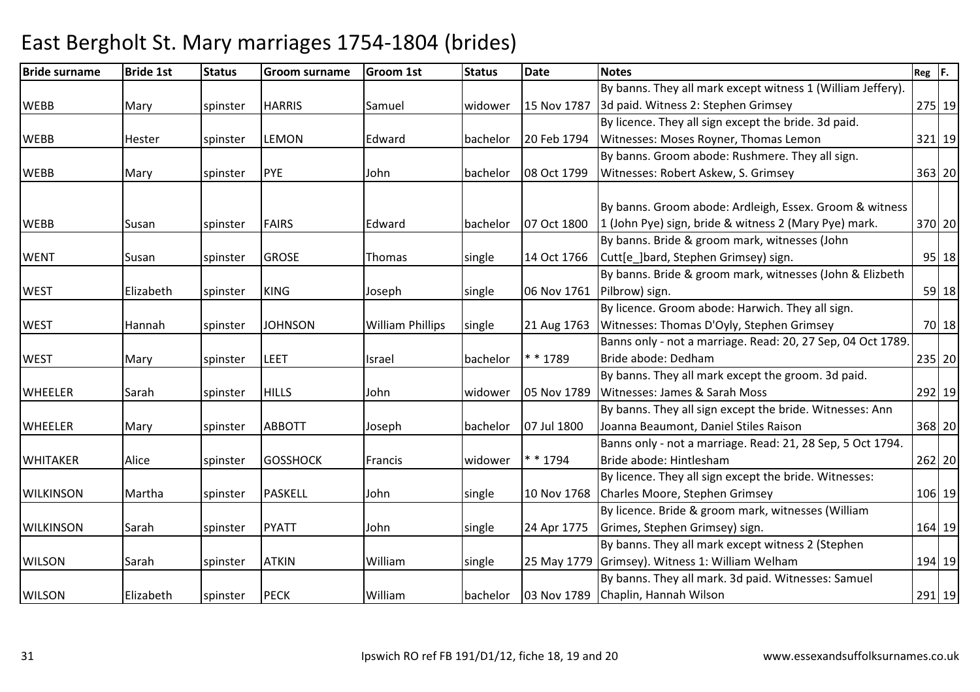| <b>Bride surname</b> | <b>Bride 1st</b> | <b>Status</b> | <b>Groom surname</b> | <b>Groom 1st</b>        | <b>Status</b> | <b>Date</b> | <b>Notes</b>                                                | $Reg$ $F.$ |        |
|----------------------|------------------|---------------|----------------------|-------------------------|---------------|-------------|-------------------------------------------------------------|------------|--------|
|                      |                  |               |                      |                         |               |             | By banns. They all mark except witness 1 (William Jeffery). |            |        |
| <b>WEBB</b>          | Mary             | spinster      | <b>HARRIS</b>        | Samuel                  | widower       | 15 Nov 1787 | 3d paid. Witness 2: Stephen Grimsey                         |            | 275 19 |
|                      |                  |               |                      |                         |               |             | By licence. They all sign except the bride. 3d paid.        |            |        |
| <b>WEBB</b>          | <b>Hester</b>    | spinster      | <b>LEMON</b>         | Edward                  | bachelor      | 20 Feb 1794 | Witnesses: Moses Royner, Thomas Lemon                       |            | 321 19 |
|                      |                  |               |                      |                         |               |             | By banns. Groom abode: Rushmere. They all sign.             |            |        |
| <b>WEBB</b>          | Mary             | spinster      | PYE                  | John                    | bachelor      | 08 Oct 1799 | Witnesses: Robert Askew, S. Grimsey                         |            | 363 20 |
|                      |                  |               |                      |                         |               |             |                                                             |            |        |
|                      |                  |               |                      |                         |               |             | By banns. Groom abode: Ardleigh, Essex. Groom & witness     |            |        |
| <b>WEBB</b>          | Susan            | spinster      | <b>FAIRS</b>         | Edward                  | bachelor      | 07 Oct 1800 | 1 (John Pye) sign, bride & witness 2 (Mary Pye) mark.       |            | 370 20 |
|                      |                  |               |                      |                         |               |             | By banns. Bride & groom mark, witnesses (John               |            |        |
| <b>WENT</b>          | Susan            | spinster      | <b>GROSE</b>         | Thomas                  | single        | 14 Oct 1766 | Cutt[e_]bard, Stephen Grimsey) sign.                        |            | 95 18  |
|                      |                  |               |                      |                         |               |             | By banns. Bride & groom mark, witnesses (John & Elizbeth    |            |        |
| <b>WEST</b>          | Elizabeth        | spinster      | <b>KING</b>          | Joseph                  | single        | 06 Nov 1761 | Pilbrow) sign.                                              |            | 59 18  |
|                      |                  |               |                      |                         |               |             | By licence. Groom abode: Harwich. They all sign.            |            |        |
| <b>WEST</b>          | Hannah           | spinster      | <b>JOHNSON</b>       | <b>William Phillips</b> | single        | 21 Aug 1763 | Witnesses: Thomas D'Oyly, Stephen Grimsey                   |            | 70 18  |
|                      |                  |               |                      |                         |               |             | Banns only - not a marriage. Read: 20, 27 Sep, 04 Oct 1789. |            |        |
| <b>WEST</b>          | Mary             | spinster      | LEET                 | Israel                  | bachelor      | * * 1789    | Bride abode: Dedham                                         |            | 235 20 |
|                      |                  |               |                      |                         |               |             | By banns. They all mark except the groom. 3d paid.          |            |        |
| <b>WHEELER</b>       | Sarah            | spinster      | <b>HILLS</b>         | John                    | widower       | 05 Nov 1789 | Witnesses: James & Sarah Moss                               |            | 292 19 |
|                      |                  |               |                      |                         |               |             | By banns. They all sign except the bride. Witnesses: Ann    |            |        |
| <b>WHEELER</b>       | Mary             | spinster      | <b>ABBOTT</b>        | Joseph                  | bachelor      | 07 Jul 1800 | Joanna Beaumont, Daniel Stiles Raison                       |            | 368 20 |
|                      |                  |               |                      |                         |               |             | Banns only - not a marriage. Read: 21, 28 Sep, 5 Oct 1794.  |            |        |
| <b>WHITAKER</b>      | Alice            | spinster      | <b>GOSSHOCK</b>      | Francis                 | widower       | * * 1794    | Bride abode: Hintlesham                                     |            | 262 20 |
|                      |                  |               |                      |                         |               |             | By licence. They all sign except the bride. Witnesses:      |            |        |
| <b>WILKINSON</b>     | Martha           | spinster      | <b>PASKELL</b>       | John                    | single        | 10 Nov 1768 | Charles Moore, Stephen Grimsey                              |            | 106 19 |
|                      |                  |               |                      |                         |               |             | By licence. Bride & groom mark, witnesses (William          |            |        |
| <b>WILKINSON</b>     | Sarah            | spinster      | <b>PYATT</b>         | John                    | single        | 24 Apr 1775 | Grimes, Stephen Grimsey) sign.                              |            | 164 19 |
|                      |                  |               |                      |                         |               |             | By banns. They all mark except witness 2 (Stephen           |            |        |
| <b>WILSON</b>        | Sarah            | spinster      | <b>ATKIN</b>         | William                 | single        | 25 May 1779 | Grimsey). Witness 1: William Welham                         |            | 194 19 |
|                      |                  |               |                      |                         |               |             | By banns. They all mark. 3d paid. Witnesses: Samuel         |            |        |
| <b>WILSON</b>        | Elizabeth        | spinster      | <b>PECK</b>          | William                 | bachelor      |             | 03 Nov 1789 Chaplin, Hannah Wilson                          |            | 291 19 |